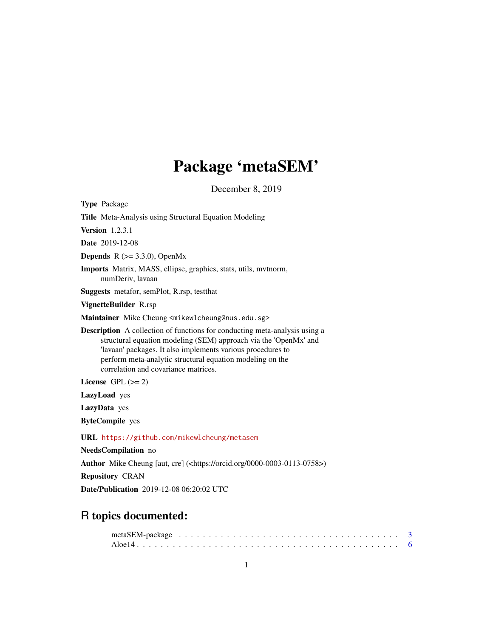# Package 'metaSEM'

December 8, 2019

<span id="page-0-0"></span>

| <b>Type Package</b>                                                                                                                                                                                                                                                                                                       |
|---------------------------------------------------------------------------------------------------------------------------------------------------------------------------------------------------------------------------------------------------------------------------------------------------------------------------|
| Title Meta-Analysis using Structural Equation Modeling                                                                                                                                                                                                                                                                    |
| <b>Version</b> 1.2.3.1                                                                                                                                                                                                                                                                                                    |
| <b>Date</b> 2019-12-08                                                                                                                                                                                                                                                                                                    |
| <b>Depends</b> $R$ ( $> = 3.3.0$ ), OpenMx                                                                                                                                                                                                                                                                                |
| <b>Imports</b> Matrix, MASS, ellipse, graphics, stats, utils, mythorm,<br>numDeriv, lavaan                                                                                                                                                                                                                                |
| Suggests metafor, semPlot, R.rsp, testthat                                                                                                                                                                                                                                                                                |
| VignetteBuilder R.rsp                                                                                                                                                                                                                                                                                                     |
| Maintainer Mike Cheung <mikewlcheung@nus.edu.sg></mikewlcheung@nus.edu.sg>                                                                                                                                                                                                                                                |
| <b>Description</b> A collection of functions for conducting meta-analysis using a<br>structural equation modeling (SEM) approach via the 'OpenMx' and<br>'lavaan' packages. It also implements various procedures to<br>perform meta-analytic structural equation modeling on the<br>correlation and covariance matrices. |
| License $GPL \, (= 2)$                                                                                                                                                                                                                                                                                                    |
| LazyLoad yes                                                                                                                                                                                                                                                                                                              |
| LazyData yes                                                                                                                                                                                                                                                                                                              |
| <b>ByteCompile</b> yes                                                                                                                                                                                                                                                                                                    |
| URL https://github.com/mikewlcheung/metasem                                                                                                                                                                                                                                                                               |
| NeedsCompilation no                                                                                                                                                                                                                                                                                                       |
| Author Mike Cheung [aut, cre] ( <https: 0000-0003-0113-0758="" orcid.org="">)</https:>                                                                                                                                                                                                                                    |
| <b>Repository CRAN</b>                                                                                                                                                                                                                                                                                                    |

Date/Publication 2019-12-08 06:20:02 UTC

# R topics documented: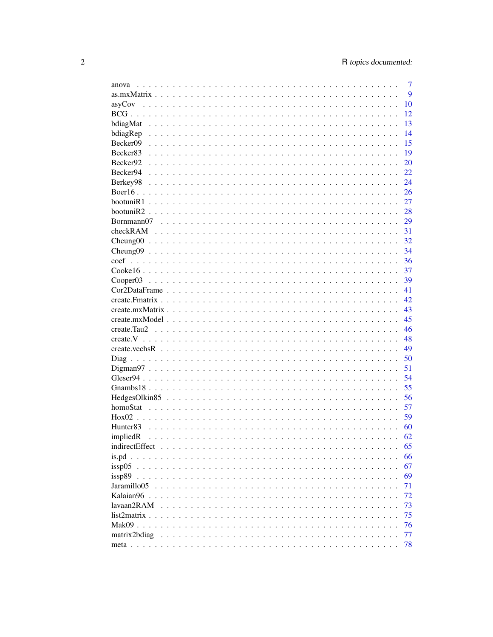| anova                   | 7  |
|-------------------------|----|
|                         | 9  |
|                         | 10 |
|                         | 12 |
|                         | 13 |
| $bdiagRep$              | 14 |
| Becker09                | 15 |
| Becker83                | 19 |
| Becker92                | 20 |
| Becker94                | 22 |
| Berkey98                | 24 |
|                         | 26 |
|                         | 27 |
|                         | 28 |
| Bornmann07              | 29 |
|                         | 31 |
|                         | 32 |
|                         | 34 |
| coef                    | 36 |
|                         | 37 |
|                         | 39 |
|                         | 41 |
|                         | 42 |
|                         | 43 |
|                         | 45 |
|                         | 46 |
|                         | 48 |
|                         | 49 |
|                         | 50 |
|                         | 51 |
|                         | 54 |
|                         | 55 |
|                         | 56 |
|                         | 57 |
|                         | 59 |
| Hunter <sub>83</sub>    | 60 |
| impliedR                | 62 |
|                         | 65 |
|                         | 66 |
| issp05                  | 67 |
| issp89                  | 69 |
| Jaramillo <sub>05</sub> | 71 |
| Kalaian $96$            | 72 |
| lavaan2RAM              | 73 |
| list2matrix             | 75 |
| Mak09                   | 76 |
| matrix2bdiag            | 77 |
|                         | 78 |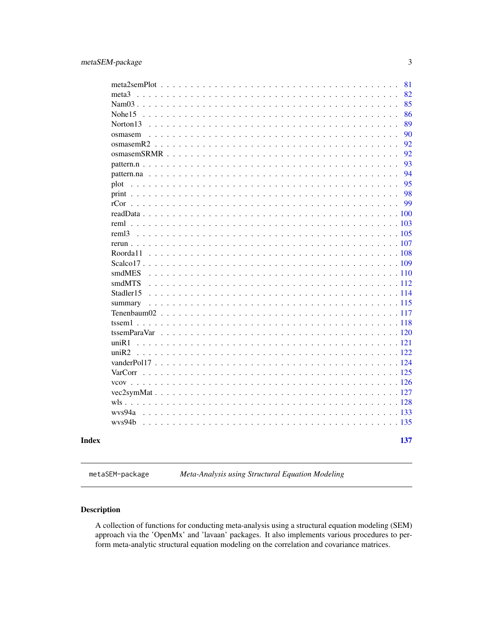<span id="page-2-0"></span>

|                      |  |  |  |  |  |  |  |  |  |  |  |  | 81  |
|----------------------|--|--|--|--|--|--|--|--|--|--|--|--|-----|
| meta <sup>3</sup>    |  |  |  |  |  |  |  |  |  |  |  |  | 82  |
|                      |  |  |  |  |  |  |  |  |  |  |  |  | 85  |
| $N$ ohe $15$         |  |  |  |  |  |  |  |  |  |  |  |  | 86  |
| Norton <sub>13</sub> |  |  |  |  |  |  |  |  |  |  |  |  | 89  |
| osmasem              |  |  |  |  |  |  |  |  |  |  |  |  | 90  |
|                      |  |  |  |  |  |  |  |  |  |  |  |  | 92  |
|                      |  |  |  |  |  |  |  |  |  |  |  |  | 92  |
|                      |  |  |  |  |  |  |  |  |  |  |  |  | 93  |
|                      |  |  |  |  |  |  |  |  |  |  |  |  | 94  |
| plot                 |  |  |  |  |  |  |  |  |  |  |  |  | 95  |
|                      |  |  |  |  |  |  |  |  |  |  |  |  | 98  |
|                      |  |  |  |  |  |  |  |  |  |  |  |  | 99  |
|                      |  |  |  |  |  |  |  |  |  |  |  |  |     |
|                      |  |  |  |  |  |  |  |  |  |  |  |  |     |
| rem <sub>13</sub>    |  |  |  |  |  |  |  |  |  |  |  |  |     |
|                      |  |  |  |  |  |  |  |  |  |  |  |  |     |
| Roorda11             |  |  |  |  |  |  |  |  |  |  |  |  |     |
|                      |  |  |  |  |  |  |  |  |  |  |  |  |     |
| smdMES               |  |  |  |  |  |  |  |  |  |  |  |  |     |
| smdMTS               |  |  |  |  |  |  |  |  |  |  |  |  |     |
| Stadler15            |  |  |  |  |  |  |  |  |  |  |  |  |     |
| summary              |  |  |  |  |  |  |  |  |  |  |  |  |     |
|                      |  |  |  |  |  |  |  |  |  |  |  |  |     |
|                      |  |  |  |  |  |  |  |  |  |  |  |  |     |
|                      |  |  |  |  |  |  |  |  |  |  |  |  |     |
| uniR1                |  |  |  |  |  |  |  |  |  |  |  |  |     |
|                      |  |  |  |  |  |  |  |  |  |  |  |  |     |
|                      |  |  |  |  |  |  |  |  |  |  |  |  |     |
|                      |  |  |  |  |  |  |  |  |  |  |  |  |     |
|                      |  |  |  |  |  |  |  |  |  |  |  |  |     |
|                      |  |  |  |  |  |  |  |  |  |  |  |  |     |
|                      |  |  |  |  |  |  |  |  |  |  |  |  |     |
|                      |  |  |  |  |  |  |  |  |  |  |  |  |     |
|                      |  |  |  |  |  |  |  |  |  |  |  |  |     |
|                      |  |  |  |  |  |  |  |  |  |  |  |  |     |
|                      |  |  |  |  |  |  |  |  |  |  |  |  | 137 |

metaSEM-package *Meta-Analysis using Structural Equation Modeling*

# Description

A collection of functions for conducting meta-analysis using a structural equation modeling (SEM) approach via the 'OpenMx' and 'lavaan' packages. It also implements various procedures to perform meta-analytic structural equation modeling on the correlation and covariance matrices.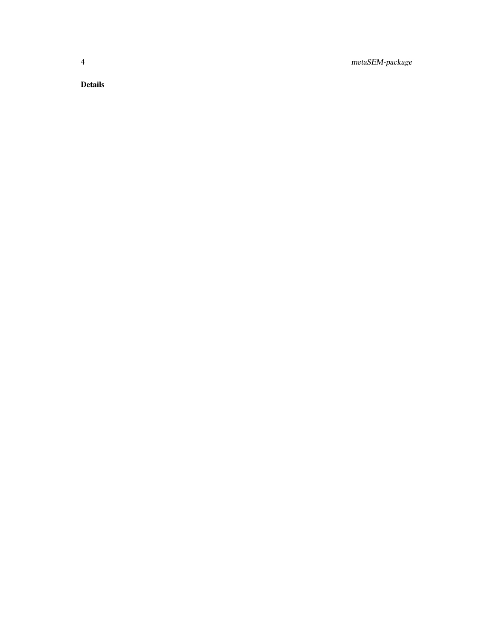4 metaSEM-package

Details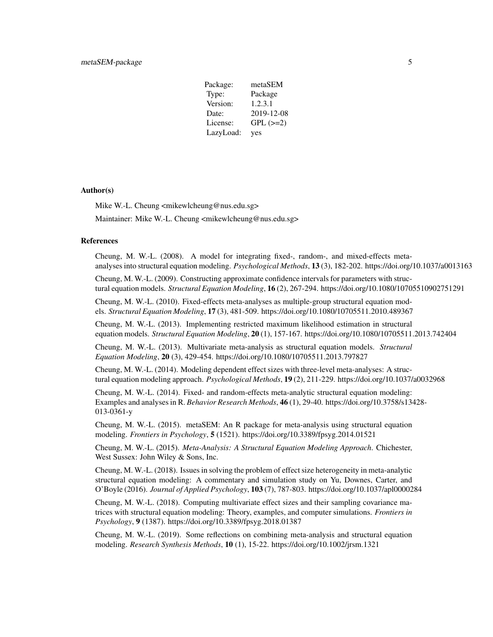| Package:  | metaSEM       |
|-----------|---------------|
| Type:     | Package       |
| Version:  | 1.2.3.1       |
| Date:     | 2019-12-08    |
| License:  | $GPL$ $(>=2)$ |
| LazyLoad: | yes           |

# Author(s)

Mike W.-L. Cheung <mikewlcheung@nus.edu.sg> Maintainer: Mike W.-L. Cheung <mikewlcheung@nus.edu.sg>

#### References

Cheung, M. W.-L. (2008). A model for integrating fixed-, random-, and mixed-effects metaanalyses into structural equation modeling. *Psychological Methods*, 13 (3), 182-202. https://doi.org/10.1037/a0013163

Cheung, M. W.-L. (2009). Constructing approximate confidence intervals for parameters with structural equation models. *Structural Equation Modeling*, 16 (2), 267-294. https://doi.org/10.1080/10705510902751291

Cheung, M. W.-L. (2010). Fixed-effects meta-analyses as multiple-group structural equation models. *Structural Equation Modeling*, 17 (3), 481-509. https://doi.org/10.1080/10705511.2010.489367

Cheung, M. W.-L. (2013). Implementing restricted maximum likelihood estimation in structural equation models. *Structural Equation Modeling*, 20 (1), 157-167. https://doi.org/10.1080/10705511.2013.742404

Cheung, M. W.-L. (2013). Multivariate meta-analysis as structural equation models. *Structural Equation Modeling*, 20 (3), 429-454. https://doi.org/10.1080/10705511.2013.797827

Cheung, M. W.-L. (2014). Modeling dependent effect sizes with three-level meta-analyses: A structural equation modeling approach. *Psychological Methods*, 19 (2), 211-229. https://doi.org/10.1037/a0032968

Cheung, M. W.-L. (2014). Fixed- and random-effects meta-analytic structural equation modeling: Examples and analyses in R. *Behavior Research Methods*, 46 (1), 29-40. https://doi.org/10.3758/s13428- 013-0361-y

Cheung, M. W.-L. (2015). metaSEM: An R package for meta-analysis using structural equation modeling. *Frontiers in Psychology*, 5 (1521). https://doi.org/10.3389/fpsyg.2014.01521

Cheung, M. W.-L. (2015). *Meta-Analysis: A Structural Equation Modeling Approach*. Chichester, West Sussex: John Wiley & Sons, Inc.

Cheung, M. W.-L. (2018). Issues in solving the problem of effect size heterogeneity in meta-analytic structural equation modeling: A commentary and simulation study on Yu, Downes, Carter, and O'Boyle (2016). *Journal of Applied Psychology*, 103 (7), 787-803. https://doi.org/10.1037/apl0000284

Cheung, M. W.-L. (2018). Computing multivariate effect sizes and their sampling covariance matrices with structural equation modeling: Theory, examples, and computer simulations. *Frontiers in Psychology*, 9 (1387). https://doi.org/10.3389/fpsyg.2018.01387

Cheung, M. W.-L. (2019). Some reflections on combining meta-analysis and structural equation modeling. *Research Synthesis Methods*, 10 (1), 15-22. https://doi.org/10.1002/jrsm.1321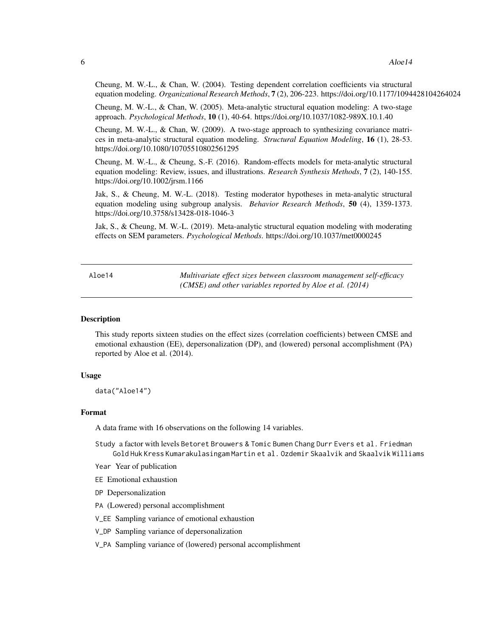<span id="page-5-0"></span>Cheung, M. W.-L., & Chan, W. (2004). Testing dependent correlation coefficients via structural equation modeling. *Organizational Research Methods*, 7 (2), 206-223. https://doi.org/10.1177/1094428104264024

Cheung, M. W.-L., & Chan, W. (2005). Meta-analytic structural equation modeling: A two-stage approach. *Psychological Methods*, 10 (1), 40-64. https://doi.org/10.1037/1082-989X.10.1.40

Cheung, M. W.-L., & Chan, W. (2009). A two-stage approach to synthesizing covariance matrices in meta-analytic structural equation modeling. *Structural Equation Modeling*, 16 (1), 28-53. https://doi.org/10.1080/10705510802561295

Cheung, M. W.-L., & Cheung, S.-F. (2016). Random-effects models for meta-analytic structural equation modeling: Review, issues, and illustrations. *Research Synthesis Methods*, 7 (2), 140-155. https://doi.org/10.1002/jrsm.1166

Jak, S., & Cheung, M. W.-L. (2018). Testing moderator hypotheses in meta-analytic structural equation modeling using subgroup analysis. *Behavior Research Methods*, 50 (4), 1359-1373. https://doi.org/10.3758/s13428-018-1046-3

Jak, S., & Cheung, M. W.-L. (2019). Meta-analytic structural equation modeling with moderating effects on SEM parameters. *Psychological Methods*. https://doi.org/10.1037/met0000245

Aloe14 *Multivariate effect sizes between classroom management self-efficacy (CMSE) and other variables reported by Aloe et al. (2014)*

#### Description

This study reports sixteen studies on the effect sizes (correlation coefficients) between CMSE and emotional exhaustion (EE), depersonalization (DP), and (lowered) personal accomplishment (PA) reported by Aloe et al. (2014).

# Usage

data("Aloe14")

# Format

A data frame with 16 observations on the following 14 variables.

Study a factor with levels Betoret Brouwers & Tomic Bumen Chang Durr Evers et al. Friedman Gold Huk Kress Kumarakulasingam Martin et al. Ozdemir Skaalvik and Skaalvik Williams

Year Year of publication

- EE Emotional exhaustion
- DP Depersonalization
- PA (Lowered) personal accomplishment
- V\_EE Sampling variance of emotional exhaustion
- V\_DP Sampling variance of depersonalization
- V\_PA Sampling variance of (lowered) personal accomplishment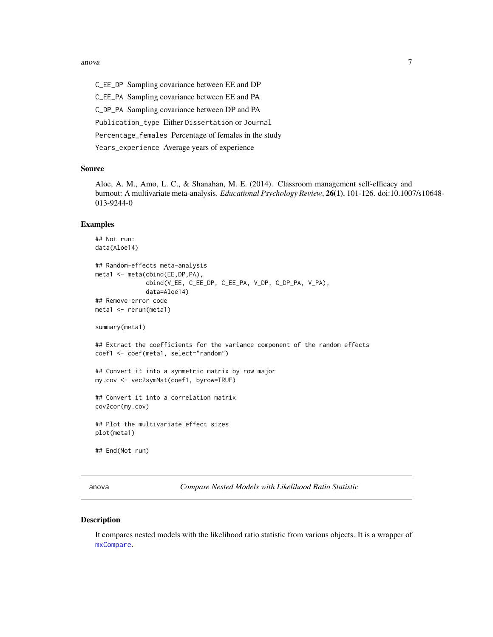#### <span id="page-6-0"></span>anova anova anova anova anova anova anova anova anova anova anova anova anova anova anova anova anova anova an

C\_EE\_DP Sampling covariance between EE and DP C\_EE\_PA Sampling covariance between EE and PA C\_DP\_PA Sampling covariance between DP and PA Publication\_type Either Dissertation or Journal Percentage\_females Percentage of females in the study Years\_experience Average years of experience

# Source

Aloe, A. M., Amo, L. C., & Shanahan, M. E. (2014). Classroom management self-efficacy and burnout: A multivariate meta-analysis. *Educational Psychology Review*, 26(1), 101-126. doi:10.1007/s10648- 013-9244-0

#### Examples

```
## Not run:
data(Aloe14)
## Random-effects meta-analysis
meta1 <- meta(cbind(EE,DP,PA),
              cbind(V_EE, C_EE_DP, C_EE_PA, V_DP, C_DP_PA, V_PA),
              data=Aloe14)
## Remove error code
meta1 <- rerun(meta1)
summary(meta1)
## Extract the coefficients for the variance component of the random effects
coef1 <- coef(meta1, select="random")
## Convert it into a symmetric matrix by row major
my.cov <- vec2symMat(coef1, byrow=TRUE)
## Convert it into a correlation matrix
cov2cor(my.cov)
## Plot the multivariate effect sizes
plot(meta1)
## End(Not run)
```
anova *Compare Nested Models with Likelihood Ratio Statistic*

#### Description

It compares nested models with the likelihood ratio statistic from various objects. It is a wrapper of [mxCompare](#page-0-0).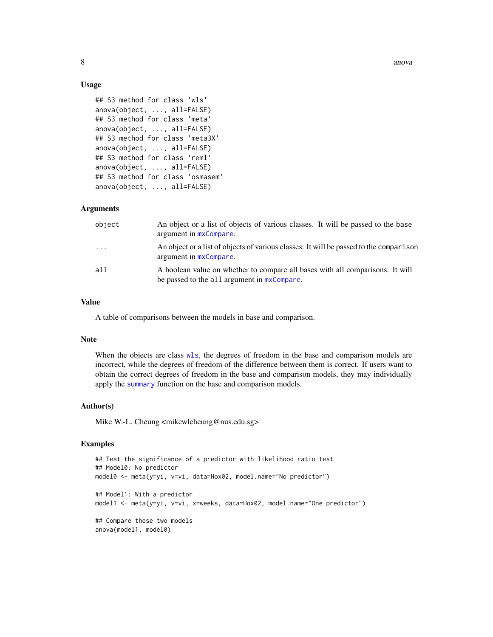# Usage

```
## S3 method for class 'wls'
anova(object, ..., all=FALSE)
## S3 method for class 'meta'
anova(object, ..., all=FALSE)
## S3 method for class 'meta3X'
anova(object, ..., all=FALSE)
## S3 method for class 'reml'
anova(object, ..., all=FALSE)
## S3 method for class 'osmasem'
anova(object, ..., all=FALSE)
```
# Arguments

| object                  | An object or a list of objects of various classes. It will be passed to the base<br>argument in $mxCompare$ .                   |
|-------------------------|---------------------------------------------------------------------------------------------------------------------------------|
| $\cdot$ $\cdot$ $\cdot$ | An object or a list of objects of various classes. It will be passed to the comparison<br>argument in $mx$ Compare.             |
| all                     | A boolean value on whether to compare all bases with all comparisons. It will<br>be passed to the all argument in $mxCompare$ . |

# Value

A table of comparisons between the models in base and comparison.

# **Note**

When the objects are class [wls](#page-127-1), the degrees of freedom in the base and comparison models are incorrect, while the degrees of freedom of the difference between them is correct. If users want to obtain the correct degrees of freedom in the base and comparison models, they may individually apply the [summary](#page-114-1) function on the base and comparison models.

### Author(s)

Mike W.-L. Cheung <mikewlcheung@nus.edu.sg>

```
## Test the significance of a predictor with likelihood ratio test
## Model0: No predictor
model0 <- meta(y=yi, v=vi, data=Hox02, model.name="No predictor")
## Model1: With a predictor
model1 <- meta(y=yi, v=vi, x=weeks, data=Hox02, model.name="One predictor")
## Compare these two models
anova(model1, model0)
```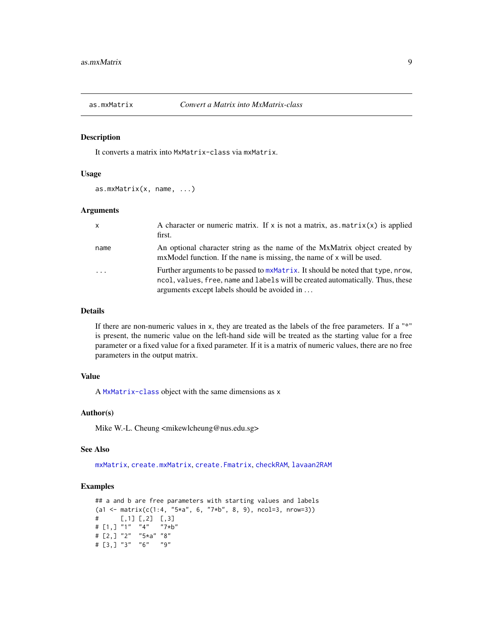<span id="page-8-1"></span><span id="page-8-0"></span>

# Description

It converts a matrix into MxMatrix-class via mxMatrix.

# Usage

as.mxMatrix(x, name, ...)

#### Arguments

| $\mathsf{x}$ | A character or numeric matrix. If x is not a matrix, as $\text{matrix}(x)$ is applied<br>first.                                                                                                                   |
|--------------|-------------------------------------------------------------------------------------------------------------------------------------------------------------------------------------------------------------------|
| name         | An optional character string as the name of the MxMatrix object created by<br>mxModel function. If the name is missing, the name of x will be used.                                                               |
| .            | Further arguments to be passed to mxMatrix. It should be noted that type, nrow,<br>ncol, values, free, name and labels will be created automatically. Thus, these<br>arguments except labels should be avoided in |

# Details

If there are non-numeric values in x, they are treated as the labels of the free parameters. If a "\*" is present, the numeric value on the left-hand side will be treated as the starting value for a free parameter or a fixed value for a fixed parameter. If it is a matrix of numeric values, there are no free parameters in the output matrix.

# Value

A [MxMatrix-class](#page-0-0) object with the same dimensions as x

# Author(s)

Mike W.-L. Cheung <mikewlcheung@nus.edu.sg>

# See Also

[mxMatrix](#page-0-0), [create.mxMatrix](#page-42-1), [create.Fmatrix](#page-41-1), [checkRAM](#page-30-1), [lavaan2RAM](#page-72-1)

```
## a and b are free parameters with starting values and labels
(a1 <- matrix(c(1:4, "5*a", 6, "7*b", 8, 9), ncol=3, nrow=3))
# [,1] [,2] [,3]
# [1,] "1" "4" "7*b"
# [2,] "2" "5*a" "8"
# [3,] "3" "6" "9"
```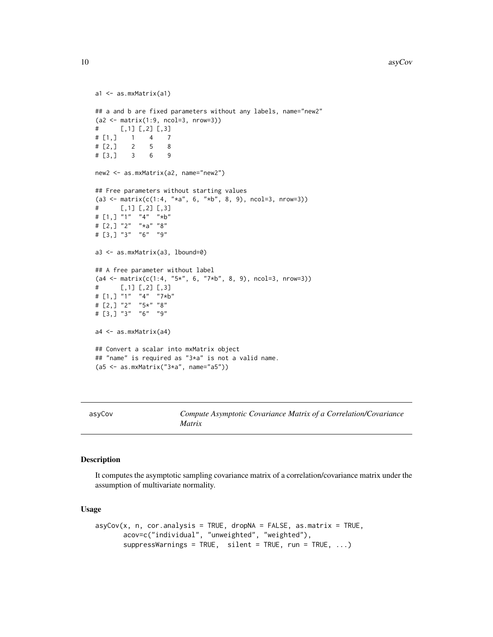```
a1 <- as.mxMatrix(a1)
## a and b are fixed parameters without any labels, name="new2"
(a2 < - matrix(1:9, ncol=3, nrow=3))
# [,1] [,2] [,3]
# [1,] 1 4 7
# [2,] 2 5 8
# [3,] 3 6 9
new2 <- as.mxMatrix(a2, name="new2")
## Free parameters without starting values
(a3 \leq \text{matrix}(c(1:4, "*a", 6, "*b", 8, 9), ncol=3, nrow=3))# [,1] [,2] [,3]
# [1,] "1" "4" "*b"
# [2,] "2" "*a" "8"
# [3,] "3" "6" "9"
a3 <- as.mxMatrix(a3, lbound=0)
## A free parameter without label
(a4 \leq \text{matrix}(c(1:4, "5*", 6, "7*b", 8, 9), ncol=3, nrow=3))# [,1] [,2] [,3]
# [1,] "1" "4" "7*b"
# [2,] "2" "5*" "8"
# [3,] "3" "6" "9"
a4 <- as.mxMatrix(a4)
## Convert a scalar into mxMatrix object
## "name" is required as "3*a" is not a valid name.
(a5 <- as.mxMatrix("3*a", name="a5"))
```
asyCov *Compute Asymptotic Covariance Matrix of a Correlation/Covariance Matrix*

# Description

It computes the asymptotic sampling covariance matrix of a correlation/covariance matrix under the assumption of multivariate normality.

# Usage

```
asyCov(x, n, cor. analysis = TRUE, dropNA = FALSE, as matrix = TRUE,acov=c("individual", "unweighted", "weighted"),
      suppressWarnings = TRUE, silent = TRUE, run = TRUE, ...)
```
<span id="page-9-0"></span>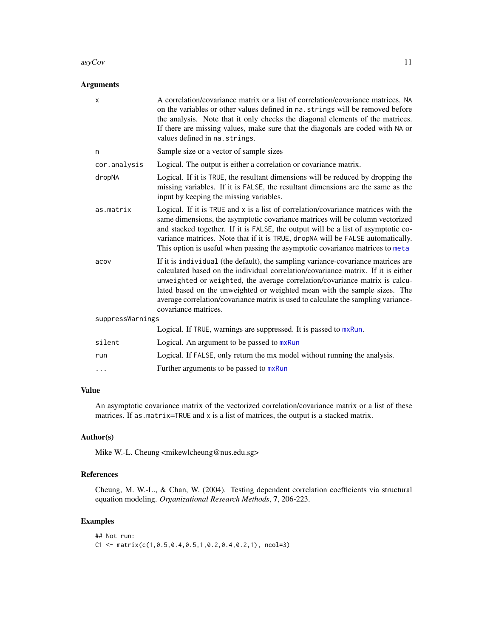#### $\frac{11}{2}$

# Arguments

| A correlation/covariance matrix or a list of correlation/covariance matrices. NA<br>on the variables or other values defined in na. strings will be removed before<br>the analysis. Note that it only checks the diagonal elements of the matrices.<br>If there are missing values, make sure that the diagonals are coded with NA or<br>values defined in na. strings.                                                                        |
|------------------------------------------------------------------------------------------------------------------------------------------------------------------------------------------------------------------------------------------------------------------------------------------------------------------------------------------------------------------------------------------------------------------------------------------------|
| Sample size or a vector of sample sizes                                                                                                                                                                                                                                                                                                                                                                                                        |
| Logical. The output is either a correlation or covariance matrix.                                                                                                                                                                                                                                                                                                                                                                              |
| Logical. If it is TRUE, the resultant dimensions will be reduced by dropping the<br>missing variables. If it is FALSE, the resultant dimensions are the same as the<br>input by keeping the missing variables.                                                                                                                                                                                                                                 |
| Logical. If it is TRUE and x is a list of correlation/covariance matrices with the<br>same dimensions, the asymptotic covariance matrices will be column vectorized<br>and stacked together. If it is FALSE, the output will be a list of asymptotic co-<br>variance matrices. Note that if it is TRUE, dropNA will be FALSE automatically.<br>This option is useful when passing the asymptotic covariance matrices to meta                   |
| If it is individual (the default), the sampling variance-covariance matrices are<br>calculated based on the individual correlation/covariance matrix. If it is either<br>unweighted or weighted, the average correlation/covariance matrix is calcu-<br>lated based on the unweighted or weighted mean with the sample sizes. The<br>average correlation/covariance matrix is used to calculate the sampling variance-<br>covariance matrices. |
| suppressWarnings                                                                                                                                                                                                                                                                                                                                                                                                                               |
| Logical. If TRUE, warnings are suppressed. It is passed to mxRun.                                                                                                                                                                                                                                                                                                                                                                              |
| Logical. An argument to be passed to mxRun                                                                                                                                                                                                                                                                                                                                                                                                     |
| Logical. If FALSE, only return the mx model without running the analysis.                                                                                                                                                                                                                                                                                                                                                                      |
| Further arguments to be passed to mxRun                                                                                                                                                                                                                                                                                                                                                                                                        |
|                                                                                                                                                                                                                                                                                                                                                                                                                                                |

# Value

An asymptotic covariance matrix of the vectorized correlation/covariance matrix or a list of these matrices. If as.matrix=TRUE and x is a list of matrices, the output is a stacked matrix.

# Author(s)

Mike W.-L. Cheung <mikewlcheung@nus.edu.sg>

# References

Cheung, M. W.-L., & Chan, W. (2004). Testing dependent correlation coefficients via structural equation modeling. *Organizational Research Methods*, 7, 206-223.

```
## Not run:
C1 \leq - matrix(c(1,0.5,0.4,0.5,1,0.2,0.4,0.2,1), ncol=3)
```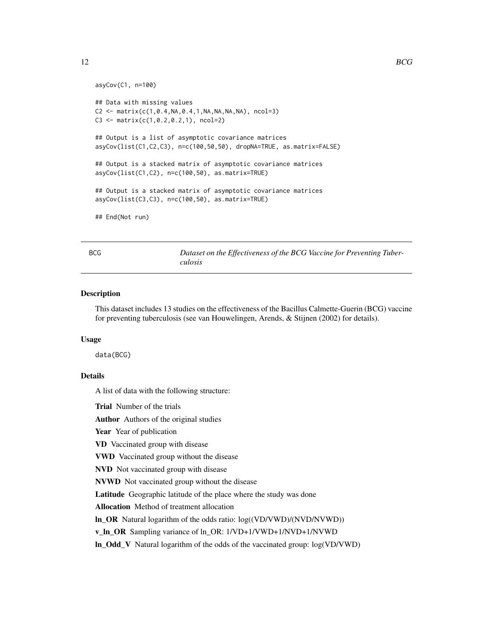```
asyCov(C1, n=100)
## Data with missing values
C2 \le - matrix(c(1, 0.4, NA, 0.4, 1, NA, NA, NA, NA), ncol=3)
C3 \leq - matrix(c(1, 0.2, 0.2, 1), ncol=2)
## Output is a list of asymptotic covariance matrices
asyCov(list(C1,C2,C3), n=c(100,50,50), dropNA=TRUE, as.matrix=FALSE)
## Output is a stacked matrix of asymptotic covariance matrices
asyCov(list(C1,C2), n=c(100,50), as.matrix=TRUE)
## Output is a stacked matrix of asymptotic covariance matrices
asyCov(list(C3,C3), n=c(100,50), as.matrix=TRUE)
## End(Not run)
```
BCG *Dataset on the Effectiveness of the BCG Vaccine for Preventing Tuberculosis*

# Description

This dataset includes 13 studies on the effectiveness of the Bacillus Calmette-Guerin (BCG) vaccine for preventing tuberculosis (see van Houwelingen, Arends, & Stijnen (2002) for details).

# Usage

data(BCG)

# Details

A list of data with the following structure:

Trial Number of the trials

Author Authors of the original studies

Year Year of publication

VD Vaccinated group with disease

VWD Vaccinated group without the disease

NVD Not vaccinated group with disease

NVWD Not vaccinated group without the disease

Latitude Geographic latitude of the place where the study was done

Allocation Method of treatment allocation

ln\_OR Natural logarithm of the odds ratio: log((VD/VWD)/(NVD/NVWD))

v\_ln\_OR Sampling variance of ln\_OR: 1/VD+1/VWD+1/NVD+1/NVWD

ln\_Odd\_V Natural logarithm of the odds of the vaccinated group: log(VD/VWD)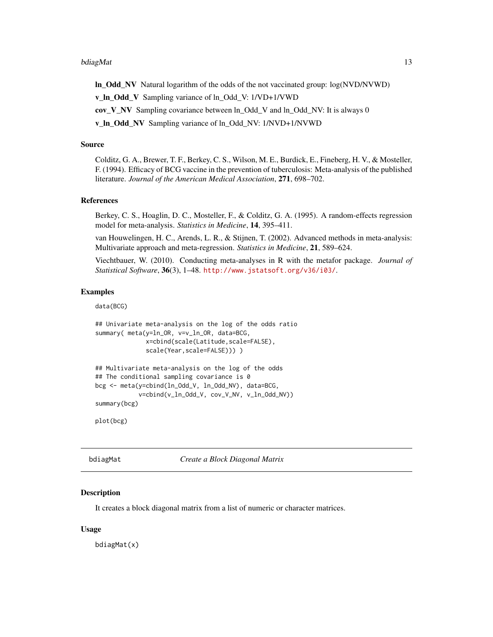#### <span id="page-12-0"></span>bdiagMat 13

ln\_Odd\_NV Natural logarithm of the odds of the not vaccinated group: log(NVD/NVWD)

v\_ln\_Odd\_V Sampling variance of ln\_Odd\_V: 1/VD+1/VWD

cov\_V\_NV Sampling covariance between ln\_Odd\_V and ln\_Odd\_NV: It is always 0

v\_ln\_Odd\_NV Sampling variance of ln\_Odd\_NV: 1/NVD+1/NVWD

# Source

Colditz, G. A., Brewer, T. F., Berkey, C. S., Wilson, M. E., Burdick, E., Fineberg, H. V., & Mosteller, F. (1994). Efficacy of BCG vaccine in the prevention of tuberculosis: Meta-analysis of the published literature. *Journal of the American Medical Association*, 271, 698–702.

#### References

Berkey, C. S., Hoaglin, D. C., Mosteller, F., & Colditz, G. A. (1995). A random-effects regression model for meta-analysis. *Statistics in Medicine*, 14, 395–411.

van Houwelingen, H. C., Arends, L. R., & Stijnen, T. (2002). Advanced methods in meta-analysis: Multivariate approach and meta-regression. *Statistics in Medicine*, 21, 589–624.

Viechtbauer, W. (2010). Conducting meta-analyses in R with the metafor package. *Journal of Statistical Software*, 36(3), 1–48. <http://www.jstatsoft.org/v36/i03/>.

# Examples

data(BCG)

```
## Univariate meta-analysis on the log of the odds ratio
summary( meta(y=ln_OR, v=v_ln_OR, data=BCG,
             x=cbind(scale(Latitude,scale=FALSE),
             scale(Year,scale=FALSE)))))
```

```
## Multivariate meta-analysis on the log of the odds
## The conditional sampling covariance is 0
bcg <- meta(y=cbind(ln_Odd_V, ln_Odd_NV), data=BCG,
            v=cbind(v_ln_Odd_V, cov_V_NV, v_ln_Odd_NV))
summary(bcg)
```
plot(bcg)

<span id="page-12-1"></span>bdiagMat *Create a Block Diagonal Matrix*

# **Description**

It creates a block diagonal matrix from a list of numeric or character matrices.

#### Usage

bdiagMat(x)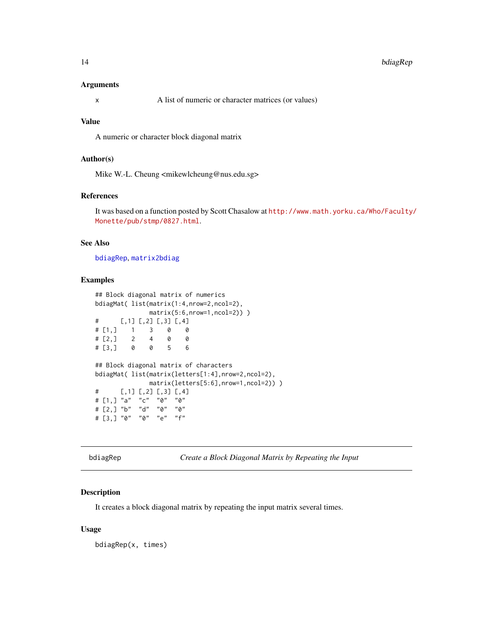# <span id="page-13-0"></span>Arguments

x A list of numeric or character matrices (or values)

# Value

A numeric or character block diagonal matrix

# Author(s)

Mike W.-L. Cheung <mikewlcheung@nus.edu.sg>

# References

It was based on a function posted by Scott Chasalow at [http://www.math.yorku.ca/Who/Faculty/](http://www.math.yorku.ca/Who/Faculty/Monette/pub/stmp/0827.html) [Monette/pub/stmp/0827.html](http://www.math.yorku.ca/Who/Faculty/Monette/pub/stmp/0827.html).

# See Also

[bdiagRep](#page-13-1), [matrix2bdiag](#page-76-1)

#### Examples

```
## Block diagonal matrix of numerics
bdiagMat( list(matrix(1:4,nrow=2,ncol=2),
             matrix(5:6,nrow=1,ncol=2)) )
# [,1] [,2] [,3] [,4]
# [1,] 1 3 0 0
# [2,] 2 4 0 0
# [3,] 0 0 5 6
## Block diagonal matrix of characters
bdiagMat( list(matrix(letters[1:4],nrow=2,ncol=2),
            matrix(letters[5:6],nrow=1,ncol=2)) )
# [,1] [,2] [,3] [,4]
# [1,] "a" "c" "0" "0"
# [2,] "b" "d" "0" "0"
# [3,] "0" "0" "e" "f"
```
<span id="page-13-1"></span>bdiagRep *Create a Block Diagonal Matrix by Repeating the Input*

# Description

It creates a block diagonal matrix by repeating the input matrix several times.

# Usage

bdiagRep(x, times)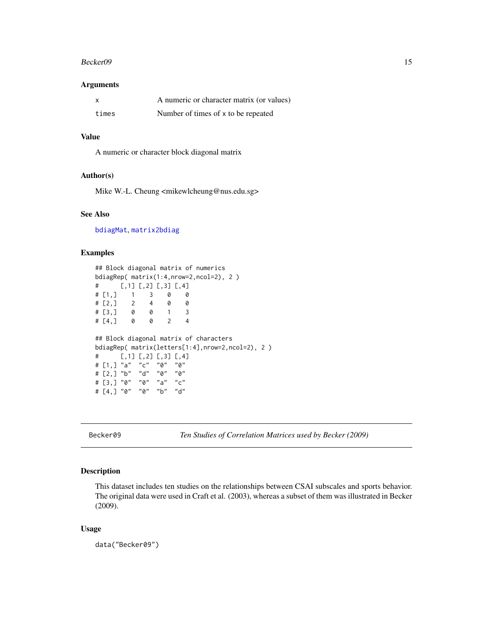#### <span id="page-14-0"></span>Becker09 15

#### Arguments

| x     | A numeric or character matrix (or values) |
|-------|-------------------------------------------|
| times | Number of times of x to be repeated       |

# Value

A numeric or character block diagonal matrix

# Author(s)

Mike W.-L. Cheung <mikewlcheung@nus.edu.sg>

#### See Also

[bdiagMat](#page-12-1), [matrix2bdiag](#page-76-1)

# Examples

```
## Block diagonal matrix of numerics
bdiagRep( matrix(1:4,nrow=2,ncol=2), 2 )
# [,1] [,2] [,3] [,4]
# [1,] 1 3 0 0
# [2,] 2 4 0 0
# [3,] 0 0 1 3
# [4,] 0 0 2 4
## Block diagonal matrix of characters
bdiagRep( matrix(letters[1:4],nrow=2,ncol=2), 2 )
# [,1] [,2] [,3] [,4]
# [1,] "a" "c" "0" "0"
# [2,] "b" "d" "0" "0"
# [3,] "0" "0" "a" "c"
# [4,] "0" "0" "b" "d"
```
Becker09 *Ten Studies of Correlation Matrices used by Becker (2009)*

# Description

This dataset includes ten studies on the relationships between CSAI subscales and sports behavior. The original data were used in Craft et al. (2003), whereas a subset of them was illustrated in Becker (2009).

# Usage

data("Becker09")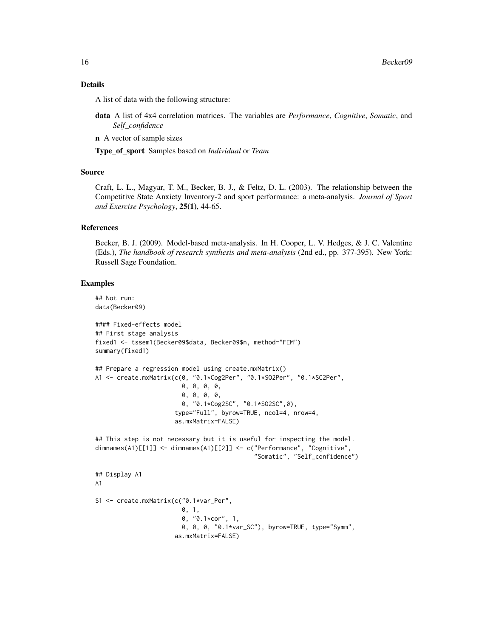# Details

A list of data with the following structure:

- data A list of 4x4 correlation matrices. The variables are *Performance*, *Cognitive*, *Somatic*, and *Self\_confidence*
- n A vector of sample sizes

Type\_of\_sport Samples based on *Individual* or *Team*

# Source

Craft, L. L., Magyar, T. M., Becker, B. J., & Feltz, D. L. (2003). The relationship between the Competitive State Anxiety Inventory-2 and sport performance: a meta-analysis. *Journal of Sport and Exercise Psychology*, 25(1), 44-65.

# References

Becker, B. J. (2009). Model-based meta-analysis. In H. Cooper, L. V. Hedges, & J. C. Valentine (Eds.), *The handbook of research synthesis and meta-analysis* (2nd ed., pp. 377-395). New York: Russell Sage Foundation.

```
## Not run:
data(Becker09)
#### Fixed-effects model
## First stage analysis
fixed1 <- tssem1(Becker09$data, Becker09$n, method="FEM")
summary(fixed1)
## Prepare a regression model using create.mxMatrix()
A1 <- create.mxMatrix(c(0, "0.1*Cog2Per", "0.1*SO2Per", "0.1*SC2Per",
                        0, 0, 0, 0,
                        0, 0, 0, 0,
                        0, "0.1*Cog2SC", "0.1*SO2SC",0),
                      type="Full", byrow=TRUE, ncol=4, nrow=4,
                      as.mxMatrix=FALSE)
## This step is not necessary but it is useful for inspecting the model.
dimnames(A1)[[1]] <- dimnames(A1)[[2]] <- c("Performance", "Cognitive",
                                             "Somatic", "Self_confidence")
## Display A1
A1
S1 <- create.mxMatrix(c("0.1*var_Per",
                        0, 1,
                        0, "0.1*cor", 1,
                        0, 0, 0, "0.1*var_SC"), byrow=TRUE, type="Symm",
                      as.mxMatrix=FALSE)
```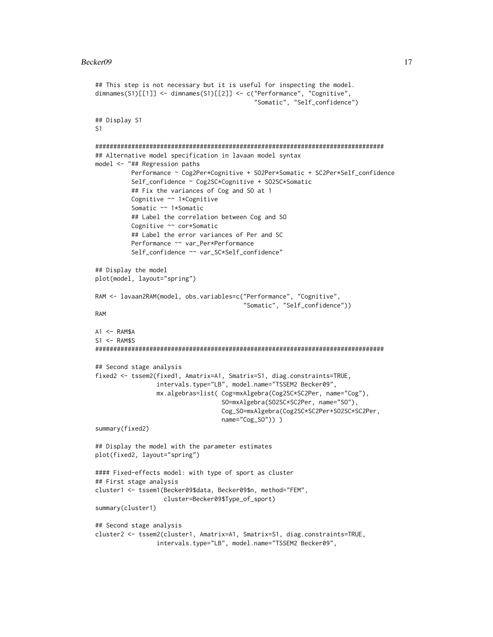```
## This step is not necessary but it is useful for inspecting the model.
dimnames(S1)[[1]] <- dimnames(S1)[[2]] <- c("Performance", "Cognitive",
                                             "Somatic", "Self_confidence")
## Display S1
S1
################################################################################
## Alternative model specification in lavaan model syntax
model <- "## Regression paths
          Performance ~ Cog2Per*Cognitive + SO2Per*Somatic + SC2Per*Self_confidence
          Self_confidence ~ Cog2SC*Cognitive + SO2SC*Somatic
          ## Fix the variances of Cog and SO at 1
          Cognitive ~~ 1*Cognitive
          Somatic ~~ 1*Somatic
          ## Label the correlation between Cog and SO
          Cognitive ~~ cor*Somatic
          ## Label the error variances of Per and SC
          Performance ~~ var_Per*Performance
          Self_confidence ~~ var_SC*Self_confidence"
## Display the model
plot(model, layout="spring")
RAM <- lavaan2RAM(model, obs.variables=c("Performance", "Cognitive",
                                         "Somatic", "Self_confidence"))
RAM
A1 \leftarrow RAM$A
S1 <- RAM$S
################################################################################
## Second stage analysis
fixed2 <- tssem2(fixed1, Amatrix=A1, Smatrix=S1, diag.constraints=TRUE,
                 intervals.type="LB", model.name="TSSEM2 Becker09",
                 mx.algebras=list( Cog=mxAlgebra(Cog2SC*SC2Per, name="Cog"),
                                   SO=mxAlgebra(SO2SC*SC2Per, name="SO"),
                                   Cog_SO=mxAlgebra(Cog2SC*SC2Per+SO2SC*SC2Per,
                                   name="Cog_SO")) )
summary(fixed2)
## Display the model with the parameter estimates
plot(fixed2, layout="spring")
#### Fixed-effects model: with type of sport as cluster
## First stage analysis
cluster1 <- tssem1(Becker09$data, Becker09$n, method="FEM",
                   cluster=Becker09$Type_of_sport)
summary(cluster1)
## Second stage analysis
cluster2 <- tssem2(cluster1, Amatrix=A1, Smatrix=S1, diag.constraints=TRUE,
                 intervals.type="LB", model.name="TSSEM2 Becker09",
```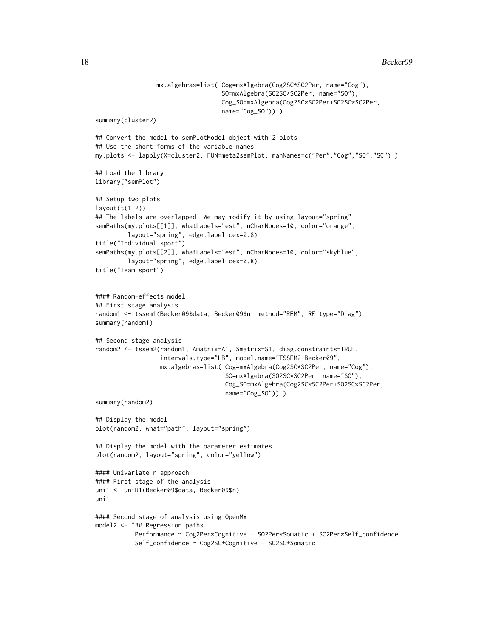```
mx.algebras=list( Cog=mxAlgebra(Cog2SC*SC2Per, name="Cog"),
                                   SO=mxAlgebra(SO2SC*SC2Per, name="SO"),
                                   Cog_SO=mxAlgebra(Cog2SC*SC2Per+SO2SC*SC2Per,
                                   name="Cog_SO")) )
summary(cluster2)
## Convert the model to semPlotModel object with 2 plots
## Use the short forms of the variable names
my.plots <- lapply(X=cluster2, FUN=meta2semPlot, manNames=c("Per","Cog","SO","SC") )
## Load the library
library("semPlot")
## Setup two plots
layout(t(1:2))## The labels are overlapped. We may modify it by using layout="spring"
semPaths(my.plots[[1]], whatLabels="est", nCharNodes=10, color="orange",
         layout="spring", edge.label.cex=0.8)
title("Individual sport")
semPaths(my.plots[[2]], whatLabels="est", nCharNodes=10, color="skyblue",
         layout="spring", edge.label.cex=0.8)
title("Team sport")
#### Random-effects model
## First stage analysis
random1 <- tssem1(Becker09$data, Becker09$n, method="REM", RE.type="Diag")
summary(random1)
## Second stage analysis
random2 <- tssem2(random1, Amatrix=A1, Smatrix=S1, diag.constraints=TRUE,
                  intervals.type="LB", model.name="TSSEM2 Becker09",
                  mx.algebras=list( Cog=mxAlgebra(Cog2SC*SC2Per, name="Cog"),
                                    SO=mxAlgebra(SO2SC*SC2Per, name="SO"),
                                    Cog_SO=mxAlgebra(Cog2SC*SC2Per+SO2SC*SC2Per,
                                    name="Cog_SO")) )
summary(random2)
## Display the model
plot(random2, what="path", layout="spring")
## Display the model with the parameter estimates
plot(random2, layout="spring", color="yellow")
#### Univariate r approach
#### First stage of the analysis
uni1 <- uniR1(Becker09$data, Becker09$n)
uni1
#### Second stage of analysis using OpenMx
model2 <- "## Regression paths
           Performance ~ Cog2Per*Cognitive + SO2Per*Somatic + SC2Per*Self_confidence
           Self_confidence ~ Cog2SC*Cognitive + SO2SC*Somatic
```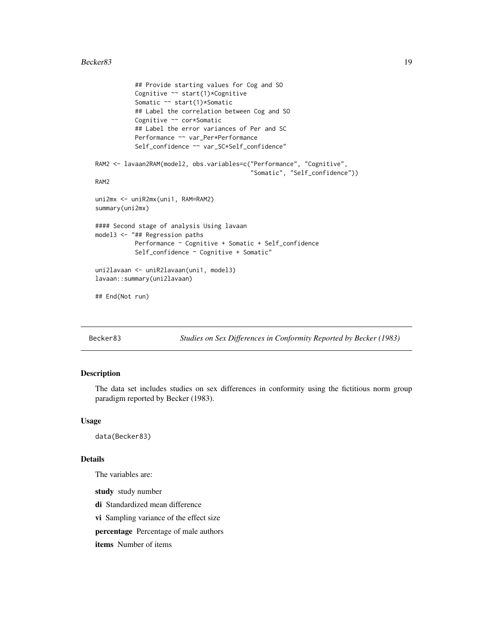```
## Provide starting values for Cog and SO
           Cognitive ~~ start(1)*Cognitive
           Somatic ~~ start(1)*Somatic
           ## Label the correlation between Cog and SO
           Cognitive ~~ cor*Somatic
           ## Label the error variances of Per and SC
           Performance ~~ var_Per*Performance
           Self_confidence ~~ var_SC*Self_confidence"
RAM2 <- lavaan2RAM(model2, obs.variables=c("Performance", "Cognitive",
                                           "Somatic", "Self_confidence"))
RAM2
uni2mx <- uniR2mx(uni1, RAM=RAM2)
summary(uni2mx)
#### Second stage of analysis Using lavaan
model3 <- "## Regression paths
          Performance ~ Cognitive + Somatic + Self_confidence
           Self_confidence ~ Cognitive + Somatic"
uni2lavaan <- uniR2lavaan(uni1, model3)
lavaan::summary(uni2lavaan)
## End(Not run)
```
Becker83 *Studies on Sex Differences in Conformity Reported by Becker (1983)*

# Description

The data set includes studies on sex differences in conformity using the fictitious norm group paradigm reported by Becker (1983).

# Usage

data(Becker83)

#### Details

The variables are:

study study number

di Standardized mean difference

vi Sampling variance of the effect size

percentage Percentage of male authors

items Number of items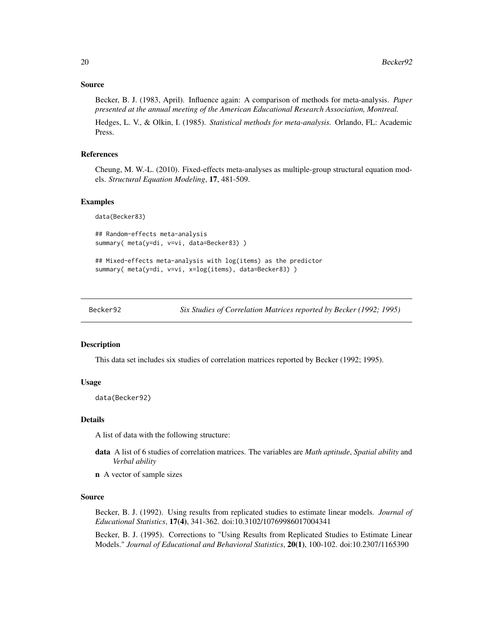# <span id="page-19-0"></span>Source

Becker, B. J. (1983, April). Influence again: A comparison of methods for meta-analysis. *Paper presented at the annual meeting of the American Educational Research Association, Montreal.*

Hedges, L. V., & Olkin, I. (1985). *Statistical methods for meta-analysis.* Orlando, FL: Academic Press.

# References

Cheung, M. W.-L. (2010). Fixed-effects meta-analyses as multiple-group structural equation models. *Structural Equation Modeling*, 17, 481-509.

#### Examples

data(Becker83)

```
## Random-effects meta-analysis
summary( meta(y=di, v=vi, data=Becker83) )
```

```
## Mixed-effects meta-analysis with log(items) as the predictor
summary( meta(y=di, v=vi, x=log(items), data=Becker83))
```
Becker92 *Six Studies of Correlation Matrices reported by Becker (1992; 1995)*

# **Description**

This data set includes six studies of correlation matrices reported by Becker (1992; 1995).

# Usage

data(Becker92)

#### Details

A list of data with the following structure:

- data A list of 6 studies of correlation matrices. The variables are *Math aptitude*, *Spatial ability* and *Verbal ability*
- n A vector of sample sizes

# Source

Becker, B. J. (1992). Using results from replicated studies to estimate linear models. *Journal of Educational Statistics*, 17(4), 341-362. doi:10.3102/10769986017004341

Becker, B. J. (1995). Corrections to "Using Results from Replicated Studies to Estimate Linear Models." *Journal of Educational and Behavioral Statistics*, 20(1), 100-102. doi:10.2307/1165390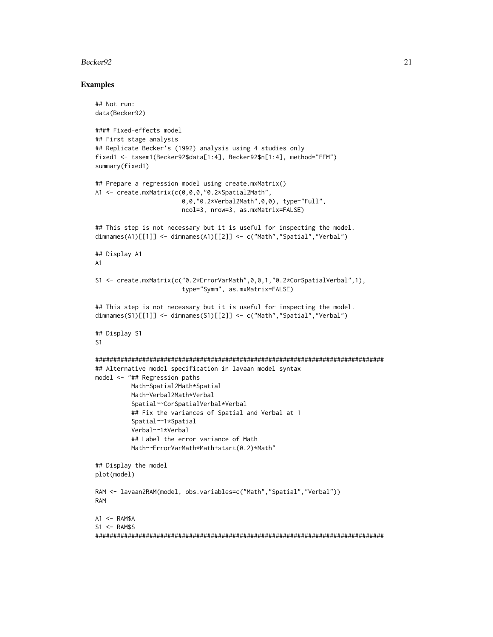# Becker 92 21

```
## Not run:
data(Becker92)
#### Fixed-effects model
## First stage analysis
## Replicate Becker's (1992) analysis using 4 studies only
fixed1 <- tssem1(Becker92$data[1:4], Becker92$n[1:4], method="FEM")
summary(fixed1)
## Prepare a regression model using create.mxMatrix()
A1 <- create.mxMatrix(c(0,0,0,"0.2*Spatial2Math",
                        0,0,"0.2*Verbal2Math",0,0), type="Full",
                        ncol=3, nrow=3, as.mxMatrix=FALSE)
## This step is not necessary but it is useful for inspecting the model.
dimnames(A1)[[1]] <- dimnames(A1)[[2]] <- c("Math","Spatial","Verbal")
## Display A1
A1
S1 <- create.mxMatrix(c("0.2*ErrorVarMath",0,0,1,"0.2*CorSpatialVerbal",1),
                        type="Symm", as.mxMatrix=FALSE)
## This step is not necessary but it is useful for inspecting the model.
dimnames(S1)[[1]] <- dimnames(S1)[[2]] <- c("Math","Spatial","Verbal")
## Display S1
S1
################################################################################
## Alternative model specification in lavaan model syntax
model <- "## Regression paths
          Math~Spatial2Math*Spatial
          Math~Verbal2Math*Verbal
          Spatial~~CorSpatialVerbal*Verbal
          ## Fix the variances of Spatial and Verbal at 1
          Spatial~~1*Spatial
          Verbal~~1*Verbal
          ## Label the error variance of Math
          Math~~ErrorVarMath*Math+start(0.2)*Math"
## Display the model
plot(model)
RAM <- lavaan2RAM(model, obs.variables=c("Math","Spatial","Verbal"))
RAM
A1 \leftarrow RAM$A
S1 <- RAM$S
################################################################################
```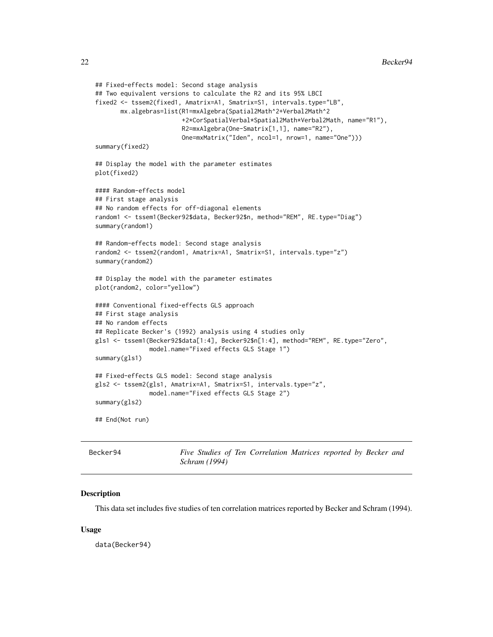```
## Fixed-effects model: Second stage analysis
## Two equivalent versions to calculate the R2 and its 95% LBCI
fixed2 <- tssem2(fixed1, Amatrix=A1, Smatrix=S1, intervals.type="LB",
      mx.algebras=list(R1=mxAlgebra(Spatial2Math^2+Verbal2Math^2
                        +2*CorSpatialVerbal*Spatial2Math*Verbal2Math, name="R1"),
                        R2=mxAlgebra(One-Smatrix[1,1], name="R2"),
                        One=mxMatrix("Iden", ncol=1, nrow=1, name="One")))
summary(fixed2)
## Display the model with the parameter estimates
plot(fixed2)
#### Random-effects model
## First stage analysis
## No random effects for off-diagonal elements
random1 <- tssem1(Becker92$data, Becker92$n, method="REM", RE.type="Diag")
summary(random1)
## Random-effects model: Second stage analysis
random2 <- tssem2(random1, Amatrix=A1, Smatrix=S1, intervals.type="z")
summary(random2)
## Display the model with the parameter estimates
plot(random2, color="yellow")
#### Conventional fixed-effects GLS approach
## First stage analysis
## No random effects
## Replicate Becker's (1992) analysis using 4 studies only
gls1 <- tssem1(Becker92$data[1:4], Becker92$n[1:4], method="REM", RE.type="Zero",
              model.name="Fixed effects GLS Stage 1")
summary(gls1)
## Fixed-effects GLS model: Second stage analysis
gls2 <- tssem2(gls1, Amatrix=A1, Smatrix=S1, intervals.type="z",
              model.name="Fixed effects GLS Stage 2")
summary(gls2)
## End(Not run)
```

| Becker94 |                      |  | Five Studies of Ten Correlation Matrices reported by Becker and |  |  |  |
|----------|----------------------|--|-----------------------------------------------------------------|--|--|--|
|          | <i>Schram</i> (1994) |  |                                                                 |  |  |  |

#### Description

This data set includes five studies of ten correlation matrices reported by Becker and Schram (1994).

#### Usage

data(Becker94)

<span id="page-21-0"></span>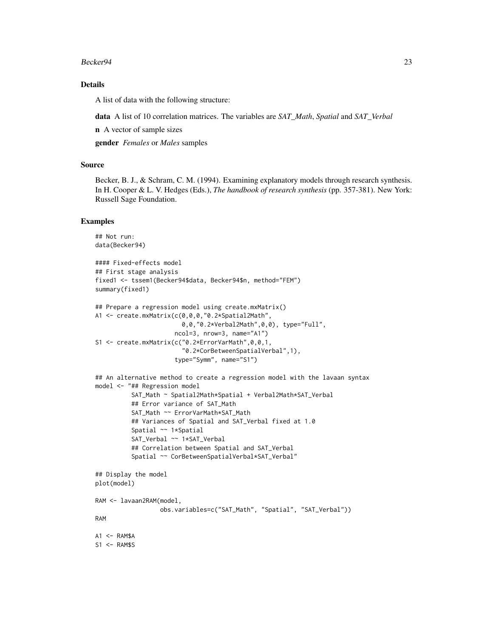#### Becker 94 23

# Details

A list of data with the following structure:

data A list of 10 correlation matrices. The variables are *SAT\_Math*, *Spatial* and *SAT\_Verbal*

n A vector of sample sizes

gender *Females* or *Males* samples

#### Source

Becker, B. J., & Schram, C. M. (1994). Examining explanatory models through research synthesis. In H. Cooper & L. V. Hedges (Eds.), *The handbook of research synthesis* (pp. 357-381). New York: Russell Sage Foundation.

```
## Not run:
data(Becker94)
#### Fixed-effects model
## First stage analysis
fixed1 <- tssem1(Becker94$data, Becker94$n, method="FEM")
summary(fixed1)
## Prepare a regression model using create.mxMatrix()
A1 <- create.mxMatrix(c(0,0,0,"0.2*Spatial2Math",
                        0,0,"0.2*Verbal2Math",0,0), type="Full",
                      ncol=3, nrow=3, name="A1")
S1 <- create.mxMatrix(c("0.2*ErrorVarMath",0,0,1,
                        "0.2*CorBetweenSpatialVerbal",1),
                      type="Symm", name="S1")
## An alternative method to create a regression model with the lavaan syntax
model <- "## Regression model
          SAT_Math ~ Spatial2Math*Spatial + Verbal2Math*SAT_Verbal
          ## Error variance of SAT_Math
          SAT_Math ~~ ErrorVarMath*SAT_Math
          ## Variances of Spatial and SAT_Verbal fixed at 1.0
          Spatial ~~ 1*Spatial
          SAT_Verbal ~~ 1*SAT_Verbal
          ## Correlation between Spatial and SAT_Verbal
          Spatial ~~ CorBetweenSpatialVerbal*SAT_Verbal"
## Display the model
plot(model)
RAM <- lavaan2RAM(model,
                  obs.variables=c("SAT_Math", "Spatial", "SAT_Verbal"))
RAM
A1 \leftarrow RAM$A
S1 <- RAM$S
```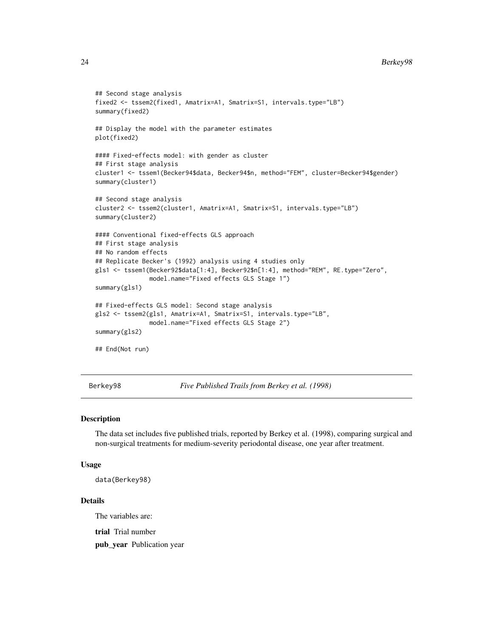#### 24 Berkey98

```
## Second stage analysis
fixed2 <- tssem2(fixed1, Amatrix=A1, Smatrix=S1, intervals.type="LB")
summary(fixed2)
## Display the model with the parameter estimates
plot(fixed2)
#### Fixed-effects model: with gender as cluster
## First stage analysis
cluster1 <- tssem1(Becker94$data, Becker94$n, method="FEM", cluster=Becker94$gender)
summary(cluster1)
## Second stage analysis
cluster2 <- tssem2(cluster1, Amatrix=A1, Smatrix=S1, intervals.type="LB")
summary(cluster2)
#### Conventional fixed-effects GLS approach
## First stage analysis
## No random effects
## Replicate Becker's (1992) analysis using 4 studies only
gls1 <- tssem1(Becker92$data[1:4], Becker92$n[1:4], method="REM", RE.type="Zero",
              model.name="Fixed effects GLS Stage 1")
summary(gls1)
## Fixed-effects GLS model: Second stage analysis
gls2 <- tssem2(gls1, Amatrix=A1, Smatrix=S1, intervals.type="LB",
              model.name="Fixed effects GLS Stage 2")
summary(gls2)
## End(Not run)
```
Berkey98 *Five Published Trails from Berkey et al. (1998)*

#### Description

The data set includes five published trials, reported by Berkey et al. (1998), comparing surgical and non-surgical treatments for medium-severity periodontal disease, one year after treatment.

#### Usage

```
data(Berkey98)
```
#### Details

The variables are:

trial Trial number

pub\_year Publication year

<span id="page-23-0"></span>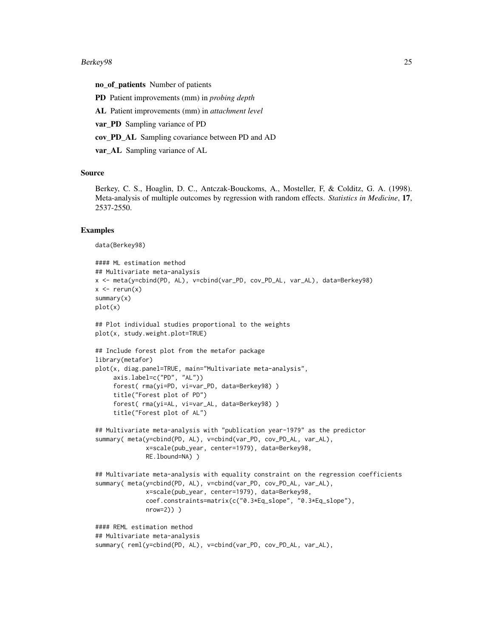#### Berkey98 25

no\_of\_patients Number of patients

PD Patient improvements (mm) in *probing depth*

AL Patient improvements (mm) in *attachment level*

var\_PD Sampling variance of PD

cov\_PD\_AL Sampling covariance between PD and AD

var\_AL Sampling variance of AL

#### Source

Berkey, C. S., Hoaglin, D. C., Antczak-Bouckoms, A., Mosteller, F, & Colditz, G. A. (1998). Meta-analysis of multiple outcomes by regression with random effects. *Statistics in Medicine*, 17, 2537-2550.

```
data(Berkey98)
```

```
#### ML estimation method
## Multivariate meta-analysis
x <- meta(y=cbind(PD, AL), v=cbind(var_PD, cov_PD_AL, var_AL), data=Berkey98)
x \leq -\text{rerun}(x)summary(x)
plot(x)
## Plot individual studies proportional to the weights
plot(x, study.weight.plot=TRUE)
## Include forest plot from the metafor package
library(metafor)
plot(x, diag.panel=TRUE, main="Multivariate meta-analysis",
     axis.label=c("PD", "AL"))
     forest( rma(yi=PD, vi=var_PD, data=Berkey98) )
     title("Forest plot of PD")
     forest( rma(yi=AL, vi=var_AL, data=Berkey98) )
     title("Forest plot of AL")
## Multivariate meta-analysis with "publication year-1979" as the predictor
summary( meta(y=cbind(PD, AL), v=cbind(var_PD, cov_PD_AL, var_AL),
              x=scale(pub_year, center=1979), data=Berkey98,
              RE.lbound=NA) )
## Multivariate meta-analysis with equality constraint on the regression coefficients
summary( meta(y=cbind(PD, AL), v=cbind(var_PD, cov_PD_AL, var_AL),
              x=scale(pub_year, center=1979), data=Berkey98,
              coef.constraints=matrix(c("0.3*Eq_slope", "0.3*Eq_slope"),
              nrow=2)) )
#### REML estimation method
## Multivariate meta-analysis
summary( reml(y=cbind(PD, AL), v=cbind(var_PD, cov_PD_AL, var_AL),
```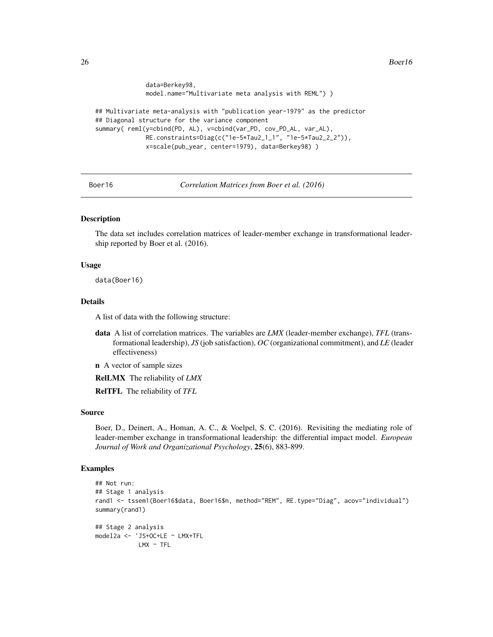<span id="page-25-0"></span>26 Boerlot and the set of the set of the set of the set of the set of the set of the set of the set of the set of the set of the set of the set of the set of the set of the set of the set of the set of the set of the set o

```
data=Berkey98,
              model.name="Multivariate meta analysis with REML") )
## Multivariate meta-analysis with "publication year-1979" as the predictor
## Diagonal structure for the variance component
summary( reml(y=cbind(PD, AL), v=cbind(var_PD, cov_PD_AL, var_AL),
             RE.constraints=Diag(c("1e-5*Tau2_1_1", "1e-5*Tau2_2_2")),
              x=scale(pub_year, center=1979), data=Berkey98) )
```
Boer16 *Correlation Matrices from Boer et al. (2016)*

# **Description**

The data set includes correlation matrices of leader-member exchange in transformational leadership reported by Boer et al. (2016).

# Usage

data(Boer16)

# Details

A list of data with the following structure:

- data A list of correlation matrices. The variables are *LMX* (leader-member exchange), *TFL* (transformational leadership), *JS* (job satisfaction), *OC* (organizational commitment), and *LE* (leader effectiveness)
- n A vector of sample sizes

RelLMX The reliability of *LMX*

RelTFL The reliability of *TFL*

# Source

Boer, D., Deinert, A., Homan, A. C., & Voelpel, S. C. (2016). Revisiting the mediating role of leader-member exchange in transformational leadership: the differential impact model. *European Journal of Work and Organizational Psychology*, 25(6), 883-899.

```
## Not run:
## Stage 1 analysis
rand1 <- tssem1(Boer16$data, Boer16$n, method="REM", RE.type="Diag", acov="individual")
summary(rand1)
## Stage 2 analysis
model2a <- 'JS+OC+LE ~ LMX+TFL
            LMX ~ \sim TFL
```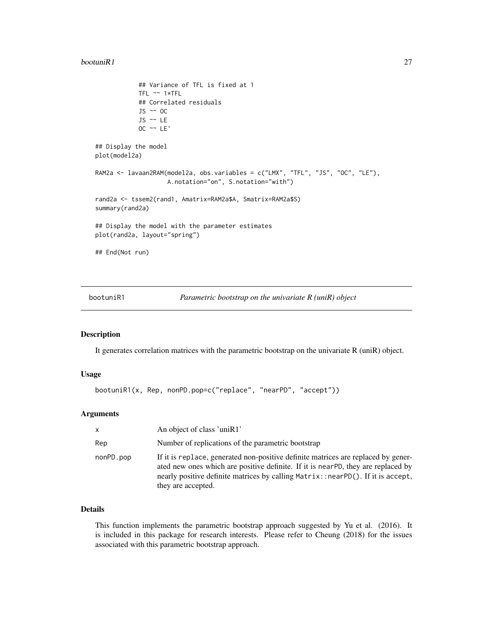#### <span id="page-26-0"></span> $\mathbf{b}$ ootuni $\mathbf{R}$ 1 27

```
## Variance of TFL is fixed at 1
            TFL ~~ 1*TFL
            ## Correlated residuals
            JS \sim OC
            JS ~~ LE
            OC \sim LE'## Display the model
plot(model2a)
RAM2a <- lavaan2RAM(model2a, obs.variables = c("LMX", "TFL", "JS", "OC", "LE"),
                    A.notation="on", S.notation="with")
rand2a <- tssem2(rand1, Amatrix=RAM2a$A, Smatrix=RAM2a$S)
summary(rand2a)
## Display the model with the parameter estimates
plot(rand2a, layout="spring")
## End(Not run)
```
bootuniR1 *Parametric bootstrap on the univariate R (uniR) object*

#### Description

It generates correlation matrices with the parametric bootstrap on the univariate R (uniR) object.

# Usage

```
bootuniR1(x, Rep, nonPD.pop=c("replace", "nearPD", "accept"))
```
#### Arguments

| $\mathsf{X}$ | An object of class 'uniR1'                                                                                                                                                                                                                                                     |
|--------------|--------------------------------------------------------------------------------------------------------------------------------------------------------------------------------------------------------------------------------------------------------------------------------|
| Rep          | Number of replications of the parametric bootstrap                                                                                                                                                                                                                             |
| nonPD.pop    | If it is replace, generated non-positive definite matrices are replaced by gener-<br>ated new ones which are positive definite. If it is nearPD, they are replaced by<br>nearly positive definite matrices by calling Matrix::nearPD(). If it is accept,<br>they are accepted. |

# Details

This function implements the parametric bootstrap approach suggested by Yu et al. (2016). It is included in this package for research interests. Please refer to Cheung (2018) for the issues associated with this parametric bootstrap approach.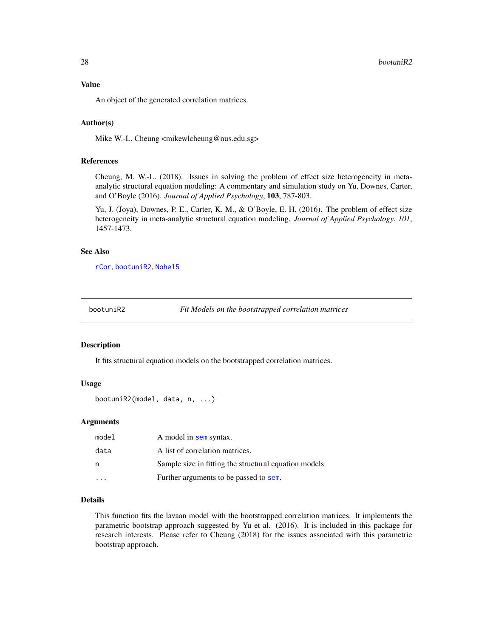<span id="page-27-0"></span>An object of the generated correlation matrices.

#### Author(s)

Mike W.-L. Cheung <mikewlcheung@nus.edu.sg>

#### References

Cheung, M. W.-L. (2018). Issues in solving the problem of effect size heterogeneity in metaanalytic structural equation modeling: A commentary and simulation study on Yu, Downes, Carter, and O'Boyle (2016). *Journal of Applied Psychology*, 103, 787-803.

Yu, J. (Joya), Downes, P. E., Carter, K. M., & O'Boyle, E. H. (2016). The problem of effect size heterogeneity in meta-analytic structural equation modeling. *Journal of Applied Psychology*, *101*, 1457-1473.

# See Also

[rCor](#page-98-1), [bootuniR2](#page-27-1), [Nohe15](#page-85-1)

<span id="page-27-1"></span>

bootuniR2 *Fit Models on the bootstrapped correlation matrices*

# Description

It fits structural equation models on the bootstrapped correlation matrices.

# Usage

```
bootuniR2(model, data, n, ...)
```
#### Arguments

| model | A model in sem syntax.                                |
|-------|-------------------------------------------------------|
| data  | A list of correlation matrices.                       |
| n     | Sample size in fitting the structural equation models |
|       | Further arguments to be passed to sem.                |

# Details

This function fits the lavaan model with the bootstrapped correlation matrices. It implements the parametric bootstrap approach suggested by Yu et al. (2016). It is included in this package for research interests. Please refer to Cheung (2018) for the issues associated with this parametric bootstrap approach.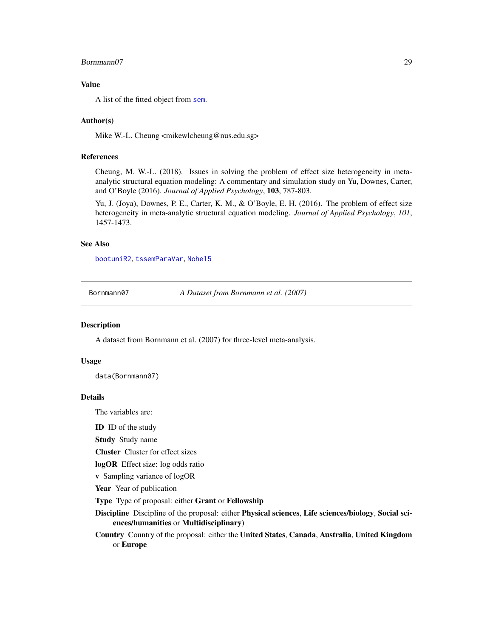#### <span id="page-28-0"></span>Bornmann07 29

# Value

A list of the fitted object from [sem](#page-0-0).

#### Author(s)

Mike W.-L. Cheung <mikewlcheung@nus.edu.sg>

#### References

Cheung, M. W.-L. (2018). Issues in solving the problem of effect size heterogeneity in metaanalytic structural equation modeling: A commentary and simulation study on Yu, Downes, Carter, and O'Boyle (2016). *Journal of Applied Psychology*, 103, 787-803.

Yu, J. (Joya), Downes, P. E., Carter, K. M., & O'Boyle, E. H. (2016). The problem of effect size heterogeneity in meta-analytic structural equation modeling. *Journal of Applied Psychology*, *101*, 1457-1473.

# See Also

[bootuniR2](#page-27-1), [tssemParaVar](#page-119-1), [Nohe15](#page-85-1)

Bornmann07 *A Dataset from Bornmann et al. (2007)*

#### Description

A dataset from Bornmann et al. (2007) for three-level meta-analysis.

# Usage

data(Bornmann07)

#### Details

The variables are:

ID ID of the study

Study Study name

Cluster Cluster for effect sizes

logOR Effect size: log odds ratio

v Sampling variance of logOR

Year Year of publication

Type Type of proposal: either Grant or Fellowship

Discipline Discipline of the proposal: either Physical sciences, Life sciences/biology, Social sciences/humanities or Multidisciplinary)

Country Country of the proposal: either the United States, Canada, Australia, United Kingdom or Europe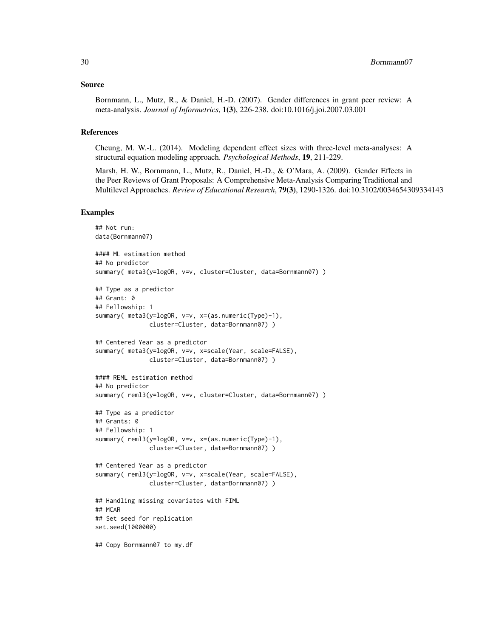# Source

Bornmann, L., Mutz, R., & Daniel, H.-D. (2007). Gender differences in grant peer review: A meta-analysis. *Journal of Informetrics*, 1(3), 226-238. doi:10.1016/j.joi.2007.03.001

# References

Cheung, M. W.-L. (2014). Modeling dependent effect sizes with three-level meta-analyses: A structural equation modeling approach. *Psychological Methods*, 19, 211-229.

Marsh, H. W., Bornmann, L., Mutz, R., Daniel, H.-D., & O'Mara, A. (2009). Gender Effects in the Peer Reviews of Grant Proposals: A Comprehensive Meta-Analysis Comparing Traditional and Multilevel Approaches. *Review of Educational Research*, 79(3), 1290-1326. doi:10.3102/0034654309334143

```
## Not run:
data(Bornmann07)
#### ML estimation method
## No predictor
summary( meta3(y=logOR, v=v, cluster=Cluster, data=Bornmann07) )
## Type as a predictor
## Grant: 0
## Fellowship: 1
summary( meta3(y=logOR, v=v, x=(as.numeric(Type)-1),
               cluster=Cluster, data=Bornmann07) )
## Centered Year as a predictor
summary( meta3(y=logOR, v=v, x=scale(Year, scale=FALSE),
               cluster=Cluster, data=Bornmann07) )
#### REML estimation method
## No predictor
summary( reml3(y=logOR, v=v, cluster=Cluster, data=Bornmann07) )
## Type as a predictor
## Grants: 0
## Fellowship: 1
summary( reml3(y=logOR, v=v, x=(as.numeric(Type)-1),
               cluster=Cluster, data=Bornmann07) )
## Centered Year as a predictor
summary( reml3(y=logOR, v=v, x=scale(Year, scale=FALSE),
               cluster=Cluster, data=Bornmann07) )
## Handling missing covariates with FIML
## MCAR
## Set seed for replication
set.seed(1000000)
## Copy Bornmann07 to my.df
```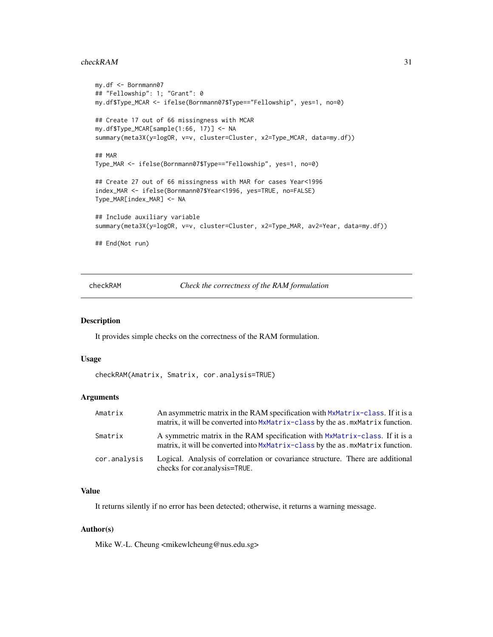#### <span id="page-30-0"></span>checkRAM 31

```
my.df <- Bornmann07
## "Fellowship": 1; "Grant": 0
my.df$Type_MCAR <- ifelse(Bornmann07$Type=="Fellowship", yes=1, no=0)
## Create 17 out of 66 missingness with MCAR
my.df$Type_MCAR[sample(1:66, 17)] <- NA
summary(meta3X(y=logOR, v=v, cluster=Cluster, x2=Type_MCAR, data=my.df))
## MAR
Type_MAR <- ifelse(Bornmann07$Type=="Fellowship", yes=1, no=0)
## Create 27 out of 66 missingness with MAR for cases Year<1996
index_MAR <- ifelse(Bornmann07$Year<1996, yes=TRUE, no=FALSE)
Type_MAR[index_MAR] <- NA
## Include auxiliary variable
summary(meta3X(y=logOR, v=v, cluster=Cluster, x2=Type_MAR, av2=Year, data=my.df))
## End(Not run)
```
<span id="page-30-1"></span>checkRAM *Check the correctness of the RAM formulation*

#### Description

It provides simple checks on the correctness of the RAM formulation.

# Usage

checkRAM(Amatrix, Smatrix, cor.analysis=TRUE)

# Arguments

| Amatrix      | An asymmetric matrix in the RAM specification with MxMatrix-class. If it is a<br>matrix, it will be converted into MxMatrix-class by the as . mxMatrix function. |
|--------------|------------------------------------------------------------------------------------------------------------------------------------------------------------------|
| Smatrix      | A symmetric matrix in the RAM specification with MxMatrix-class. If it is a<br>matrix, it will be converted into MxMatrix-class by the as mxMatrix function.     |
| cor.analysis | Logical. Analysis of correlation or covariance structure. There are additional<br>checks for cortanalysis=TRUE.                                                  |

# Value

It returns silently if no error has been detected; otherwise, it returns a warning message.

# Author(s)

Mike W.-L. Cheung <mikewlcheung@nus.edu.sg>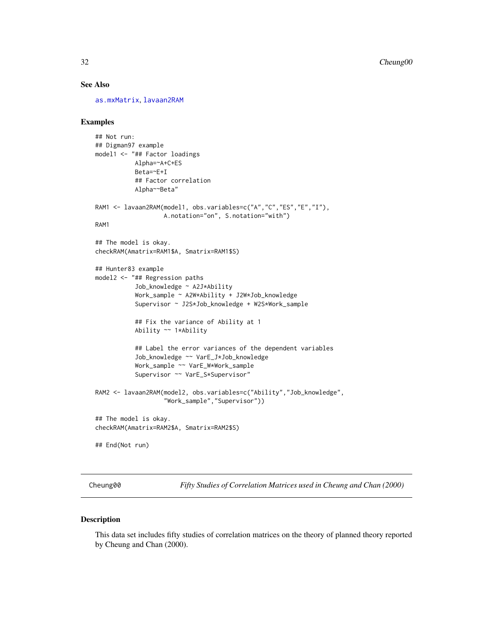# See Also

[as.mxMatrix](#page-8-1), [lavaan2RAM](#page-72-1)

# Examples

```
## Not run:
## Digman97 example
model1 <- "## Factor loadings
          Alpha=~A+C+ES
           Beta=~E+I
           ## Factor correlation
           Alpha~~Beta"
RAM1 <- lavaan2RAM(model1, obs.variables=c("A","C","ES","E","I"),
                   A.notation="on", S.notation="with")
RAM1
## The model is okay.
checkRAM(Amatrix=RAM1$A, Smatrix=RAM1$S)
## Hunter83 example
model2 <- "## Regression paths
           Job_knowledge ~ A2J*Ability
           Work_sample ~ A2W*Ability + J2W*Job_knowledge
           Supervisor ~ J2S*Job_knowledge + W2S*Work_sample
           ## Fix the variance of Ability at 1
           Ability ~~ 1*Ability
           ## Label the error variances of the dependent variables
           Job_knowledge ~~ VarE_J*Job_knowledge
           Work_sample ~~ VarE_W*Work_sample
           Supervisor ~~ VarE_S*Supervisor"
RAM2 <- lavaan2RAM(model2, obs.variables=c("Ability","Job_knowledge",
                   "Work_sample","Supervisor"))
## The model is okay.
checkRAM(Amatrix=RAM2$A, Smatrix=RAM2$S)
## End(Not run)
```
Cheung00 *Fifty Studies of Correlation Matrices used in Cheung and Chan (2000)*

# Description

This data set includes fifty studies of correlation matrices on the theory of planned theory reported by Cheung and Chan (2000).

<span id="page-31-0"></span>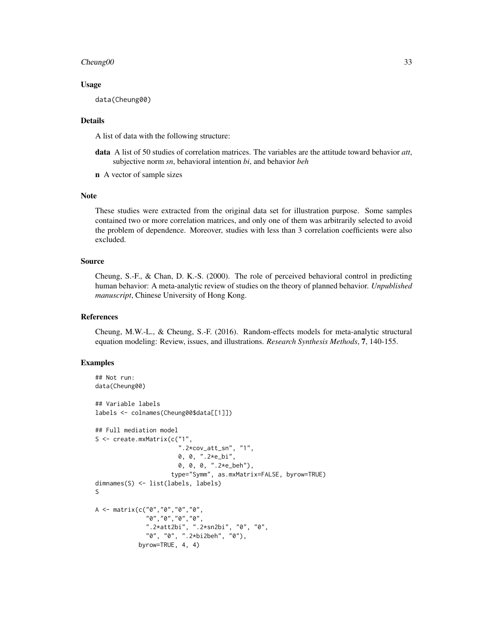# $Cheung 00$  33

#### Usage

data(Cheung00)

# Details

A list of data with the following structure:

- data A list of 50 studies of correlation matrices. The variables are the attitude toward behavior *att*, subjective norm *sn*, behavioral intention *bi*, and behavior *beh*
- n A vector of sample sizes

#### Note

These studies were extracted from the original data set for illustration purpose. Some samples contained two or more correlation matrices, and only one of them was arbitrarily selected to avoid the problem of dependence. Moreover, studies with less than 3 correlation coefficients were also excluded.

# Source

Cheung, S.-F., & Chan, D. K.-S. (2000). The role of perceived behavioral control in predicting human behavior: A meta-analytic review of studies on the theory of planned behavior. *Unpublished manuscript*, Chinese University of Hong Kong.

# References

Cheung, M.W.-L., & Cheung, S.-F. (2016). Random-effects models for meta-analytic structural equation modeling: Review, issues, and illustrations. *Research Synthesis Methods*, 7, 140-155.

```
## Not run:
data(Cheung00)
## Variable labels
labels <- colnames(Cheung00$data[[1]])
## Full mediation model
S <- create.mxMatrix(c("1",
                        ".2*cov_att_sn", "1",
                       0, 0, ".2*e_bi",
                       0, 0, 0, ".2*e_beh"),
                     type="Symm", as.mxMatrix=FALSE, byrow=TRUE)
dimnames(S) <- list(labels, labels)
S
A <- matrix(c("0","0","0","0",
              "0","0","0","0",
              ".2*att2bi", ".2*sn2bi", "0", "0",
              "0", "0", ".2*bi2beh", "0"),
            byrow=TRUE, 4, 4)
```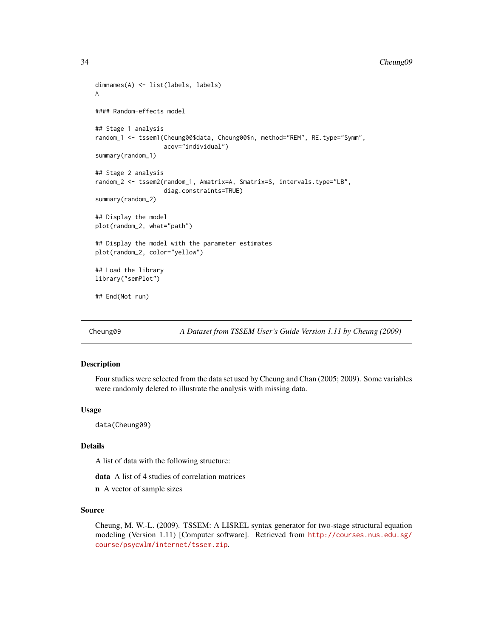#### <span id="page-33-0"></span>34 Cheung09

```
dimnames(A) <- list(labels, labels)
A
#### Random-effects model
## Stage 1 analysis
random_1 <- tssem1(Cheung00$data, Cheung00$n, method="REM", RE.type="Symm",
                   acov="individual")
summary(random_1)
## Stage 2 analysis
random_2 <- tssem2(random_1, Amatrix=A, Smatrix=S, intervals.type="LB",
                   diag.constraints=TRUE)
summary(random_2)
## Display the model
plot(random_2, what="path")
## Display the model with the parameter estimates
plot(random_2, color="yellow")
## Load the library
library("semPlot")
## End(Not run)
```
Cheung09 *A Dataset from TSSEM User's Guide Version 1.11 by Cheung (2009)*

# Description

Four studies were selected from the data set used by Cheung and Chan (2005; 2009). Some variables were randomly deleted to illustrate the analysis with missing data.

# Usage

data(Cheung09)

# Details

A list of data with the following structure:

data A list of 4 studies of correlation matrices

n A vector of sample sizes

# Source

Cheung, M. W.-L. (2009). TSSEM: A LISREL syntax generator for two-stage structural equation modeling (Version 1.11) [Computer software]. Retrieved from [http://courses.nus.edu.sg/](http://courses.nus.edu.sg/course/psycwlm/internet/tssem.zip) [course/psycwlm/internet/tssem.zip](http://courses.nus.edu.sg/course/psycwlm/internet/tssem.zip).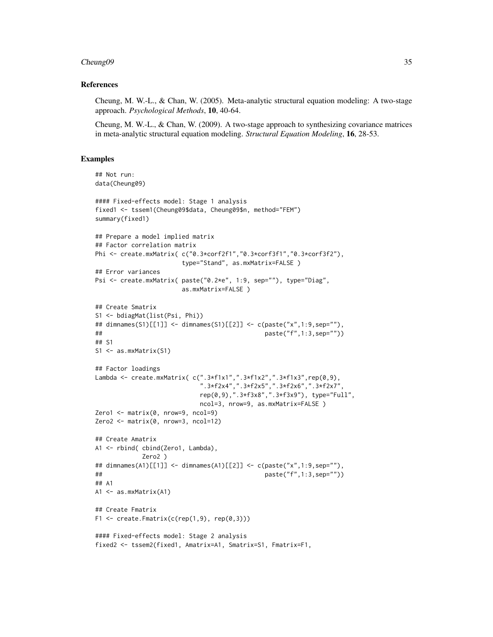### Cheung09 35

#### References

Cheung, M. W.-L., & Chan, W. (2005). Meta-analytic structural equation modeling: A two-stage approach. *Psychological Methods*, 10, 40-64.

Cheung, M. W.-L., & Chan, W. (2009). A two-stage approach to synthesizing covariance matrices in meta-analytic structural equation modeling. *Structural Equation Modeling*, 16, 28-53.

```
## Not run:
data(Cheung09)
#### Fixed-effects model: Stage 1 analysis
fixed1 <- tssem1(Cheung09$data, Cheung09$n, method="FEM")
summary(fixed1)
## Prepare a model implied matrix
## Factor correlation matrix
Phi <- create.mxMatrix( c("0.3*corf2f1","0.3*corf3f1","0.3*corf3f2"),
                      type="Stand", as.mxMatrix=FALSE )
## Error variances
Psi <- create.mxMatrix( paste("0.2*e", 1:9, sep=""), type="Diag",
                      as.mxMatrix=FALSE )
## Create Smatrix
S1 <- bdiagMat(list(Psi, Phi))
## dimnames(S1)[[1]] <- dimnames(S1)[[2]] <- c(paste("x",1:9,sep=""),
## paste("f",1:3,sep=""))
## S1
S1 <- as.mxMatrix(S1)
## Factor loadings
Lambda <- create.mxMatrix( c(".3*f1x1",".3*f1x2",".3*f1x3",rep(0,9),
                           ".3*f2x4",".3*f2x5",".3*f2x6",".3*f2x7",
                           rep(0,9),".3*f3x8",".3*f3x9"), type="Full",
                           ncol=3, nrow=9, as.mxMatrix=FALSE )
Zero1 <- matrix(0, nrow=9, ncol=9)
Zero2 <- matrix(0, nrow=3, ncol=12)
## Create Amatrix
A1 <- rbind( cbind(Zero1, Lambda),
            Zero2 )
## dimnames(A1)[[1]] <- dimnames(A1)[[2]] <- c(paste("x",1:9,sep=""),
## paste("f",1:3,sep=""))
## A1
A1 <- as.mxMatrix(A1)
## Create Fmatrix
F1 \le create. Fmatrix(c(rep(1,9), rep(0,3)))
#### Fixed-effects model: Stage 2 analysis
fixed2 <- tssem2(fixed1, Amatrix=A1, Smatrix=S1, Fmatrix=F1,
```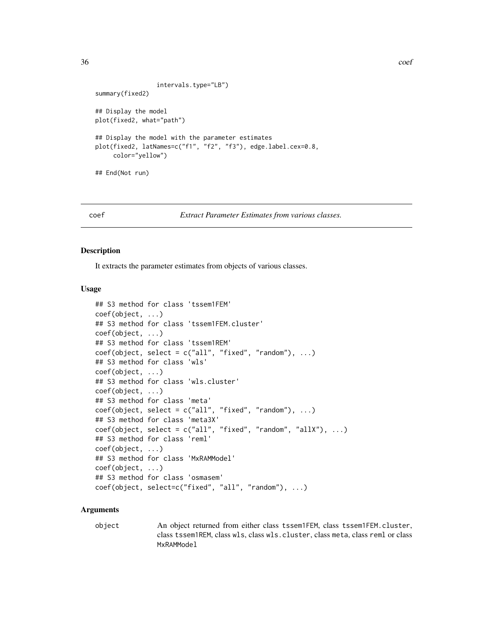```
36 coef
```

```
intervals.type="LB")
summary(fixed2)
## Display the model
plot(fixed2, what="path")
## Display the model with the parameter estimates
plot(fixed2, latNames=c("f1", "f2", "f3"), edge.label.cex=0.8,
     color="yellow")
## End(Not run)
```
coef *Extract Parameter Estimates from various classes.*

#### Description

It extracts the parameter estimates from objects of various classes.

# Usage

```
## S3 method for class 'tssem1FEM'
coef(object, ...)
## S3 method for class 'tssem1FEM.cluster'
coef(object, ...)
## S3 method for class 'tssem1REM'
coef(object, select = c("all", "fixed", "random"), ...)## S3 method for class 'wls'
coef(object, ...)
## S3 method for class 'wls.cluster'
coef(object, ...)
## S3 method for class 'meta'
coef(object, select = c("all", "fixed", "random"), ...)## S3 method for class 'meta3X'
coef(object, select = c("all", "fixed", "random", "allX"), ...)## S3 method for class 'reml'
coef(object, ...)
## S3 method for class 'MxRAMModel'
coef(object, ...)
## S3 method for class 'osmasem'
coef(object, select=c("fixed", "all", "random"), ...)
```
# Arguments

object An object returned from either class tssem1FEM, class tssem1FEM.cluster, class tssem1REM, class wls, class wls.cluster, class meta, class reml or class MxRAMModel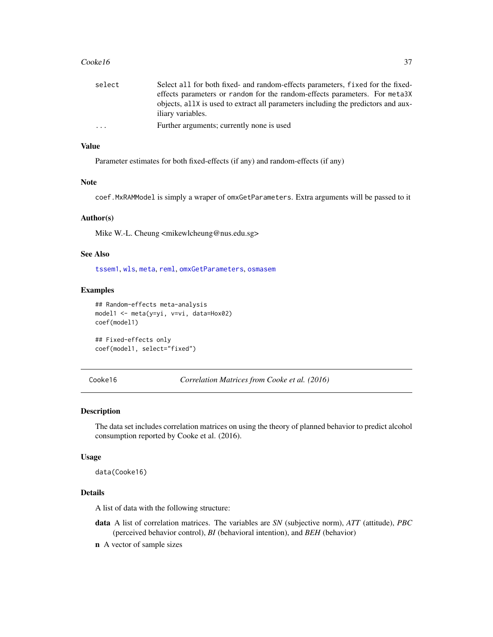#### $\text{Cooke16}$  37

| select                  | Select all for both fixed- and random-effects parameters, fixed for the fixed-   |
|-------------------------|----------------------------------------------------------------------------------|
|                         | effects parameters or random for the random-effects parameters. For meta3X       |
|                         | objects, all is used to extract all parameters including the predictors and aux- |
|                         | iliary variables.                                                                |
| $\cdot$ $\cdot$ $\cdot$ | Further arguments; currently none is used                                        |
|                         |                                                                                  |

### Value

Parameter estimates for both fixed-effects (if any) and random-effects (if any)

### Note

coef.MxRAMModel is simply a wraper of omxGetParameters. Extra arguments will be passed to it

### Author(s)

Mike W.-L. Cheung <mikewlcheung@nus.edu.sg>

## See Also

[tssem1](#page-117-0), [wls](#page-127-0), [meta](#page-77-0), [reml](#page-102-0), [omxGetParameters](#page-0-0), [osmasem](#page-89-0)

### Examples

```
## Random-effects meta-analysis
model1 <- meta(y=yi, v=vi, data=Hox02)
coef(model1)
```

```
## Fixed-effects only
coef(model1, select="fixed")
```
Cooke16 *Correlation Matrices from Cooke et al. (2016)*

## Description

The data set includes correlation matrices on using the theory of planned behavior to predict alcohol consumption reported by Cooke et al. (2016).

#### Usage

data(Cooke16)

#### Details

A list of data with the following structure:

- data A list of correlation matrices. The variables are *SN* (subjective norm), *ATT* (attitude), *PBC* (perceived behavior control), *BI* (behavioral intention), and *BEH* (behavior)
- n A vector of sample sizes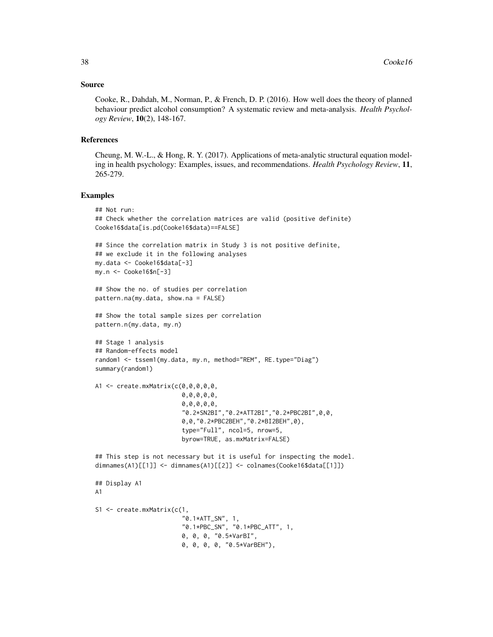### Source

Cooke, R., Dahdah, M., Norman, P., & French, D. P. (2016). How well does the theory of planned behaviour predict alcohol consumption? A systematic review and meta-analysis. *Health Psychology Review*, 10(2), 148-167.

#### References

Cheung, M. W.-L., & Hong, R. Y. (2017). Applications of meta-analytic structural equation modeling in health psychology: Examples, issues, and recommendations. *Health Psychology Review*, 11, 265-279.

```
## Not run:
## Check whether the correlation matrices are valid (positive definite)
Cooke16$data[is.pd(Cooke16$data)==FALSE]
## Since the correlation matrix in Study 3 is not positive definite,
## we exclude it in the following analyses
my.data <- Cooke16$data[-3]
my.n <- Cooke16$n[-3]
## Show the no. of studies per correlation
pattern.na(my.data, show.na = FALSE)
## Show the total sample sizes per correlation
pattern.n(my.data, my.n)
## Stage 1 analysis
## Random-effects model
random1 <- tssem1(my.data, my.n, method="REM", RE.type="Diag")
summary(random1)
A1 <- create.mxMatrix(c(0,0,0,0,0,
                        0,0,0,0,0,
                        0,0,0,0,0,
                        "0.2*SN2BI","0.2*ATT2BI","0.2*PBC2BI",0,0,
                        0,0,"0.2*PBC2BEH","0.2*BI2BEH",0),
                        type="Full", ncol=5, nrow=5,
                        byrow=TRUE, as.mxMatrix=FALSE)
## This step is not necessary but it is useful for inspecting the model.
dimnames(A1)[[1]] <- dimnames(A1)[[2]] <- colnames(Cooke16$data[[1]])
## Display A1
A1
S1 <- create.mxMatrix(c(1,
                        "0.1*ATT_SN", 1,
                        "0.1*PBC_SN", "0.1*PBC_ATT", 1,
                        0, 0, 0, "0.5*VarBI",
                        0, 0, 0, 0, "0.5*VarBEH"),
```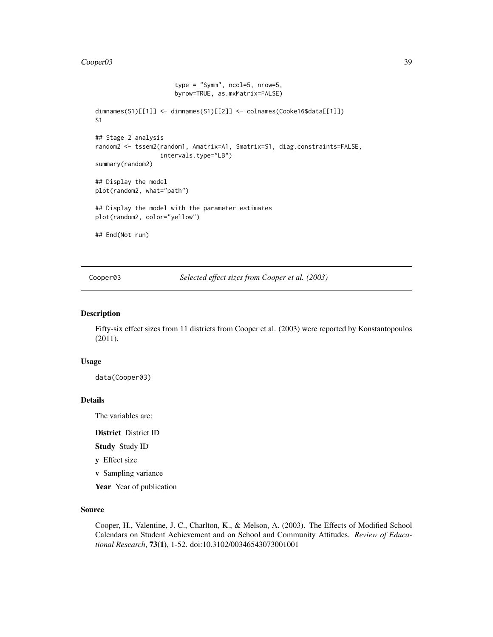#### Cooper03 39

```
type = "Symm", ncol=5, nrow=5,
                      byrow=TRUE, as.mxMatrix=FALSE)
dimnames(S1)[[1]] <- dimnames(S1)[[2]] <- colnames(Cooke16$data[[1]])
S1
## Stage 2 analysis
random2 <- tssem2(random1, Amatrix=A1, Smatrix=S1, diag.constraints=FALSE,
                  intervals.type="LB")
summary(random2)
## Display the model
plot(random2, what="path")
## Display the model with the parameter estimates
plot(random2, color="yellow")
## End(Not run)
```
Cooper03 *Selected effect sizes from Cooper et al. (2003)*

## Description

Fifty-six effect sizes from 11 districts from Cooper et al. (2003) were reported by Konstantopoulos (2011).

## Usage

data(Cooper03)

## Details

The variables are:

District District ID

Study Study ID

y Effect size

v Sampling variance

Year Year of publication

### Source

Cooper, H., Valentine, J. C., Charlton, K., & Melson, A. (2003). The Effects of Modified School Calendars on Student Achievement and on School and Community Attitudes. *Review of Educational Research*, 73(1), 1-52. doi:10.3102/00346543073001001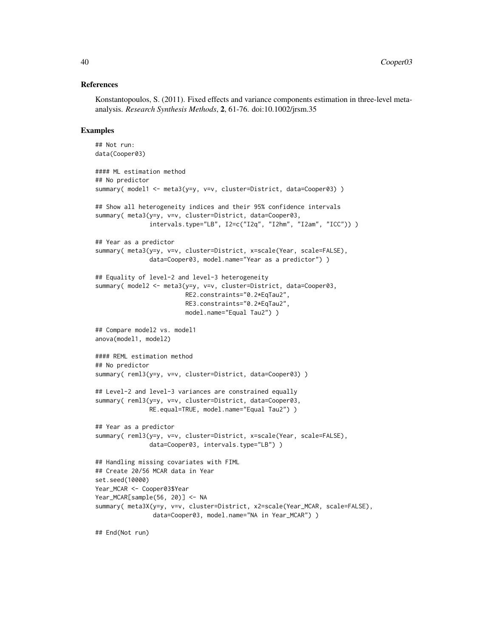## References

Konstantopoulos, S. (2011). Fixed effects and variance components estimation in three-level metaanalysis. *Research Synthesis Methods*, 2, 61-76. doi:10.1002/jrsm.35

```
## Not run:
data(Cooper03)
#### ML estimation method
## No predictor
summary( model1 <- meta3(y=y, v=v, cluster=District, data=Cooper03) )
## Show all heterogeneity indices and their 95% confidence intervals
summary( meta3(y=y, v=v, cluster=District, data=Cooper03,
               intervals.type="LB", I2=c("I2q", "I2hm", "I2am", "ICC")) )
## Year as a predictor
summary( meta3(y=y, v=v, cluster=District, x=scale(Year, scale=FALSE),
               data=Cooper03, model.name="Year as a predictor") )
## Equality of level-2 and level-3 heterogeneity
summary( model2 <- meta3(y=y, v=v, cluster=District, data=Cooper03,
                         RE2.constraints="0.2*EqTau2",
                         RE3.constraints="0.2*EqTau2",
                         model.name="Equal Tau2") )
## Compare model2 vs. model1
anova(model1, model2)
#### REML estimation method
## No predictor
summary( reml3(y=y, v=v, cluster=District, data=Cooper03) )
## Level-2 and level-3 variances are constrained equally
summary( reml3(y=y, v=v, cluster=District, data=Cooper03,
              RE.equal=TRUE, model.name="Equal Tau2") )
## Year as a predictor
summary( reml3(y=y, v=v, cluster=District, x=scale(Year, scale=FALSE),
               data=Cooper03, intervals.type="LB") )
## Handling missing covariates with FIML
## Create 20/56 MCAR data in Year
set.seed(10000)
Year_MCAR <- Cooper03$Year
Year_MCAR[sample(56, 20)] <- NA
summary( meta3X(y=y, v=v, cluster=District, x2=scale(Year_MCAR, scale=FALSE),
                data=Cooper03, model.name="NA in Year_MCAR") )
```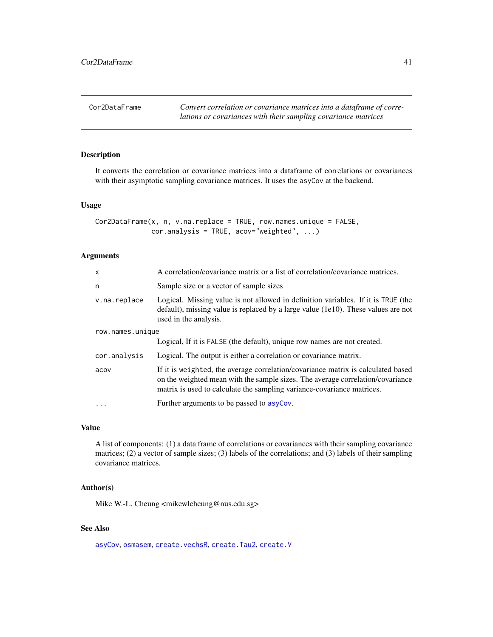Cor2DataFrame *Convert correlation or covariance matrices into a dataframe of correlations or covariances with their sampling covariance matrices*

## Description

It converts the correlation or covariance matrices into a dataframe of correlations or covariances with their asymptotic sampling covariance matrices. It uses the asyCov at the backend.

#### Usage

```
Cor2DataFrame(x, n, v.na.replace = TRUE, row.names.unique = FALSE,cor.analysis = TRUE, acov="weighted", ...)
```
### Arguments

| $\mathsf{x}$     | A correlation/covariance matrix or a list of correlation/covariance matrices.                                                                                                                                                                |
|------------------|----------------------------------------------------------------------------------------------------------------------------------------------------------------------------------------------------------------------------------------------|
| n                | Sample size or a vector of sample sizes                                                                                                                                                                                                      |
| v.na.replace     | Logical. Missing value is not allowed in definition variables. If it is TRUE (the<br>$default$ , missing value is replaced by a large value (1e10). These values are not<br>used in the analysis.                                            |
| row.names.unique |                                                                                                                                                                                                                                              |
|                  | Logical, If it is FALSE (the default), unique row names are not created.                                                                                                                                                                     |
| cor.analysis     | Logical. The output is either a correlation or covariance matrix.                                                                                                                                                                            |
| acov             | If it is weighted, the average correlation/covariance matrix is calculated based<br>on the weighted mean with the sample sizes. The average correlation/covariance<br>matrix is used to calculate the sampling variance-covariance matrices. |
|                  | Further arguments to be passed to asyCov.                                                                                                                                                                                                    |

## Value

A list of components: (1) a data frame of correlations or covariances with their sampling covariance matrices; (2) a vector of sample sizes; (3) labels of the correlations; and (3) labels of their sampling covariance matrices.

### Author(s)

Mike W.-L. Cheung <mikewlcheung@nus.edu.sg>

## See Also

[asyCov](#page-9-0), [osmasem](#page-89-0), [create.vechsR](#page-48-0), [create.Tau2](#page-45-0), [create.V](#page-47-0)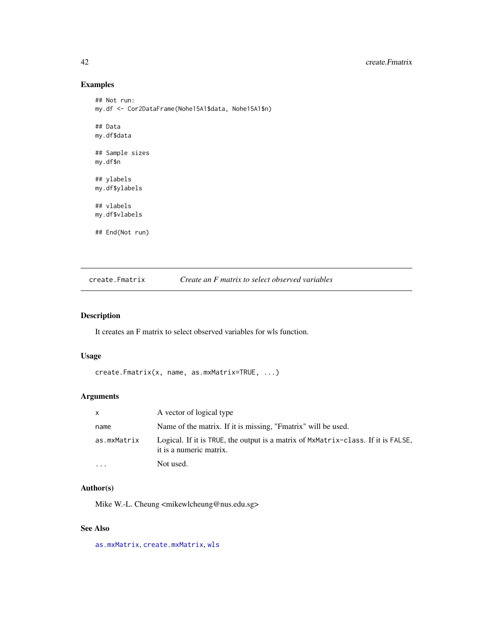## Examples

```
## Not run:
my.df <- Cor2DataFrame(Nohe15A1$data, Nohe15A1$n)
## Data
my.df$data
## Sample sizes
my.df$n
## ylabels
my.df$ylabels
## vlabels
my.df$vlabels
## End(Not run)
```
<span id="page-41-0"></span>create.Fmatrix *Create an F matrix to select observed variables*

## Description

It creates an F matrix to select observed variables for wls function.

## Usage

```
create.Fmatrix(x, name, as.mxMatrix=TRUE, ...)
```
## Arguments

| $\mathsf{x}$            | A vector of logical type                                                                                     |
|-------------------------|--------------------------------------------------------------------------------------------------------------|
| name                    | Name of the matrix. If it is missing, "Fmatrix" will be used.                                                |
| as.mxMatrix             | Logical. If it is TRUE, the output is a matrix of MxMatrix-class. If it is FALSE,<br>it is a numeric matrix. |
| $\cdot$ $\cdot$ $\cdot$ | Not used.                                                                                                    |

## Author(s)

Mike W.-L. Cheung <mikewlcheung@nus.edu.sg>

## See Also

[as.mxMatrix](#page-8-0), [create.mxMatrix](#page-42-0), [wls](#page-127-0)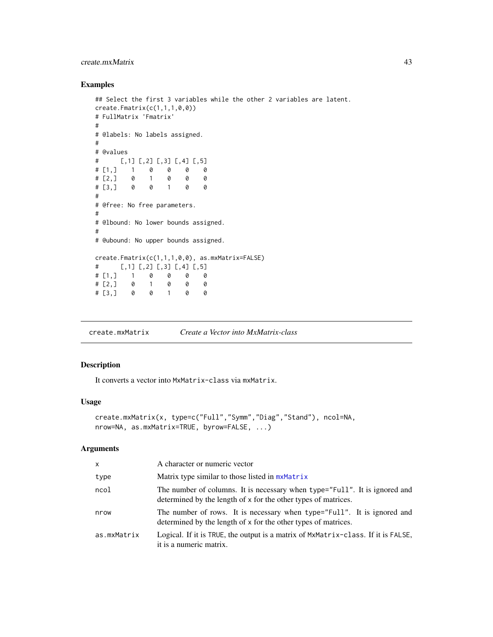## create.mxMatrix 43

## Examples

```
## Select the first 3 variables while the other 2 variables are latent.
create.Fmatrix(c(1,1,1,0,0))
# FullMatrix 'Fmatrix'
#
# @labels: No labels assigned.
#
# @values
# [,1] [,2] [,3] [,4] [,5]
# [1,] 1 0 0 0 0
# [2,] 0 1 0 0 0
# [2, 1 0 1 0 0 0<br># [3, 1 0 0 1 0 0#
# @free: No free parameters.
#
# @lbound: No lower bounds assigned.
#
# @ubound: No upper bounds assigned.
create.Fmatrix(c(1,1,1,0,0), as.mxMatrix=FALSE)
# [,1] [,2] [,3] [,4] [,5]
# [1,] 1 0 0 0 0
# [2,] 0 1 0 0 0
# [3,] 0 0 1 0 0
```
<span id="page-42-0"></span>create.mxMatrix *Create a Vector into MxMatrix-class*

## Description

It converts a vector into MxMatrix-class via mxMatrix.

## Usage

```
create.mxMatrix(x, type=c("Full","Symm","Diag","Stand"), ncol=NA,
nrow=NA, as.mxMatrix=TRUE, byrow=FALSE, ...)
```
## Arguments

| X           | A character or numeric vector                                                                                                                |
|-------------|----------------------------------------------------------------------------------------------------------------------------------------------|
| type        | Matrix type similar to those listed in mxMatrix                                                                                              |
| ncol        | The number of columns. It is necessary when type="Full". It is ignored and<br>determined by the length of x for the other types of matrices. |
| nrow        | The number of rows. It is necessary when type="Full". It is ignored and<br>determined by the length of x for the other types of matrices.    |
| as.mxMatrix | Logical. If it is TRUE, the output is a matrix of MxMatrix-class. If it is FALSE,<br>it is a numeric matrix.                                 |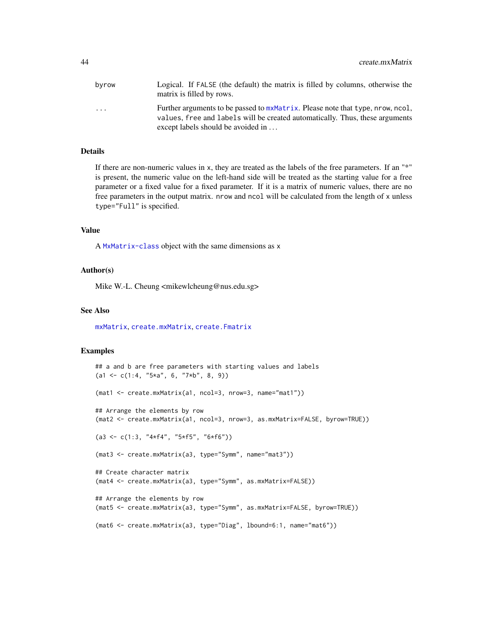| byrow                   | Logical. If FALSE (the default) the matrix is filled by columns, otherwise the<br>matrix is filled by rows.                                                    |
|-------------------------|----------------------------------------------------------------------------------------------------------------------------------------------------------------|
| $\cdot$ $\cdot$ $\cdot$ | Further arguments to be passed to mxMatrix. Please note that type, nrow, ncol,<br>values, free and labels will be created automatically. Thus, these arguments |
|                         | except labels should be avoided in                                                                                                                             |

## Details

If there are non-numeric values in x, they are treated as the labels of the free parameters. If an "\*" is present, the numeric value on the left-hand side will be treated as the starting value for a free parameter or a fixed value for a fixed parameter. If it is a matrix of numeric values, there are no free parameters in the output matrix. nrow and ncol will be calculated from the length of x unless type="Full" is specified.

## Value

A [MxMatrix-class](#page-0-0) object with the same dimensions as x

### Author(s)

Mike W.-L. Cheung <mikewlcheung@nus.edu.sg>

## See Also

[mxMatrix](#page-0-0), [create.mxMatrix](#page-42-0), [create.Fmatrix](#page-41-0)

```
## a and b are free parameters with starting values and labels
(a1 \leq c(1:4, "5*a", 6, "7*b", 8, 9))(mat1 <- create.mxMatrix(a1, ncol=3, nrow=3, name="mat1"))
## Arrange the elements by row
(mat2 <- create.mxMatrix(a1, ncol=3, nrow=3, as.mxMatrix=FALSE, byrow=TRUE))
(a3 \leq c(1:3, '4*f4', '5*f5', '6*f6"))(mat3 <- create.mxMatrix(a3, type="Symm", name="mat3"))
## Create character matrix
(mat4 <- create.mxMatrix(a3, type="Symm", as.mxMatrix=FALSE))
## Arrange the elements by row
(mat5 <- create.mxMatrix(a3, type="Symm", as.mxMatrix=FALSE, byrow=TRUE))
(mat6 <- create.mxMatrix(a3, type="Diag", lbound=6:1, name="mat6"))
```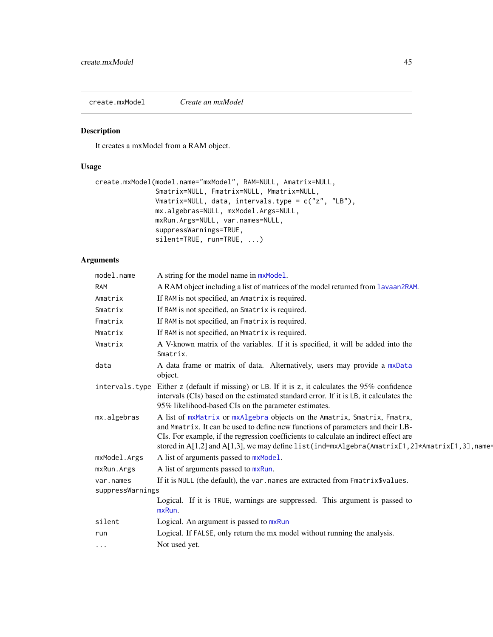create.mxModel *Create an mxModel*

## Description

It creates a mxModel from a RAM object.

### Usage

```
create.mxModel(model.name="mxModel", RAM=NULL, Amatrix=NULL,
               Smatrix=NULL, Fmatrix=NULL, Mmatrix=NULL,
               Vmatrix=NULL, data, intervals.type = c("z", "LB"),
               mx.algebras=NULL, mxModel.Args=NULL,
               mxRun.Args=NULL, var.names=NULL,
               suppressWarnings=TRUE,
               silent=TRUE, run=TRUE, ...)
```
## Arguments

| model.name                    | A string for the model name in mxModel.                                                                                                                                                                                                                                                                                                                    |
|-------------------------------|------------------------------------------------------------------------------------------------------------------------------------------------------------------------------------------------------------------------------------------------------------------------------------------------------------------------------------------------------------|
| RAM                           | A RAM object including a list of matrices of the model returned from lavaan2RAM.                                                                                                                                                                                                                                                                           |
| Amatrix                       | If RAM is not specified, an Amatrix is required.                                                                                                                                                                                                                                                                                                           |
| Smatrix                       | If RAM is not specified, an Smatrix is required.                                                                                                                                                                                                                                                                                                           |
| Fmatrix                       | If RAM is not specified, an Fmatrix is required.                                                                                                                                                                                                                                                                                                           |
| Mmatrix                       | If RAM is not specified, an Mmatrix is required.                                                                                                                                                                                                                                                                                                           |
| Vmatrix                       | A V-known matrix of the variables. If it is specified, it will be added into the<br>Smatrix.                                                                                                                                                                                                                                                               |
| data                          | A data frame or matrix of data. Alternatively, users may provide a mxData<br>object.                                                                                                                                                                                                                                                                       |
|                               | intervals. type Either z (default if missing) or LB. If it is z, it calculates the 95% confidence<br>intervals (CIs) based on the estimated standard error. If it is LB, it calculates the<br>95% likelihood-based CIs on the parameter estimates.                                                                                                         |
| mx.algebras                   | A list of mxMatrix or mxAlgebra objects on the Amatrix, Smatrix, Fmatrx,<br>and Mmatrix. It can be used to define new functions of parameters and their LB-<br>CIs. For example, if the regression coefficients to calculate an indirect effect are<br>stored in $A[1,2]$ and $A[1,3]$ , we may define list(ind=mxAlgebra(Amatrix[1,2]*Amatrix[1,3], name= |
| mxModel.Args                  | A list of arguments passed to mxModel.                                                                                                                                                                                                                                                                                                                     |
| mxRun.Args                    | A list of arguments passed to mxRun.                                                                                                                                                                                                                                                                                                                       |
| var.names<br>suppressWarnings | If it is NULL (the default), the var. names are extracted from Fmatrix\$values.                                                                                                                                                                                                                                                                            |
|                               | Logical. If it is TRUE, warnings are suppressed. This argument is passed to<br>mxRun.                                                                                                                                                                                                                                                                      |
| silent                        | Logical. An argument is passed to mxRun                                                                                                                                                                                                                                                                                                                    |
| run                           | Logical. If FALSE, only return the mx model without running the analysis.                                                                                                                                                                                                                                                                                  |
| $\cdots$                      | Not used yet.                                                                                                                                                                                                                                                                                                                                              |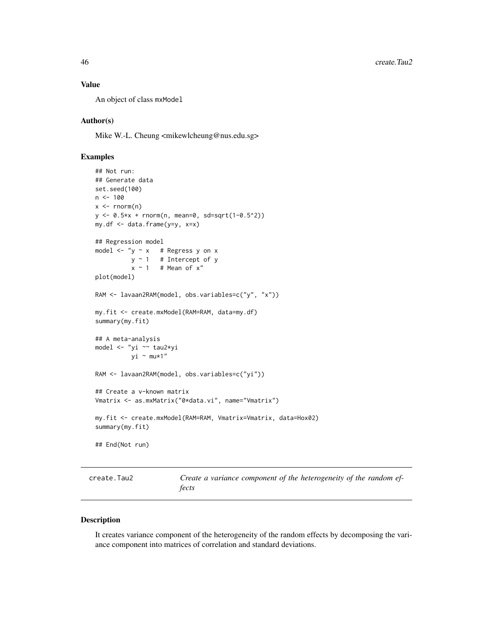## Value

An object of class mxModel

## Author(s)

Mike W.-L. Cheung <mikewlcheung@nus.edu.sg>

## Examples

```
## Not run:
## Generate data
set.seed(100)
n < -100x \le - rnorm(n)
y <- 0.5*x + rnorm(n, mean=0, sd=sqrt(1-0.5^2))
my.df <- data.frame(y=y, x=x)
## Regression model
model \leftarrow "y \sim x # Regress y on x
          y \sim 1 # Intercept of y
          x \sim 1 # Mean of x''plot(model)
RAM <- lavaan2RAM(model, obs.variables=c("y", "x"))
my.fit <- create.mxModel(RAM=RAM, data=my.df)
summary(my.fit)
## A meta-analysis
model <- "yi ~~ tau2*yi
          yi ~ mu*1"
RAM <- lavaan2RAM(model, obs.variables=c("yi"))
## Create a v-known matrix
Vmatrix <- as.mxMatrix("0*data.vi", name="Vmatrix")
my.fit <- create.mxModel(RAM=RAM, Vmatrix=Vmatrix, data=Hox02)
summary(my.fit)
## End(Not run)
```
<span id="page-45-0"></span>create.Tau2 *Create a variance component of the heterogeneity of the random effects*

### Description

It creates variance component of the heterogeneity of the random effects by decomposing the variance component into matrices of correlation and standard deviations.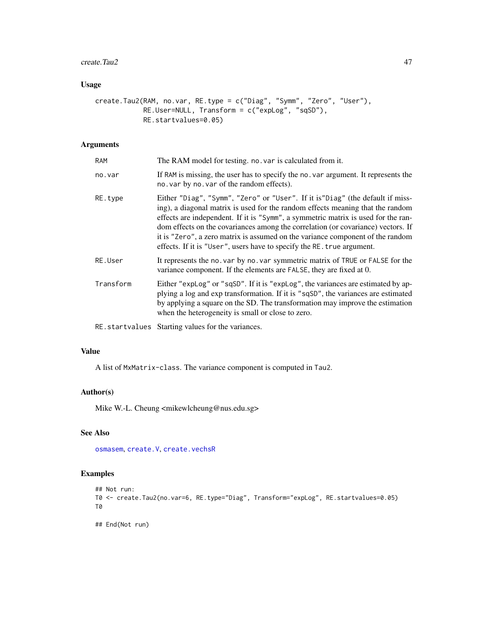#### $\text{create,Tau2}$  and  $\text{true}$  47

# Usage

```
create.Tau2(RAM, no.var, RE.type = c("Diag", "Symm", "Zero", "User"),
            RE.User=NULL, Transform = c("expLog", "sqSD"),
            RE.startvalues=0.05)
```
## Arguments

| <b>RAM</b> | The RAM model for testing. no. var is calculated from it.                                                                                                                                                                                                                                                                                                                                                                                                                                             |
|------------|-------------------------------------------------------------------------------------------------------------------------------------------------------------------------------------------------------------------------------------------------------------------------------------------------------------------------------------------------------------------------------------------------------------------------------------------------------------------------------------------------------|
| no.var     | If RAM is missing, the user has to specify the no. var argument. It represents the<br>no. var by no. var of the random effects).                                                                                                                                                                                                                                                                                                                                                                      |
| RE.type    | Either "Diag", "Symm", "Zero" or "User". If it is "Diag" (the default if miss-<br>ing), a diagonal matrix is used for the random effects meaning that the random<br>effects are independent. If it is "Symm", a symmetric matrix is used for the ran-<br>dom effects on the covariances among the correlation (or covariance) vectors. If<br>it is "Zero", a zero matrix is assumed on the variance component of the random<br>effects. If it is "User", users have to specify the RE. true argument. |
| RE.User    | It represents the no. var by no. var symmetric matrix of TRUE or FALSE for the<br>variance component. If the elements are FALSE, they are fixed at 0.                                                                                                                                                                                                                                                                                                                                                 |
| Transform  | Either "explog" or "sqSD". If it is "explog", the variances are estimated by ap-<br>plying a log and exp transformation. If it is "sqSD", the variances are estimated<br>by applying a square on the SD. The transformation may improve the estimation<br>when the heterogeneity is small or close to zero.                                                                                                                                                                                           |
|            |                                                                                                                                                                                                                                                                                                                                                                                                                                                                                                       |

RE.startvalues Starting values for the variances.

## Value

A list of MxMatrix-class. The variance component is computed in Tau2.

## Author(s)

Mike W.-L. Cheung <mikewlcheung@nus.edu.sg>

## See Also

[osmasem](#page-89-0), [create.V](#page-47-0), [create.vechsR](#page-48-0)

# Examples

```
## Not run:
T0 <- create.Tau2(no.var=6, RE.type="Diag", Transform="expLog", RE.startvalues=0.05)
T0
```
## End(Not run)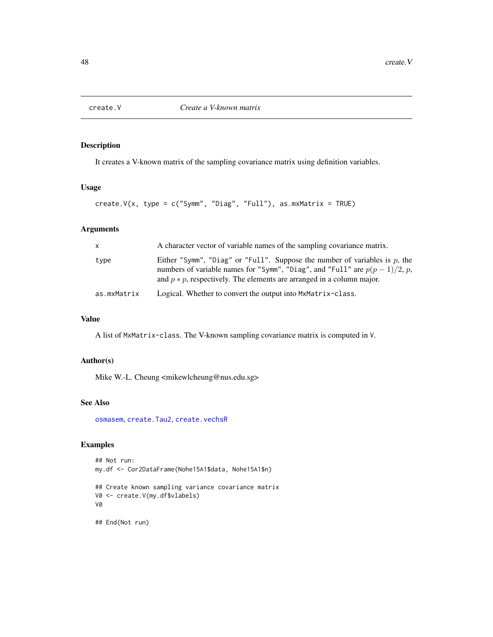<span id="page-47-0"></span>

## Description

It creates a V-known matrix of the sampling covariance matrix using definition variables.

## Usage

```
create.V(x, type = c("Symm", "Diag", "Full"), as.mxMatrix = TRUE)
```
## Arguments

| $\mathsf{X}$ | A character vector of variable names of the sampling covariance matrix.                                                                                                                                                                |
|--------------|----------------------------------------------------------------------------------------------------------------------------------------------------------------------------------------------------------------------------------------|
| type         | Either "Symm", "Diag" or "Full". Suppose the number of variables is p, the<br>numbers of variable names for "Symm", "Diag", and "Full" are $p(p-1)/2$ , p,<br>and $p * p$ , respectively. The elements are arranged in a column major. |
| as.mxMatrix  | Logical. Whether to convert the output into MxMatrix-class.                                                                                                                                                                            |

## Value

A list of MxMatrix-class. The V-known sampling covariance matrix is computed in V.

### Author(s)

Mike W.-L. Cheung <mikewlcheung@nus.edu.sg>

# See Also

[osmasem](#page-89-0), [create.Tau2](#page-45-0), [create.vechsR](#page-48-0)

## Examples

```
## Not run:
my.df <- Cor2DataFrame(Nohe15A1$data, Nohe15A1$n)
## Create known sampling variance covariance matrix
V0 <- create.V(my.df$vlabels)
V0
```
## End(Not run)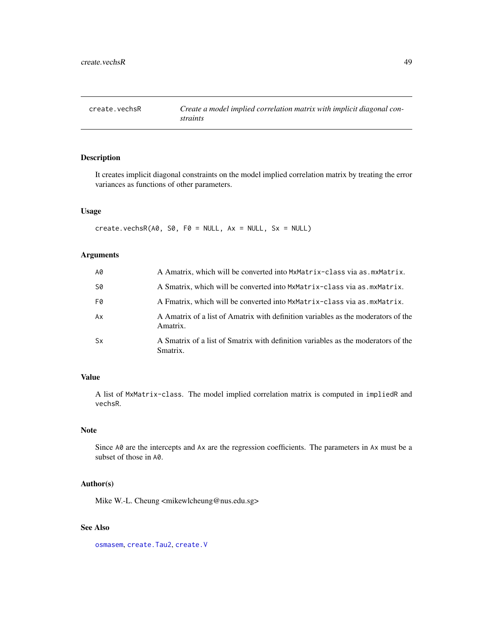<span id="page-48-0"></span>

## Description

It creates implicit diagonal constraints on the model implied correlation matrix by treating the error variances as functions of other parameters.

## Usage

create.vechsR( $A\emptyset$ , S $\emptyset$ , F $\emptyset$  = NULL, Ax = NULL, Sx = NULL)

# Arguments

| A0        | A Amatrix, which will be converted into MxMatrix-class via as. mxMatrix.                      |
|-----------|-----------------------------------------------------------------------------------------------|
| S0        | A Smatrix, which will be converted into $Mx$ Matrix-class via as $mx$ Matrix.                 |
| F0        | A Fmatrix, which will be converted into MxMatrix-class via as mxMatrix.                       |
| Ax        | A Amatrix of a list of Amatrix with definition variables as the moderators of the<br>Amatrix. |
| <b>Sx</b> | A Smatrix of a list of Smatrix with definition variables as the moderators of the<br>Smatrix. |

# Value

A list of MxMatrix-class. The model implied correlation matrix is computed in impliedR and vechsR.

# Note

Since A0 are the intercepts and Ax are the regression coefficients. The parameters in Ax must be a subset of those in A0.

## Author(s)

Mike W.-L. Cheung <mikewlcheung@nus.edu.sg>

# See Also

[osmasem](#page-89-0), [create.Tau2](#page-45-0), [create.V](#page-47-0)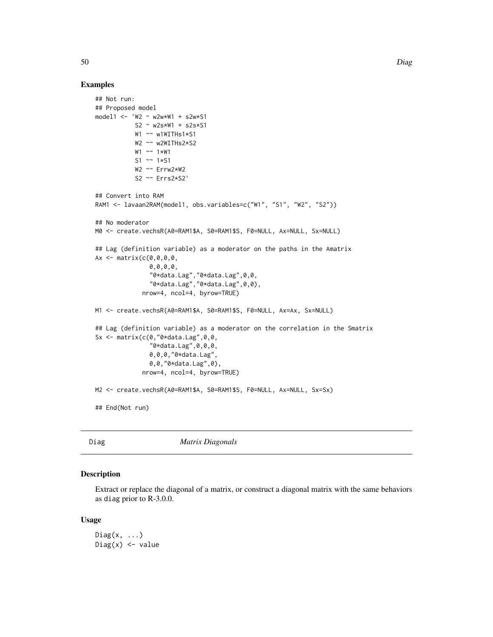### Examples

```
## Not run:
## Proposed model
model1 <- 'W2 ~ w2w*W1 + s2w*S1
           S2 \sim W2s*W1 + s2s*S1W1 ~~ w1WITHs1*S1
           W2 ~~ w2WITHs2*S2
           W1 ~~ 1*W1
           S1 \sim 1*S1
           W2 ~~ Errw2*W2
           S2 ~~ Errs2*S2'
## Convert into RAM
RAM1 <- lavaan2RAM(model1, obs.variables=c("W1", "S1", "W2", "S2"))
## No moderator
M0 <- create.vechsR(A0=RAM1$A, S0=RAM1$S, F0=NULL, Ax=NULL, Sx=NULL)
## Lag (definition variable) as a moderator on the paths in the Amatrix
Ax \leftarrow matrix(c(0, 0, 0, 0, 0, 0)0,0,0,0,
               "0*data.Lag","0*data.Lag",0,0,
                "0*data.Lag","0*data.Lag",0,0),
              nrow=4, ncol=4, byrow=TRUE)
M1 <- create.vechsR(A0=RAM1$A, S0=RAM1$S, F0=NULL, Ax=Ax, Sx=NULL)
## Lag (definition variable) as a moderator on the correlation in the Smatrix
Sx \leq matrix(c(0,"0*data.Lag",0,0,
               "0*data.Lag",0,0,0,
               0,0,0,"0*data.Lag",
               0,0,"0*data.Lag",0),
             nrow=4, ncol=4, byrow=TRUE)
M2 <- create.vechsR(A0=RAM1$A, S0=RAM1$S, F0=NULL, Ax=NULL, Sx=Sx)
## End(Not run)
```
Diag *Matrix Diagonals*

#### Description

Extract or replace the diagonal of a matrix, or construct a diagonal matrix with the same behaviors as diag prior to R-3.0.0.

#### Usage

```
Diag(x, \ldots)Diag(x) <- value
```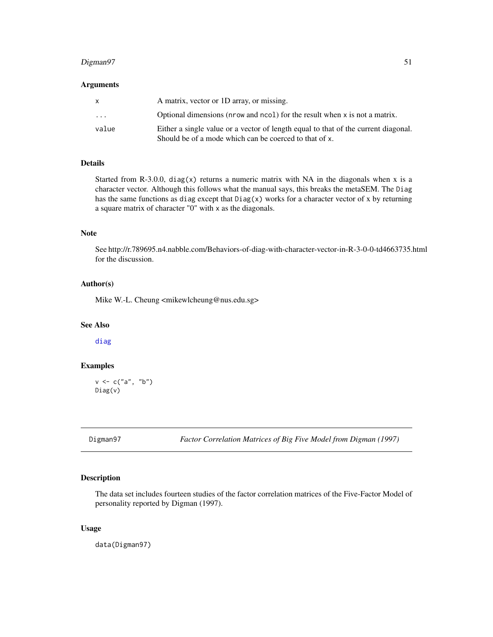## Digman97 51

#### Arguments

|                         | A matrix, vector or 1D array, or missing.                                                                                                    |
|-------------------------|----------------------------------------------------------------------------------------------------------------------------------------------|
| $\cdot$ $\cdot$ $\cdot$ | Optional dimensions (nrow and ncol) for the result when x is not a matrix.                                                                   |
| value                   | Either a single value or a vector of length equal to that of the current diagonal.<br>Should be of a mode which can be coerced to that of x. |

## Details

Started from R-3.0.0, diag(x) returns a numeric matrix with NA in the diagonals when x is a character vector. Although this follows what the manual says, this breaks the metaSEM. The Diag has the same functions as diag except that  $Diag(x)$  works for a character vector of x by returning a square matrix of character "0" with x as the diagonals.

## Note

See http://r.789695.n4.nabble.com/Behaviors-of-diag-with-character-vector-in-R-3-0-0-td4663735.html for the discussion.

### Author(s)

Mike W.-L. Cheung <mikewlcheung@nus.edu.sg>

### See Also

[diag](#page-0-0)

## Examples

```
v \leq c("a", "b")Diag(v)
```
Digman97 *Factor Correlation Matrices of Big Five Model from Digman (1997)*

## Description

The data set includes fourteen studies of the factor correlation matrices of the Five-Factor Model of personality reported by Digman (1997).

### Usage

data(Digman97)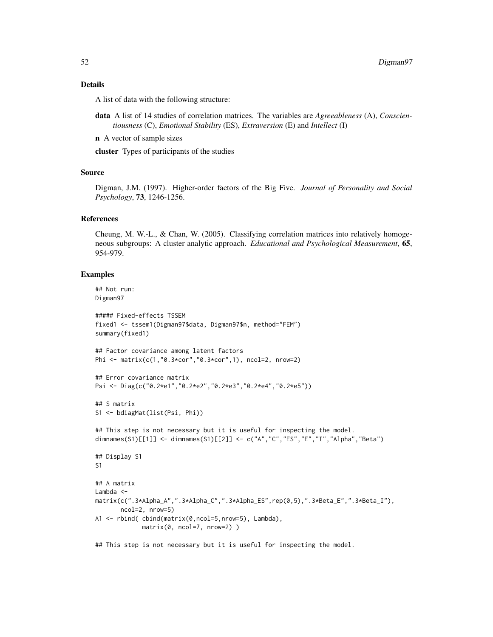### Details

A list of data with the following structure:

- data A list of 14 studies of correlation matrices. The variables are *Agreeableness* (A), *Conscientiousness* (C), *Emotional Stability* (ES), *Extraversion* (E) and *Intellect* (I)
- n A vector of sample sizes

cluster Types of participants of the studies

### Source

Digman, J.M. (1997). Higher-order factors of the Big Five. *Journal of Personality and Social Psychology*, 73, 1246-1256.

## References

Cheung, M. W.-L., & Chan, W. (2005). Classifying correlation matrices into relatively homogeneous subgroups: A cluster analytic approach. *Educational and Psychological Measurement*, 65, 954-979.

### Examples

```
## Not run:
Digman97
##### Fixed-effects TSSEM
fixed1 <- tssem1(Digman97$data, Digman97$n, method="FEM")
summary(fixed1)
## Factor covariance among latent factors
Phi <- matrix(c(1,"0.3*cor","0.3*cor",1), ncol=2, nrow=2)
## Error covariance matrix
Psi <- Diag(c("0.2*e1","0.2*e2","0.2*e3","0.2*e4","0.2*e5"))
## S matrix
S1 <- bdiagMat(list(Psi, Phi))
## This step is not necessary but it is useful for inspecting the model.
dimnames(S1)[[1]] <- dimnames(S1)[[2]] <- c("A","C","ES","E","I","Alpha","Beta")
## Display S1
S1
## A matrix
Lambda <-
matrix(c(".3*Alpha_A",".3*Alpha_C",".3*Alpha_ES",rep(0,5),".3*Beta_E",".3*Beta_I"),
       ncol=2, nrow=5)
A1 <- rbind( cbind(matrix(0,ncol=5,nrow=5), Lambda),
             matrix(0, ncol=7, nrow=2) )
```
## This step is not necessary but it is useful for inspecting the model.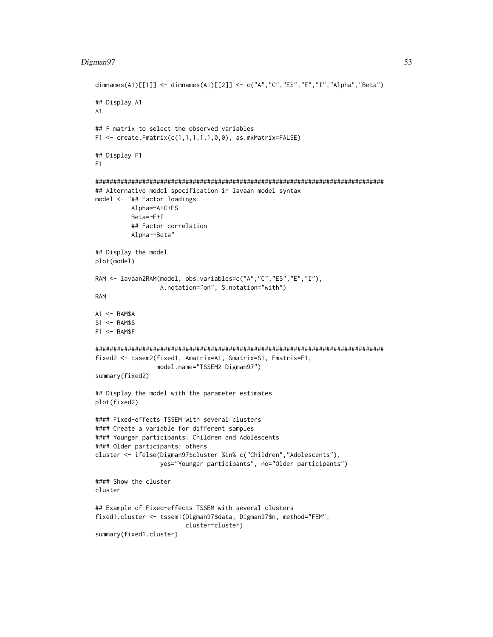## Digman97 53

```
dimnames(A1)[[1]] <- dimnames(A1)[[2]] <- c("A","C","ES","E","I","Alpha","Beta")
## Display A1
A1
## F matrix to select the observed variables
F1 <- create.Fmatrix(c(1,1,1,1,1,0,0), as.mxMatrix=FALSE)
## Display F1
F1
################################################################################
## Alternative model specification in lavaan model syntax
model <- "## Factor loadings
          Alpha=~A+C+ES
          Beta=~E+I
          ## Factor correlation
          Alpha~~Beta"
## Display the model
plot(model)
RAM <- lavaan2RAM(model, obs.variables=c("A","C","ES","E","I"),
                  A.notation="on", S.notation="with")
RAM
A1 \leftarrow RAM$A
S1 <- RAM$S
F1 <- RAM$F
################################################################################
fixed2 <- tssem2(fixed1, Amatrix=A1, Smatrix=S1, Fmatrix=F1,
                 model.name="TSSEM2 Digman97")
summary(fixed2)
## Display the model with the parameter estimates
plot(fixed2)
#### Fixed-effects TSSEM with several clusters
#### Create a variable for different samples
#### Younger participants: Children and Adolescents
#### Older participants: others
cluster <- ifelse(Digman97$cluster %in% c("Children","Adolescents"),
                  yes="Younger participants", no="Older participants")
#### Show the cluster
cluster
## Example of Fixed-effects TSSEM with several clusters
fixed1.cluster <- tssem1(Digman97$data, Digman97$n, method="FEM",
                         cluster=cluster)
summary(fixed1.cluster)
```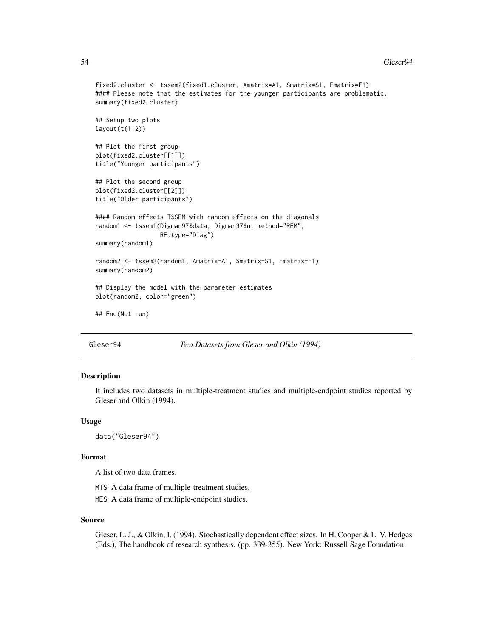#### 54 Gleser94

```
fixed2.cluster <- tssem2(fixed1.cluster, Amatrix=A1, Smatrix=S1, Fmatrix=F1)
#### Please note that the estimates for the younger participants are problematic.
summary(fixed2.cluster)
## Setup two plots
layout(t(1:2))## Plot the first group
plot(fixed2.cluster[[1]])
title("Younger participants")
## Plot the second group
plot(fixed2.cluster[[2]])
title("Older participants")
#### Random-effects TSSEM with random effects on the diagonals
random1 <- tssem1(Digman97$data, Digman97$n, method="REM",
                  RE.type="Diag")
summary(random1)
random2 <- tssem2(random1, Amatrix=A1, Smatrix=S1, Fmatrix=F1)
summary(random2)
## Display the model with the parameter estimates
plot(random2, color="green")
## End(Not run)
```
Gleser94 *Two Datasets from Gleser and Olkin (1994)*

### Description

It includes two datasets in multiple-treatment studies and multiple-endpoint studies reported by Gleser and Olkin (1994).

#### Usage

```
data("Gleser94")
```
## Format

A list of two data frames.

- MTS A data frame of multiple-treatment studies.
- MES A data frame of multiple-endpoint studies.

#### Source

Gleser, L. J., & Olkin, I. (1994). Stochastically dependent effect sizes. In H. Cooper & L. V. Hedges (Eds.), The handbook of research synthesis. (pp. 339-355). New York: Russell Sage Foundation.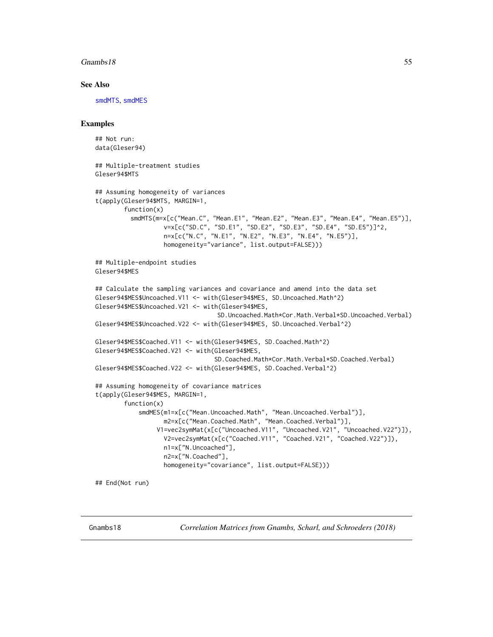### Gnambs18 55

### See Also

[smdMTS](#page-111-0), [smdMES](#page-109-0)

### Examples

```
## Not run:
data(Gleser94)
## Multiple-treatment studies
Gleser94$MTS
## Assuming homogeneity of variances
t(apply(Gleser94$MTS, MARGIN=1,
       function(x)
         smdMTS(m=x[c("Mean.C", "Mean.E1", "Mean.E2", "Mean.E3", "Mean.E4", "Mean.E5")],
                   v=x[c("SD.C", "SD.E1", "SD.E2", "SD.E3", "SD.E4", "SD.E5")]^2,
                   n=x[c("N.C", "N.E1", "N.E2", "N.E3", "N.E4", "N.E5")],
                   homogeneity="variance", list.output=FALSE)))
## Multiple-endpoint studies
Gleser94$MES
## Calculate the sampling variances and covariance and amend into the data set
Gleser94$MES$Uncoached.V11 <- with(Gleser94$MES, SD.Uncoached.Math^2)
Gleser94$MES$Uncoached.V21 <- with(Gleser94$MES,
                                  SD.Uncoached.Math*Cor.Math.Verbal*SD.Uncoached.Verbal)
Gleser94$MES$Uncoached.V22 <- with(Gleser94$MES, SD.Uncoached.Verbal^2)
Gleser94$MES$Coached.V11 <- with(Gleser94$MES, SD.Coached.Math^2)
Gleser94$MES$Coached.V21 <- with(Gleser94$MES,
                                 SD.Coached.Math*Cor.Math.Verbal*SD.Coached.Verbal)
Gleser94$MES$Coached.V22 <- with(Gleser94$MES, SD.Coached.Verbal^2)
## Assuming homogeneity of covariance matrices
t(apply(Gleser94$MES, MARGIN=1,
        function(x)
            smdMES(m1=x[c("Mean.Uncoached.Math", "Mean.Uncoached.Verbal")],
                   m2=x[c("Mean.Coached.Math", "Mean.Coached.Verbal")],
                 V1=vec2symMat(x[c("Uncoached.V11", "Uncoached.V21", "Uncoached.V22")]),
                   V2=vec2symMat(x[c("Coached.V11", "Coached.V21", "Coached.V22")]),
                   n1=x["N.Uncoached"],
                   n2=x["N.Coached"],
                   homogeneity="covariance", list.output=FALSE)))
## End(Not run)
```
Gnambs18 *Correlation Matrices from Gnambs, Scharl, and Schroeders (2018)*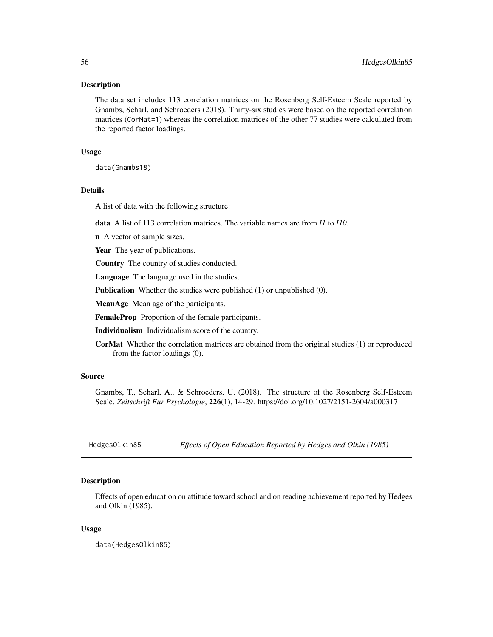### Description

The data set includes 113 correlation matrices on the Rosenberg Self-Esteem Scale reported by Gnambs, Scharl, and Schroeders (2018). Thirty-six studies were based on the reported correlation matrices (CorMat=1) whereas the correlation matrices of the other 77 studies were calculated from the reported factor loadings.

### Usage

data(Gnambs18)

# Details

A list of data with the following structure:

data A list of 113 correlation matrices. The variable names are from *I1* to *I10*.

n A vector of sample sizes.

Year The year of publications.

Country The country of studies conducted.

Language The language used in the studies.

**Publication** Whether the studies were published (1) or unpublished (0).

MeanAge Mean age of the participants.

FemaleProp Proportion of the female participants.

Individualism Individualism score of the country.

CorMat Whether the correlation matrices are obtained from the original studies (1) or reproduced from the factor loadings (0).

## Source

Gnambs, T., Scharl, A., & Schroeders, U. (2018). The structure of the Rosenberg Self-Esteem Scale. *Zeitschrift Fur Psychologie*, 226(1), 14-29. https://doi.org/10.1027/2151-2604/a000317

HedgesOlkin85 *Effects of Open Education Reported by Hedges and Olkin (1985)*

### Description

Effects of open education on attitude toward school and on reading achievement reported by Hedges and Olkin (1985).

#### Usage

data(HedgesOlkin85)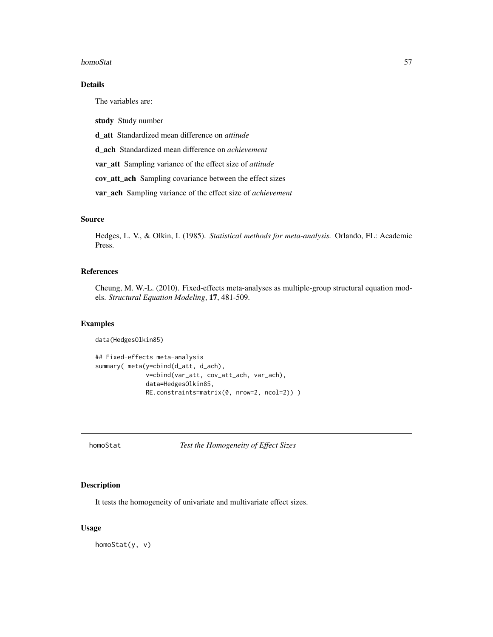#### homoStat 57

# Details

The variables are:

study Study number

d\_att Standardized mean difference on *attitude*

d\_ach Standardized mean difference on *achievement*

var\_att Sampling variance of the effect size of *attitude*

cov\_att\_ach Sampling covariance between the effect sizes

var\_ach Sampling variance of the effect size of *achievement*

## Source

Hedges, L. V., & Olkin, I. (1985). *Statistical methods for meta-analysis.* Orlando, FL: Academic Press.

### References

Cheung, M. W.-L. (2010). Fixed-effects meta-analyses as multiple-group structural equation models. *Structural Equation Modeling*, 17, 481-509.

## Examples

```
data(HedgesOlkin85)
```

```
## Fixed-effects meta-analysis
summary( meta(y=cbind(d_att, d_ach),
             v=cbind(var_att, cov_att_ach, var_ach),
              data=HedgesOlkin85,
              RE.constraints=matrix(0, nrow=2, ncol=2)) )
```
homoStat *Test the Homogeneity of Effect Sizes*

### Description

It tests the homogeneity of univariate and multivariate effect sizes.

#### Usage

homoStat(y, v)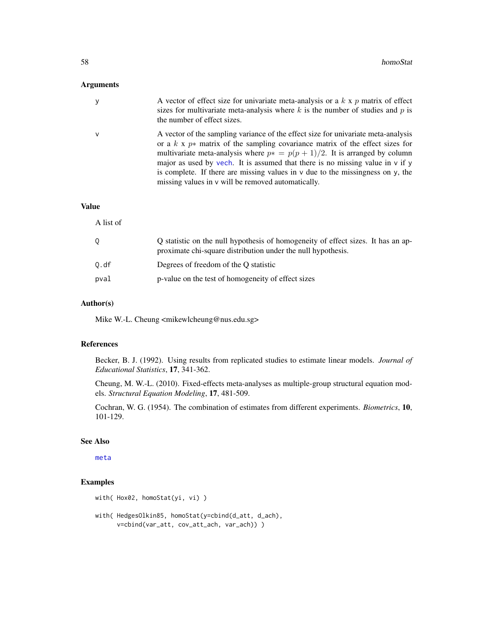## Arguments

|   | A vector of effect size for univariate meta-analysis or a $k \times p$ matrix of effect<br>sizes for multivariate meta-analysis where $k$ is the number of studies and $p$ is<br>the number of effect sizes.                                                                                                                                                                                                                                                                                        |
|---|-----------------------------------------------------------------------------------------------------------------------------------------------------------------------------------------------------------------------------------------------------------------------------------------------------------------------------------------------------------------------------------------------------------------------------------------------------------------------------------------------------|
| ν | A vector of the sampling variance of the effect size for univariate meta-analysis<br>or a $k \times p*$ matrix of the sampling covariance matrix of the effect sizes for<br>multivariate meta-analysis where $p* = p(p + 1)/2$ . It is arranged by column<br>major as used by vech. It is assumed that there is no missing value in $\nu$ if $\nu$<br>is complete. If there are missing values in $\nu$ due to the missingness on $\nu$ , the<br>missing values in v will be removed automatically. |

## Value

A list of

|      | Q statistic on the null hypothesis of homogeneity of effect sizes. It has an ap-<br>proximate chi-square distribution under the null hypothesis. |
|------|--------------------------------------------------------------------------------------------------------------------------------------------------|
| 0.df | Degrees of freedom of the O statistic                                                                                                            |
| pval | p-value on the test of homogeneity of effect sizes                                                                                               |

## Author(s)

Mike W.-L. Cheung <mikewlcheung@nus.edu.sg>

## References

Becker, B. J. (1992). Using results from replicated studies to estimate linear models. *Journal of Educational Statistics*, 17, 341-362.

Cheung, M. W.-L. (2010). Fixed-effects meta-analyses as multiple-group structural equation models. *Structural Equation Modeling*, 17, 481-509.

Cochran, W. G. (1954). The combination of estimates from different experiments. *Biometrics*, 10, 101-129.

#### See Also

[meta](#page-77-0)

```
with( Hox02, homoStat(yi, vi) )
```

```
with( HedgesOlkin85, homoStat(y=cbind(d_att, d_ach),
     v=cbind(var_att, cov_att_ach, var_ach)) )
```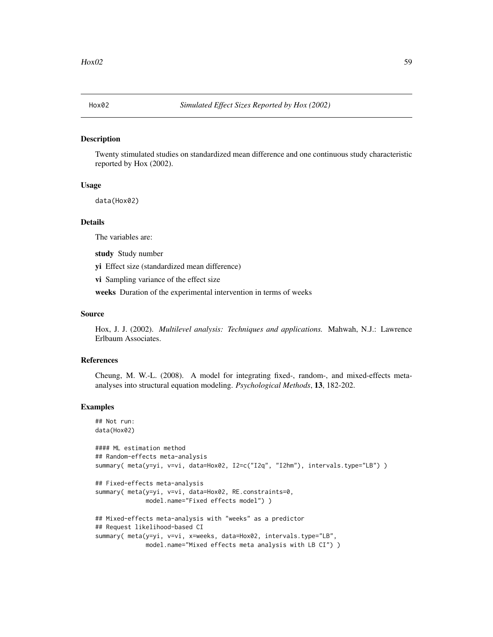### Description

Twenty stimulated studies on standardized mean difference and one continuous study characteristic reported by Hox (2002).

## Usage

data(Hox02)

## Details

The variables are:

study Study number

yi Effect size (standardized mean difference)

vi Sampling variance of the effect size

weeks Duration of the experimental intervention in terms of weeks

### Source

Hox, J. J. (2002). *Multilevel analysis: Techniques and applications.* Mahwah, N.J.: Lawrence Erlbaum Associates.

#### References

Cheung, M. W.-L. (2008). A model for integrating fixed-, random-, and mixed-effects metaanalyses into structural equation modeling. *Psychological Methods*, 13, 182-202.

```
## Not run:
data(Hox02)
#### ML estimation method
## Random-effects meta-analysis
summary( meta(y=yi, v=vi, data=Hox02, I2=c("I2q", "I2hm"), intervals.type="LB") )
## Fixed-effects meta-analysis
summary( meta(y=yi, v=vi, data=Hox02, RE.constraints=0,
             model.name="Fixed effects model") )
## Mixed-effects meta-analysis with "weeks" as a predictor
## Request likelihood-based CI
summary( meta(y=yi, v=vi, x=weeks, data=Hox02, intervals.type="LB",
             model.name="Mixed effects meta analysis with LB CI") )
```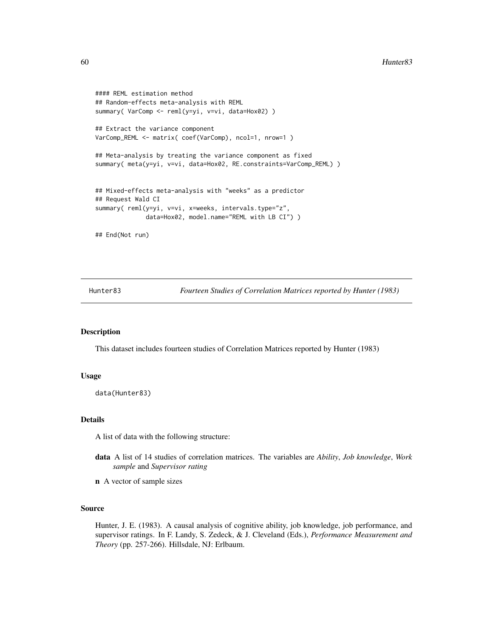```
#### REML estimation method
## Random-effects meta-analysis with REML
summary( VarComp <- reml(y=yi, v=vi, data=Hox02) )
## Extract the variance component
VarComp_REML <- matrix( coef(VarComp), ncol=1, nrow=1 )
## Meta-analysis by treating the variance component as fixed
summary( meta(y=yi, v=vi, data=Hox02, RE.constraints=VarComp_REML) )
## Mixed-effects meta-analysis with "weeks" as a predictor
## Request Wald CI
summary( reml(y=yi, v=vi, x=weeks, intervals.type="z",
              data=Hox02, model.name="REML with LB CI") )
## End(Not run)
```
Hunter83 *Fourteen Studies of Correlation Matrices reported by Hunter (1983)*

## Description

This dataset includes fourteen studies of Correlation Matrices reported by Hunter (1983)

#### Usage

data(Hunter83)

#### Details

A list of data with the following structure:

- data A list of 14 studies of correlation matrices. The variables are *Ability*, *Job knowledge*, *Work sample* and *Supervisor rating*
- n A vector of sample sizes

## Source

Hunter, J. E. (1983). A causal analysis of cognitive ability, job knowledge, job performance, and supervisor ratings. In F. Landy, S. Zedeck, & J. Cleveland (Eds.), *Performance Measurement and Theory* (pp. 257-266). Hillsdale, NJ: Erlbaum.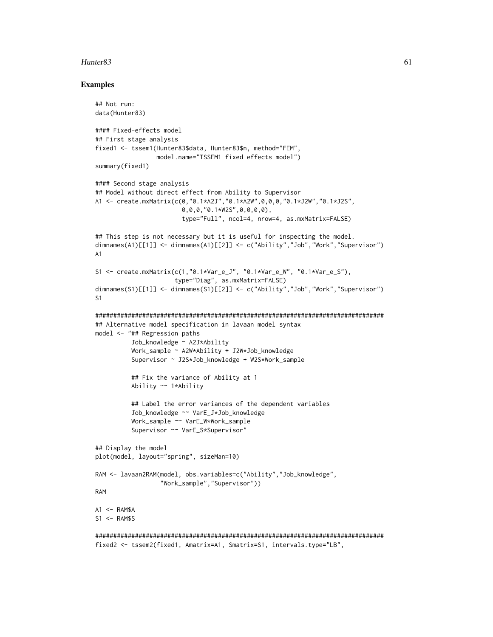### $H$ unter $83$  61

```
## Not run:
data(Hunter83)
#### Fixed-effects model
## First stage analysis
fixed1 <- tssem1(Hunter83$data, Hunter83$n, method="FEM",
                 model.name="TSSEM1 fixed effects model")
summary(fixed1)
#### Second stage analysis
## Model without direct effect from Ability to Supervisor
A1 <- create.mxMatrix(c(0,"0.1*A2J","0.1*A2W",0,0,0,"0.1*J2W","0.1*J2S",
                        0,0,0,"0.1*W2S",0,0,0,0),
                        type="Full", ncol=4, nrow=4, as.mxMatrix=FALSE)
## This step is not necessary but it is useful for inspecting the model.
dimnames(A1)[[1]] <- dimnames(A1)[[2]] <- c("Ability","Job","Work","Supervisor")
A1
S1 <- create.mxMatrix(c(1,"0.1*Var_e_J", "0.1*Var_e_W", "0.1*Var_e_S"),
                      type="Diag", as.mxMatrix=FALSE)
dimnames(S1)[[1]] <- dimnames(S1)[[2]] <- c("Ability","Job","Work","Supervisor")
S1
################################################################################
## Alternative model specification in lavaan model syntax
model <- "## Regression paths
          Job_knowledge ~ A2J*Ability
          Work_sample ~ A2W*Ability + J2W*Job_knowledge
          Supervisor ~ J2S*Job_knowledge + W2S*Work_sample
          ## Fix the variance of Ability at 1
          Ability ~~ 1*Ability
          ## Label the error variances of the dependent variables
          Job_knowledge ~~ VarE_J*Job_knowledge
          Work_sample ~~ VarE_W*Work_sample
          Supervisor ~~ VarE_S*Supervisor"
## Display the model
plot(model, layout="spring", sizeMan=10)
RAM <- lavaan2RAM(model, obs.variables=c("Ability","Job_knowledge",
                  "Work_sample","Supervisor"))
RAM
A1 < - RAM$A
S1 <- RAM$S
################################################################################
fixed2 <- tssem2(fixed1, Amatrix=A1, Smatrix=S1, intervals.type="LB",
```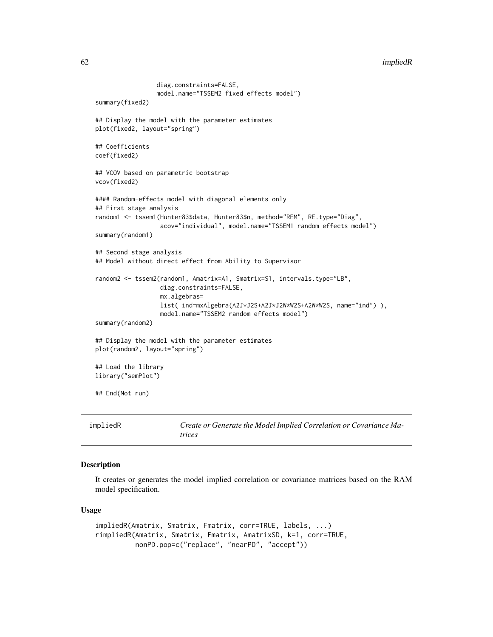#### 62 impliedR

```
diag.constraints=FALSE,
                 model.name="TSSEM2 fixed effects model")
summary(fixed2)
## Display the model with the parameter estimates
plot(fixed2, layout="spring")
## Coefficients
coef(fixed2)
## VCOV based on parametric bootstrap
vcov(fixed2)
#### Random-effects model with diagonal elements only
## First stage analysis
random1 <- tssem1(Hunter83$data, Hunter83$n, method="REM", RE.type="Diag",
                  acov="individual", model.name="TSSEM1 random effects model")
summary(random1)
## Second stage analysis
## Model without direct effect from Ability to Supervisor
random2 <- tssem2(random1, Amatrix=A1, Smatrix=S1, intervals.type="LB",
                  diag.constraints=FALSE,
                  mx.algebras=
                  list( ind=mxAlgebra(A2J*J2S+A2J*J2W*W2S+A2W*W2S, name="ind") ),
                  model.name="TSSEM2 random effects model")
summary(random2)
## Display the model with the parameter estimates
plot(random2, layout="spring")
## Load the library
library("semPlot")
## End(Not run)
```

| impliedR | Create or Generate the Model Implied Correlation or Covariance Ma- |
|----------|--------------------------------------------------------------------|
|          | trices                                                             |

## Description

It creates or generates the model implied correlation or covariance matrices based on the RAM model specification.

#### Usage

```
impliedR(Amatrix, Smatrix, Fmatrix, corr=TRUE, labels, ...)
rimpliedR(Amatrix, Smatrix, Fmatrix, AmatrixSD, k=1, corr=TRUE,
         nonPD.pop=c("replace", "nearPD", "accept"))
```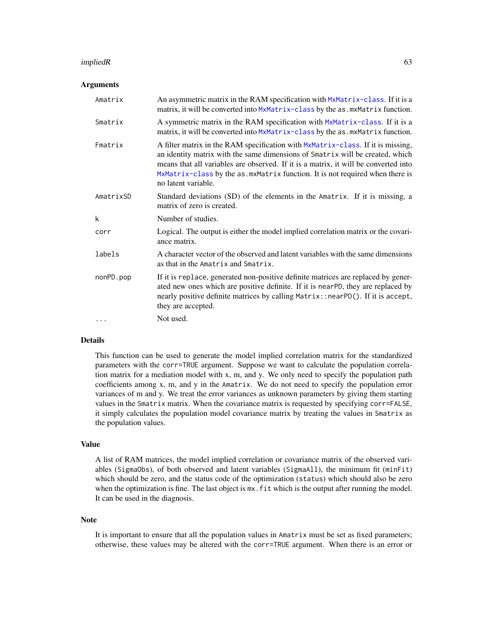#### impliedR 63

#### Arguments

| Amatrix   | An asymmetric matrix in the RAM specification with MxMatrix-class. If it is a<br>matrix, it will be converted into MxMatrix-class by the as . mxMatrix function.                                                                                                                                                                                                |
|-----------|-----------------------------------------------------------------------------------------------------------------------------------------------------------------------------------------------------------------------------------------------------------------------------------------------------------------------------------------------------------------|
| Smatrix   | A symmetric matrix in the RAM specification with MxMatrix-class. If it is a<br>matrix, it will be converted into MxMatrix-class by the as . mxMatrix function.                                                                                                                                                                                                  |
| Fmatrix   | A filter matrix in the RAM specification with MxMatrix-class. If it is missing,<br>an identity matrix with the same dimensions of Smatrix will be created, which<br>means that all variables are observed. If it is a matrix, it will be converted into<br>MxMatrix-class by the as. mxMatrix function. It is not required when there is<br>no latent variable. |
| AmatrixSD | Standard deviations (SD) of the elements in the Amatrix. If it is missing, a<br>matrix of zero is created.                                                                                                                                                                                                                                                      |
| k         | Number of studies.                                                                                                                                                                                                                                                                                                                                              |
| corr      | Logical. The output is either the model implied correlation matrix or the covari-<br>ance matrix.                                                                                                                                                                                                                                                               |
| labels    | A character vector of the observed and latent variables with the same dimensions<br>as that in the Amatrix and Smatrix.                                                                                                                                                                                                                                         |
| nonPD.pop | If it is replace, generated non-positive definite matrices are replaced by gener-<br>ated new ones which are positive definite. If it is nearPD, they are replaced by<br>nearly positive definite matrices by calling Matrix:: nearPD(). If it is accept,<br>they are accepted.                                                                                 |
| .         | Not used.                                                                                                                                                                                                                                                                                                                                                       |

## Details

This function can be used to generate the model implied correlation matrix for the standardized parameters with the corr=TRUE argument. Suppose we want to calculate the population correlation matrix for a mediation model with x, m, and y. We only need to specify the population path coefficients among x, m, and y in the Amatrix. We do not need to specify the population error variances of m and y. We treat the error variances as unknown parameters by giving them starting values in the Smatrix matrix. When the covariance matrix is requested by specifying corr=FALSE, it simply calculates the population model covariance matrix by treating the values in Smatrix as the population values.

### Value

A list of RAM matrices, the model implied correlation or covariance matrix of the observed variables (SigmaObs), of both observed and latent variables (SigmaAll), the minimum fit (minFit) which should be zero, and the status code of the optimization (status) which should also be zero when the optimization is fine. The last object is  $mx$ , fit which is the output after running the model. It can be used in the diagnosis.

#### Note

It is important to ensure that all the population values in Amatrix must be set as fixed parameters; otherwise, these values may be altered with the corr=TRUE argument. When there is an error or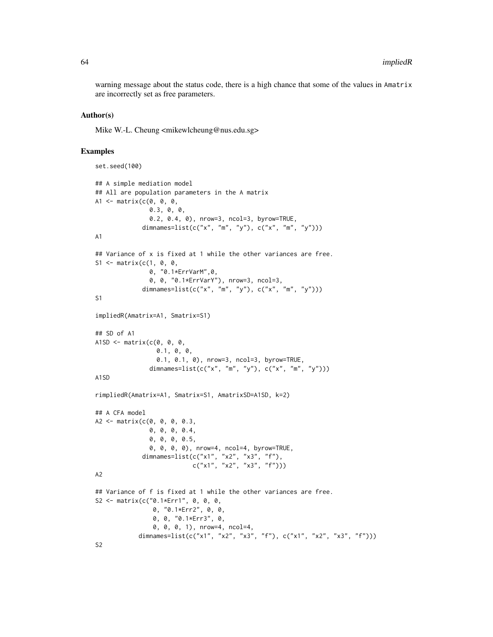warning message about the status code, there is a high chance that some of the values in Amatrix are incorrectly set as free parameters.

#### Author(s)

Mike W.-L. Cheung <mikewlcheung@nus.edu.sg>

```
set.seed(100)
## A simple mediation model
## All are population parameters in the A matrix
A1 \leq matrix(c(0, 0, 0,
               0.3, 0, 0,
               0.2, 0.4, 0), nrow=3, ncol=3, byrow=TRUE,
             dimnames=list(c("x", "m", "y"), c("x", "m", "y")))
A1
## Variance of x is fixed at 1 while the other variances are free.
S1 <- matrix(c(1, 0, 0, 0)0, "0.1*ErrVarM",0,
               0, 0, "0.1*ErrVarY"), nrow=3, ncol=3,
             dimnames=list(c("x", "m", "y"), c("x", "m", "y")))
S1
impliedR(Amatrix=A1, Smatrix=S1)
## SD of A1
A1SD \leq matrix(c(0, 0, 0,
                 0.1, 0, 0,
                 0.1, 0.1, 0), nrow=3, ncol=3, byrow=TRUE,
               dimnames=list(c("x", "m", "y"), c("x", "m", "y")))
A1SD
rimpliedR(Amatrix=A1, Smatrix=S1, AmatrixSD=A1SD, k=2)
## A CFA model
A2 <- matrix(c(0, 0, 0, 0.3,
               0, 0, 0, 0.4,
               0, 0, 0, 0.5,
               0, 0, 0, 0), nrow=4, ncol=4, byrow=TRUE,
             dimnames=list(c("x1", "x2", "x3", "f"),
                           c("x1", "x2", "x3", "f")))
A2
## Variance of f is fixed at 1 while the other variances are free.
S2 <- matrix(c("0.1*Err1", 0, 0, 0, 0, 0)0, "0.1*Err2", 0, 0,
                0, 0, "0.1*Err3", 0,
                0, 0, 0, 1), nrow=4, ncol=4,
            dimnames=list(c("x1", "x2", "x3", "f"), c("x1", "x2", "x3", "f")))
S2
```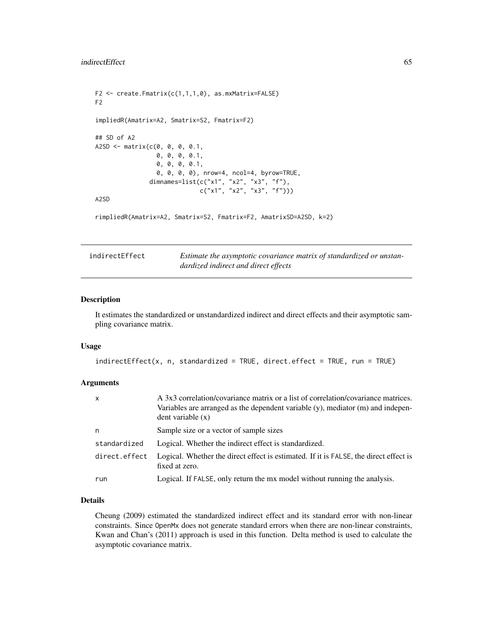```
F2 \le create. Fmatrix(c(1,1,1,0), as.mxMatrix=FALSE)
F2
impliedR(Amatrix=A2, Smatrix=S2, Fmatrix=F2)
## SD of A2
A2SD <- matrix(c(0, 0, 0, 0.1,
                 0, 0, 0, 0.1,
                 0, 0, 0, 0.1,
                 0, 0, 0, 0), nrow=4, ncol=4, byrow=TRUE,
               dimnames=list(c("x1", "x2", "x3", "f"),
                              c("x1", "x2", "x3", "f")))
A2SD
rimpliedR(Amatrix=A2, Smatrix=S2, Fmatrix=F2, AmatrixSD=A2SD, k=2)
```

| indirectEffect | Estimate the asymptotic covariance matrix of standardized or unstan- |
|----------------|----------------------------------------------------------------------|
|                | dardized indirect and direct effects                                 |

#### Description

It estimates the standardized or unstandardized indirect and direct effects and their asymptotic sampling covariance matrix.

#### Usage

```
indirectEffect(x, n, standardized = TRUE, direct-effect = TRUE, run = TRUE)
```
## Arguments

| X             | A 3x3 correlation/covariance matrix or a list of correlation/covariance matrices.<br>Variables are arranged as the dependent variable $(y)$ , mediator $(m)$ and indepen-<br>dent variable(x) |
|---------------|-----------------------------------------------------------------------------------------------------------------------------------------------------------------------------------------------|
| n             | Sample size or a vector of sample sizes                                                                                                                                                       |
| standardized  | Logical. Whether the indirect effect is standardized.                                                                                                                                         |
| direct.effect | Logical. Whether the direct effect is estimated. If it is FALSE, the direct effect is<br>fixed at zero.                                                                                       |
| run           | Logical. If FALSE, only return the mx model without running the analysis.                                                                                                                     |

### Details

Cheung (2009) estimated the standardized indirect effect and its standard error with non-linear constraints. Since OpenMx does not generate standard errors when there are non-linear constraints, Kwan and Chan's (2011) approach is used in this function. Delta method is used to calculate the asymptotic covariance matrix.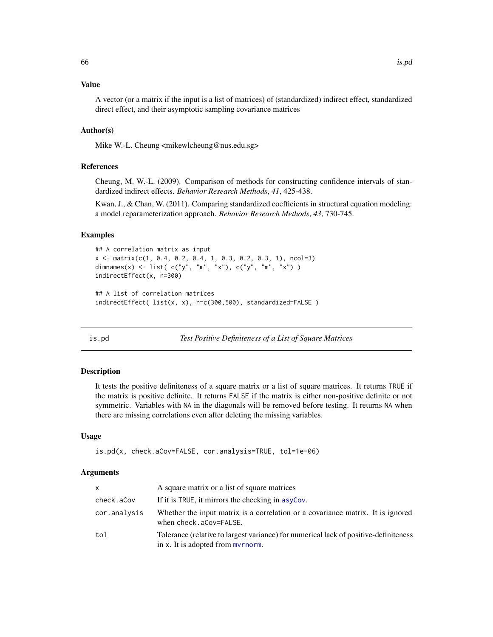#### Value

A vector (or a matrix if the input is a list of matrices) of (standardized) indirect effect, standardized direct effect, and their asymptotic sampling covariance matrices

## Author(s)

Mike W.-L. Cheung <mikewlcheung@nus.edu.sg>

### References

Cheung, M. W.-L. (2009). Comparison of methods for constructing confidence intervals of standardized indirect effects. *Behavior Research Methods*, *41*, 425-438.

Kwan, J., & Chan, W. (2011). Comparing standardized coefficients in structural equation modeling: a model reparameterization approach. *Behavior Research Methods*, *43*, 730-745.

## Examples

```
## A correlation matrix as input
x <- matrix(c(1, 0.4, 0.2, 0.4, 1, 0.3, 0.2, 0.3, 1), ncol=3)
dimnames(x) <- list( c("y", "m", "x"), c("y", "m", "x") )
indirectEffect(x, n=300)
## A list of correlation matrices
indirectEffect( list(x, x), n=c(300,500), standardized=FALSE )
```
is.pd *Test Positive Definiteness of a List of Square Matrices*

### Description

It tests the positive definiteness of a square matrix or a list of square matrices. It returns TRUE if the matrix is positive definite. It returns FALSE if the matrix is either non-positive definite or not symmetric. Variables with NA in the diagonals will be removed before testing. It returns NA when there are missing correlations even after deleting the missing variables.

## Usage

```
is.pd(x, check.aCov=FALSE, cor.analysis=TRUE, tol=1e-06)
```
## Arguments

| X            | A square matrix or a list of square matrices                                                                                            |
|--------------|-----------------------------------------------------------------------------------------------------------------------------------------|
| check.aCov   | If it is TRUE, it mirrors the checking in asyCov.                                                                                       |
| cor.analysis | Whether the input matrix is a correlation or a covariance matrix. It is ignored<br>when check.aCov=FALSE.                               |
| tol          | Tolerance (relative to largest variance) for numerical lack of positive-definiteness<br>in x. It is adopted from $m$ <i>v</i> $r$ norm. |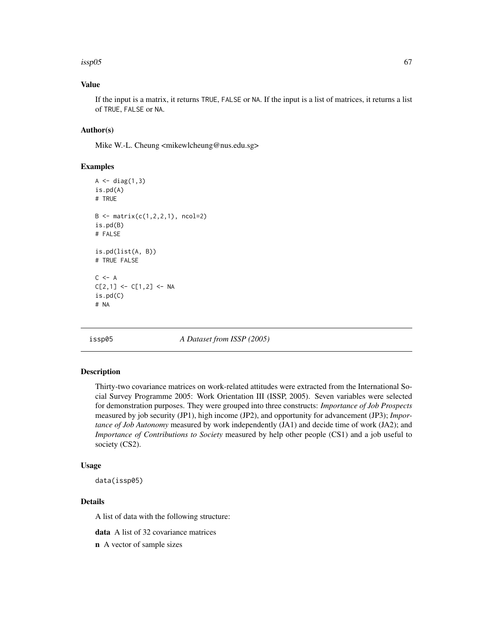### $issp05$  67

## Value

If the input is a matrix, it returns TRUE, FALSE or NA. If the input is a list of matrices, it returns a list of TRUE, FALSE or NA.

## Author(s)

Mike W.-L. Cheung <mikewlcheung@nus.edu.sg>

## Examples

```
A \leftarrow diag(1,3)is.pd(A)
# TRUE
B \leftarrow matrix(c(1, 2, 2, 1), ncol=2)is.pd(B)
# FALSE
is.pd(list(A, B))
# TRUE FALSE
C <- A
C[2,1] <- C[1,2] <- NA
is.pd(C)
# NA
```
<span id="page-66-0"></span>issp05 *A Dataset from ISSP (2005)*

#### Description

Thirty-two covariance matrices on work-related attitudes were extracted from the International Social Survey Programme 2005: Work Orientation III (ISSP, 2005). Seven variables were selected for demonstration purposes. They were grouped into three constructs: *Importance of Job Prospects* measured by job security (JP1), high income (JP2), and opportunity for advancement (JP3); *Importance of Job Autonomy* measured by work independently (JA1) and decide time of work (JA2); and *Importance of Contributions to Society* measured by help other people (CS1) and a job useful to society (CS2).

## Usage

data(issp05)

## Details

A list of data with the following structure:

data A list of 32 covariance matrices

n A vector of sample sizes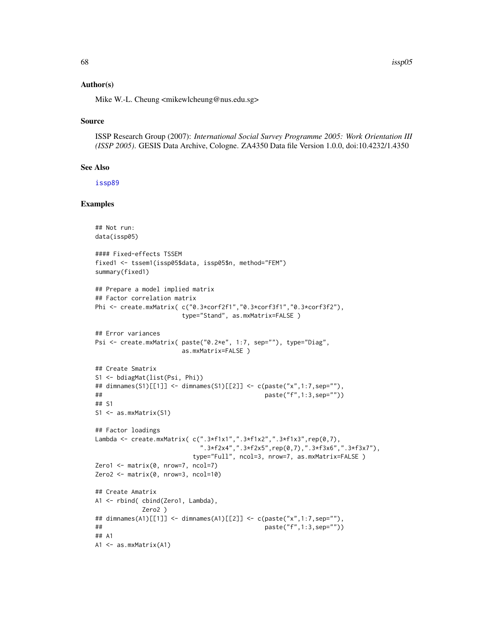$68$  issp $05$ 

### Author(s)

Mike W.-L. Cheung <mikewlcheung@nus.edu.sg>

### Source

ISSP Research Group (2007): *International Social Survey Programme 2005: Work Orientation III (ISSP 2005)*. GESIS Data Archive, Cologne. ZA4350 Data file Version 1.0.0, doi:10.4232/1.4350

#### See Also

[issp89](#page-68-0)

```
## Not run:
data(issp05)
#### Fixed-effects TSSEM
fixed1 <- tssem1(issp05$data, issp05$n, method="FEM")
summary(fixed1)
## Prepare a model implied matrix
## Factor correlation matrix
Phi <- create.mxMatrix( c("0.3*corf2f1","0.3*corf3f1","0.3*corf3f2"),
                      type="Stand", as.mxMatrix=FALSE )
## Error variances
Psi <- create.mxMatrix( paste("0.2*e", 1:7, sep=""), type="Diag",
                      as.mxMatrix=FALSE )
## Create Smatrix
S1 <- bdiagMat(list(Psi, Phi))
## dimnames(S1)[[1]] <- dimnames(S1)[[2]] <- c(paste("x",1:7,sep=""),
## paste("f",1:3,sep=""))
## S1
S1 <- as.mxMatrix(S1)
## Factor loadings
Lambda <- create.mxMatrix( c(".3*f1x1",".3*f1x2",".3*f1x3",rep(0,7),
                           ".3*f2x4",".3*f2x5",rep(0,7),".3*f3x6",".3*f3x7"),
                         type="Full", ncol=3, nrow=7, as.mxMatrix=FALSE )
Zero1 <- matrix(0, nrow=7, ncol=7)
Zero2 <- matrix(0, nrow=3, ncol=10)
## Create Amatrix
A1 <- rbind( cbind(Zero1, Lambda),
            Zero2 )
## dimnames(A1)[[1]] <- dimnames(A1)[[2]] <- c(paste("x",1:7,sep=""),
## paste("f",1:3,sep=""))
## A1
A1 <- as.mxMatrix(A1)
```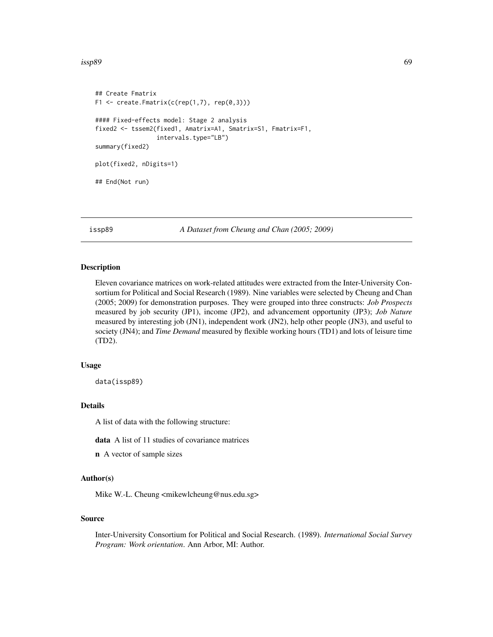issp89 69

```
## Create Fmatrix
F1 \leftarrow \text{create.Fmatrix}(c(\text{rep}(1,7), \text{rep}(0,3)))#### Fixed-effects model: Stage 2 analysis
fixed2 <- tssem2(fixed1, Amatrix=A1, Smatrix=S1, Fmatrix=F1,
                   intervals.type="LB")
summary(fixed2)
plot(fixed2, nDigits=1)
## End(Not run)
```
<span id="page-68-0"></span>issp89 *A Dataset from Cheung and Chan (2005; 2009)*

#### Description

Eleven covariance matrices on work-related attitudes were extracted from the Inter-University Consortium for Political and Social Research (1989). Nine variables were selected by Cheung and Chan (2005; 2009) for demonstration purposes. They were grouped into three constructs: *Job Prospects* measured by job security (JP1), income (JP2), and advancement opportunity (JP3); *Job Nature* measured by interesting job (JN1), independent work (JN2), help other people (JN3), and useful to society (JN4); and *Time Demand* measured by flexible working hours (TD1) and lots of leisure time (TD2).

## Usage

data(issp89)

### Details

A list of data with the following structure:

data A list of 11 studies of covariance matrices

n A vector of sample sizes

#### Author(s)

Mike W.-L. Cheung <mikewlcheung@nus.edu.sg>

### Source

Inter-University Consortium for Political and Social Research. (1989). *International Social Survey Program: Work orientation*. Ann Arbor, MI: Author.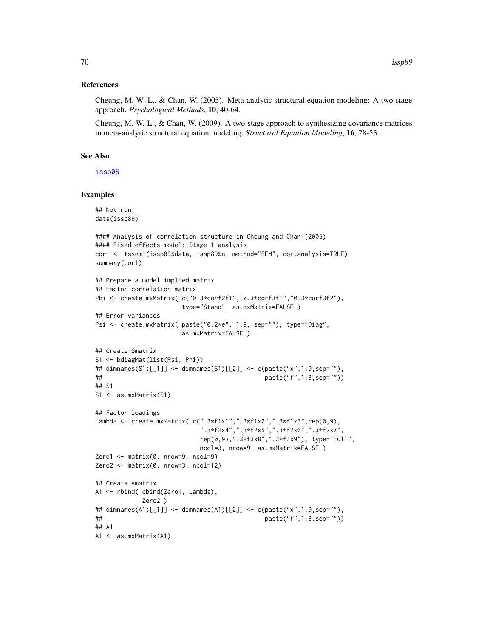## References

Cheung, M. W.-L., & Chan, W. (2005). Meta-analytic structural equation modeling: A two-stage approach. *Psychological Methods*, 10, 40-64.

Cheung, M. W.-L., & Chan, W. (2009). A two-stage approach to synthesizing covariance matrices in meta-analytic structural equation modeling. *Structural Equation Modeling*, 16, 28-53.

## See Also

[issp05](#page-66-0)

```
## Not run:
data(issp89)
#### Analysis of correlation structure in Cheung and Chan (2005)
#### Fixed-effects model: Stage 1 analysis
cor1 <- tssem1(issp89$data, issp89$n, method="FEM", cor.analysis=TRUE)
summary(cor1)
## Prepare a model implied matrix
## Factor correlation matrix
Phi <- create.mxMatrix( c("0.3*corf2f1","0.3*corf3f1","0.3*corf3f2"),
                      type="Stand", as.mxMatrix=FALSE )
## Error variances
Psi <- create.mxMatrix( paste("0.2*e", 1:9, sep=""), type="Diag",
                      as.mxMatrix=FALSE )
## Create Smatrix
S1 <- bdiagMat(list(Psi, Phi))
## dimnames(S1)[[1]] <- dimnames(S1)[[2]] <- c(paste("x",1:9,sep=""),
## paste("f",1:3,sep=""))
## S1
S1 <- as.mxMatrix(S1)
## Factor loadings
Lambda <- create.mxMatrix( c(".3*f1x1",".3*f1x2",".3*f1x3",rep(0,9),
                           ".3*f2x4",".3*f2x5",".3*f2x6",".3*f2x7",
                           rep(0,9),".3*f3x8",".3*f3x9"), type="Full",
                           ncol=3, nrow=9, as.mxMatrix=FALSE )
Zero1 \le - matrix(0, nrow=9, ncol=9)
Zero2 <- matrix(0, nrow=3, ncol=12)
## Create Amatrix
A1 <- rbind( cbind(Zero1, Lambda),
            Zero2 )
## dimnames(A1)[[1]] <- dimnames(A1)[[2]] <- c(paste("x",1:9,sep=""),
## paste("f",1:3,sep=""))
## A1
A1 <- as.mxMatrix(A1)
```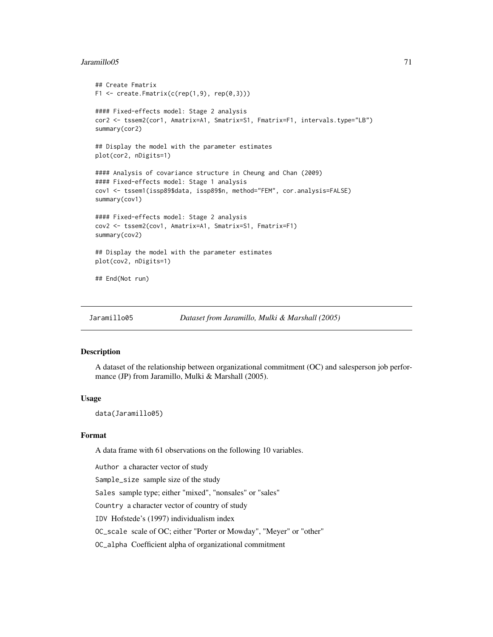#### Jaramillo05 71

```
## Create Fmatrix
F1 \le create. Fmatrix(c(rep(1,9), rep(0,3)))
#### Fixed-effects model: Stage 2 analysis
cor2 <- tssem2(cor1, Amatrix=A1, Smatrix=S1, Fmatrix=F1, intervals.type="LB")
summary(cor2)
## Display the model with the parameter estimates
plot(cor2, nDigits=1)
#### Analysis of covariance structure in Cheung and Chan (2009)
#### Fixed-effects model: Stage 1 analysis
cov1 <- tssem1(issp89$data, issp89$n, method="FEM", cor.analysis=FALSE)
summary(cov1)
#### Fixed-effects model: Stage 2 analysis
cov2 <- tssem2(cov1, Amatrix=A1, Smatrix=S1, Fmatrix=F1)
summary(cov2)
## Display the model with the parameter estimates
plot(cov2, nDigits=1)
## End(Not run)
```

```
Jaramillo05 Dataset from Jaramillo, Mulki & Marshall (2005)
```
#### Description

A dataset of the relationship between organizational commitment (OC) and salesperson job performance (JP) from Jaramillo, Mulki & Marshall (2005).

#### Usage

data(Jaramillo05)

### Format

A data frame with 61 observations on the following 10 variables.

Author a character vector of study Sample\_size sample size of the study Sales sample type; either "mixed", "nonsales" or "sales" Country a character vector of country of study IDV Hofstede's (1997) individualism index OC\_scale scale of OC; either "Porter or Mowday", "Meyer" or "other" OC\_alpha Coefficient alpha of organizational commitment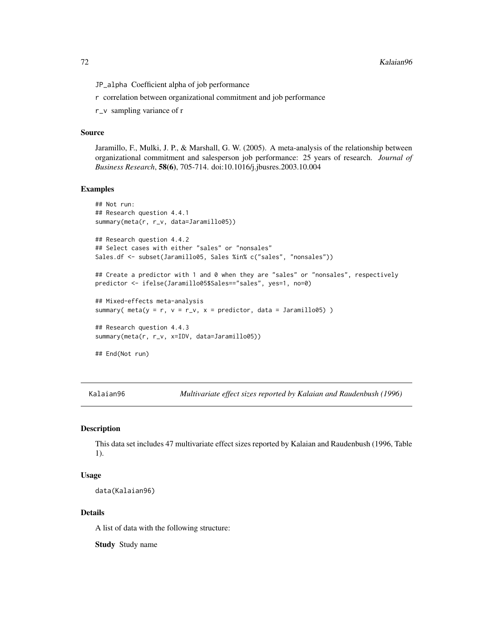72 Kalaian96

JP\_alpha Coefficient alpha of job performance

r correlation between organizational commitment and job performance

r\_v sampling variance of r

## Source

Jaramillo, F., Mulki, J. P., & Marshall, G. W. (2005). A meta-analysis of the relationship between organizational commitment and salesperson job performance: 25 years of research. *Journal of Business Research*, 58(6), 705-714. doi:10.1016/j.jbusres.2003.10.004

## Examples

```
## Not run:
## Research question 4.4.1
summary(meta(r, r_v, data=Jaramillo05))
## Research question 4.4.2
## Select cases with either "sales" or "nonsales"
Sales.df <- subset(Jaramillo05, Sales %in% c("sales", "nonsales"))
## Create a predictor with 1 and 0 when they are "sales" or "nonsales", respectively
predictor <- ifelse(Jaramillo05$Sales=="sales", yes=1, no=0)
## Mixed-effects meta-analysis
summary( meta(y = r, v = r_v, x = predictor, data = Jaramillo05))
## Research question 4.4.3
summary(meta(r, r_v, x=IDV, data=Jaramillo05))
## End(Not run)
```
Kalaian96 *Multivariate effect sizes reported by Kalaian and Raudenbush (1996)*

### Description

This data set includes 47 multivariate effect sizes reported by Kalaian and Raudenbush (1996, Table 1).

### Usage

```
data(Kalaian96)
```
## Details

A list of data with the following structure:

Study Study name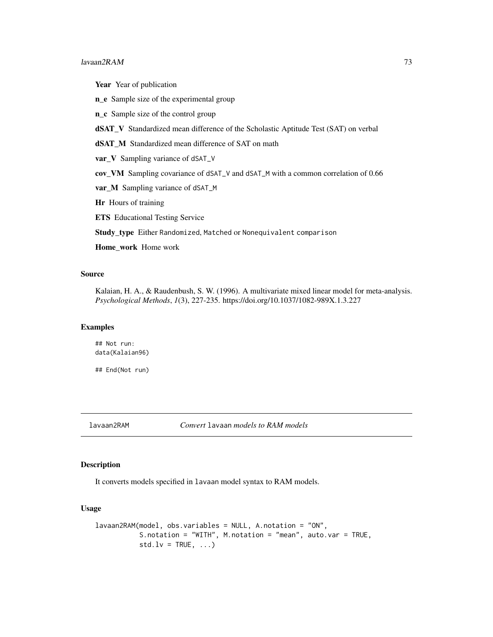#### $l$ avaan2RAM 73

Year Year of publication

n\_e Sample size of the experimental group

n\_c Sample size of the control group

dSAT\_V Standardized mean difference of the Scholastic Aptitude Test (SAT) on verbal

dSAT\_M Standardized mean difference of SAT on math

var\_V Sampling variance of dSAT\_V

cov\_VM Sampling covariance of dSAT\_V and dSAT\_M with a common correlation of 0.66

var\_M Sampling variance of dSAT\_M

Hr Hours of training

ETS Educational Testing Service

Study\_type Either Randomized, Matched or Nonequivalent comparison

Home\_work Home work

# Source

Kalaian, H. A., & Raudenbush, S. W. (1996). A multivariate mixed linear model for meta-analysis. *Psychological Methods*, *1*(3), 227-235. https://doi.org/10.1037/1082-989X.1.3.227

# Examples

## Not run: data(Kalaian96)

## End(Not run)

lavaan2RAM *Convert* lavaan *models to RAM models*

# Description

It converts models specified in lavaan model syntax to RAM models.

# Usage

```
lavaan2RAM(model, obs.variables = NULL, A.notation = "ON",
          S.notation = "WITH", M.notation = "mean", auto.var = TRUE,
          std.Iv = TRUE, ...
```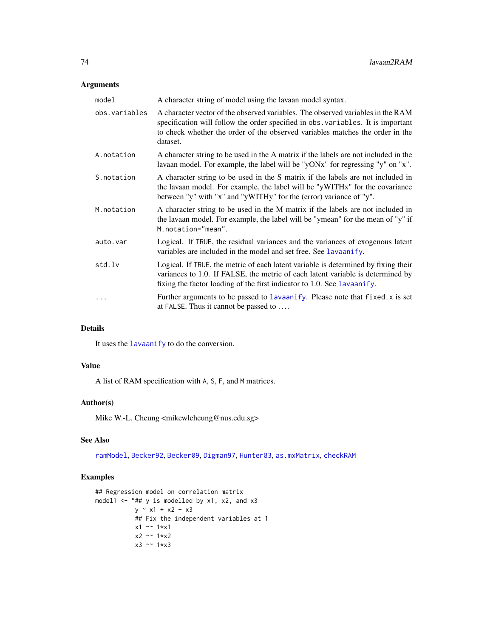# Arguments

| model         | A character string of model using the lavaan model syntax.                                                                                                                                                                                                       |
|---------------|------------------------------------------------------------------------------------------------------------------------------------------------------------------------------------------------------------------------------------------------------------------|
| obs.variables | A character vector of the observed variables. The observed variables in the RAM<br>specification will follow the order specified in obs. variables. It is important<br>to check whether the order of the observed variables matches the order in the<br>dataset. |
| A.notation    | A character string to be used in the A matrix if the labels are not included in the<br>lavaan model. For example, the label will be "yONx" for regressing "y" on "x".                                                                                            |
| S.notation    | A character string to be used in the S matrix if the labels are not included in<br>the lavaan model. For example, the label will be "yWITHx" for the covariance<br>between "y" with "x" and "yWITHy" for the (error) variance of "y".                            |
| M.notation    | A character string to be used in the M matrix if the labels are not included in<br>the lavaan model. For example, the label will be "ymean" for the mean of "y" if<br>M.notation="mean".                                                                         |
| auto.var      | Logical. If TRUE, the residual variances and the variances of exogenous latent<br>variables are included in the model and set free. See lavaanify.                                                                                                               |
| std.lv        | Logical. If TRUE, the metric of each latent variable is determined by fixing their<br>variances to 1.0. If FALSE, the metric of each latent variable is determined by<br>fixing the factor loading of the first indicator to 1.0. See lavaanify.                 |
| .             | Further arguments to be passed to lavaanify. Please note that fixed. x is set<br>at FALSE. Thus it cannot be passed to $\dots$                                                                                                                                   |

# Details

It uses the [lavaanify](#page-0-0) to do the conversion.

# Value

A list of RAM specification with A, S, F, and M matrices.

# Author(s)

Mike W.-L. Cheung <mikewlcheung@nus.edu.sg>

# See Also

[ramModel](#page-0-0), [Becker92](#page-19-0), [Becker09](#page-14-0), [Digman97](#page-50-0), [Hunter83](#page-59-0), [as.mxMatrix](#page-8-0), [checkRAM](#page-30-0)

# Examples

```
## Regression model on correlation matrix
model1 <- "## y is modelled by x1, x2, and x3
          y \sim x1 + x2 + x3## Fix the independent variables at 1
          x1 ~~ 1*x1
          x2 ~~ 1*x2
          x3 ~~ 1*x3
```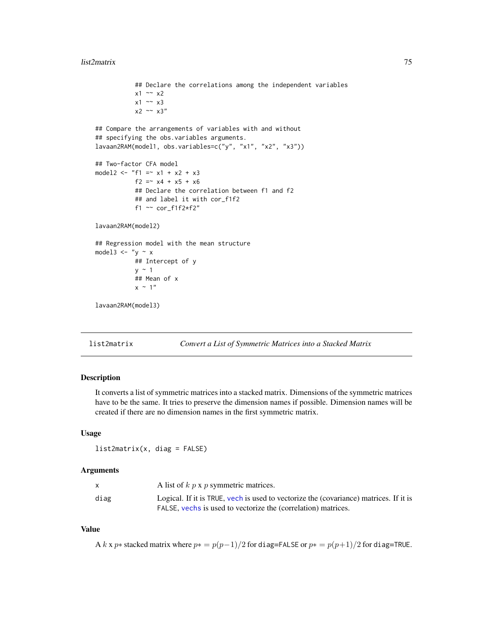#### list2matrix 75

```
## Declare the correlations among the independent variables
           x1 \sim x2x1 \sim x3x2 \sim x3''## Compare the arrangements of variables with and without
## specifying the obs.variables arguments.
lavaan2RAM(model1, obs.variables=c("y", "x1", "x2", "x3"))
## Two-factor CFA model
model2 <- "f1 =\sim x1 + x2 + x3
           f2 = x4 + x5 + x6## Declare the correlation between f1 and f2
           ## and label it with cor_f1f2
           f1 \sim \text{cor}_f1f2*f2"lavaan2RAM(model2)
## Regression model with the mean structure
model3 \leftarrow "y \sim x
           ## Intercept of y
           y \sim 1## Mean of x
           x \sim 1"
lavaan2RAM(model3)
```
list2matrix *Convert a List of Symmetric Matrices into a Stacked Matrix*

#### Description

It converts a list of symmetric matrices into a stacked matrix. Dimensions of the symmetric matrices have to be the same. It tries to preserve the dimension names if possible. Dimension names will be created if there are no dimension names in the first symmetric matrix.

## Usage

list2matrix(x, diag = FALSE)

#### Arguments

|      | A list of $k$ $p$ x $p$ symmetric matrices.                                                                                                            |
|------|--------------------------------------------------------------------------------------------------------------------------------------------------------|
| diag | Logical. If it is TRUE, yech is used to vectorize the (covariance) matrices. If it is<br>FALSE, vechs is used to vectorize the (correlation) matrices. |

#### Value

A k x p∗ stacked matrix where  $p* = p(p-1)/2$  for diag=FALSE or  $p* = p(p+1)/2$  for diag=TRUE.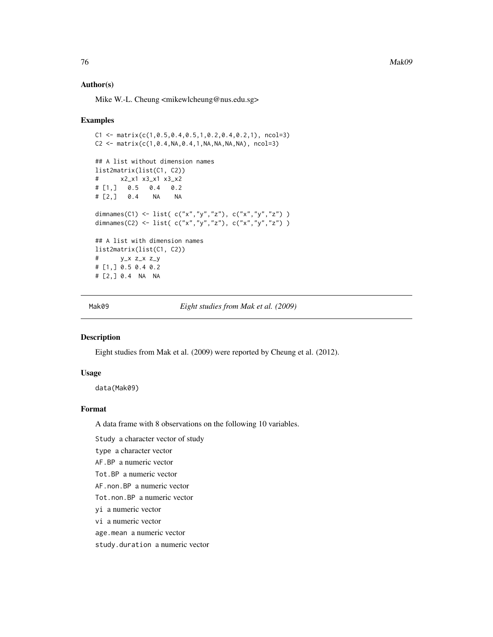76 Mak09

#### Author(s)

Mike W.-L. Cheung <mikewlcheung@nus.edu.sg>

#### Examples

```
C1 \leq - matrix(C(1, 0.5, 0.4, 0.5, 1, 0.2, 0.4, 0.2, 1), ncol=3)
C2 \leq - matrix(c(1,0.4,NA,0.4,1,NA,NA,NA,NA), ncol=3)
## A list without dimension names
list2matrix(list(C1, C2))
# x2_x1 x3_x1 x3_x2
# [1,] 0.5 0.4 0.2
# [2,] 0.4 NA NA
dimnames(C1) <- list( c("x","y","z"), c("x","y","z") )
dimnames(C2) <- list( c("x","y","z"), c("x","y","z") )
## A list with dimension names
list2matrix(list(C1, C2))
# y_x z_x z_y
# [1,] 0.5 0.4 0.2
# [2,] 0.4 NA NA
```
Mak09 *Eight studies from Mak et al. (2009)*

#### Description

Eight studies from Mak et al. (2009) were reported by Cheung et al. (2012).

#### Usage

data(Mak09)

# Format

A data frame with 8 observations on the following 10 variables.

Study a character vector of study

type a character vector

AF.BP a numeric vector

Tot.BP a numeric vector

AF.non.BP a numeric vector

Tot.non.BP a numeric vector

yi a numeric vector

vi a numeric vector

age.mean a numeric vector

study.duration a numeric vector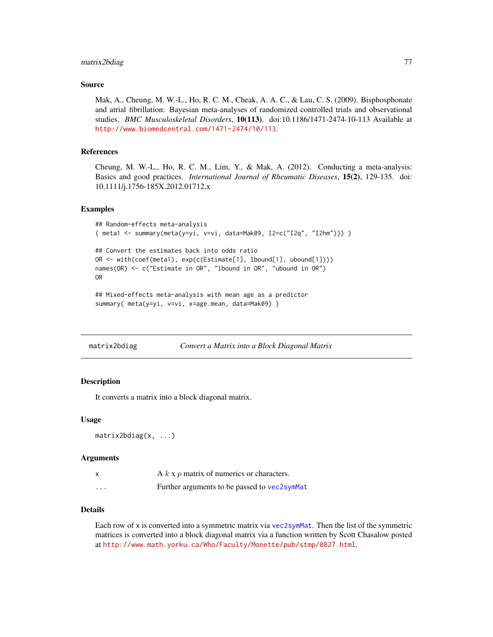# matrix2bdiag 77

#### Source

Mak, A., Cheung, M. W.-L., Ho, R. C. M., Cheak, A. A. C., & Lau, C. S. (2009). Bisphosphonate and atrial fibrillation: Bayesian meta-analyses of randomized controlled trials and observational studies. *BMC Musculoskeletal Disorders*, 10(113). doi:10.1186/1471-2474-10-113 Available at <http://www.biomedcentral.com/1471-2474/10/113>.

#### References

Cheung, M. W.-L., Ho, R. C. M., Lim, Y., & Mak, A. (2012). Conducting a meta-analysis: Basics and good practices. *International Journal of Rheumatic Diseases*, 15(2), 129-135. doi: 10.1111/j.1756-185X.2012.01712.x

#### Examples

```
## Random-effects meta-analysis
( meta1 <- summary(meta(y=yi, v=vi, data=Mak09, I2=c("I2q", "I2hm"))) )
## Convert the estimates back into odds ratio
OR <- with(coef(meta1), exp(c(Estimate[1], lbound[1], ubound[1])))
names(OR) <- c("Estimate in OR", "lbound in OR", "ubound in OR")
OR
```

```
## Mixed-effects meta-analysis with mean age as a predictor
summary( meta(y=yi, v=vi, x=age.mean, data=Mak09) )
```

| matrix2bdiag | Convert a Matrix into a Block Diagonal Matrix |  |
|--------------|-----------------------------------------------|--|
|--------------|-----------------------------------------------|--|

#### Description

It converts a matrix into a block diagonal matrix.

#### Usage

```
matrix2bdiag(x, ...)
```
#### Arguments

| $\times$ | A $k \times p$ matrix of numerics or characters. |
|----------|--------------------------------------------------|
| $\cdots$ | Further arguments to be passed to vec2symMat     |

#### Details

Each row of x is converted into a symmetric matrix via [vec2symMat](#page-126-0). Then the list of the symmetric matrices is converted into a block diagonal matrix via a function written by Scott Chasalow posted at <http://www.math.yorku.ca/Who/Faculty/Monette/pub/stmp/0827.html>.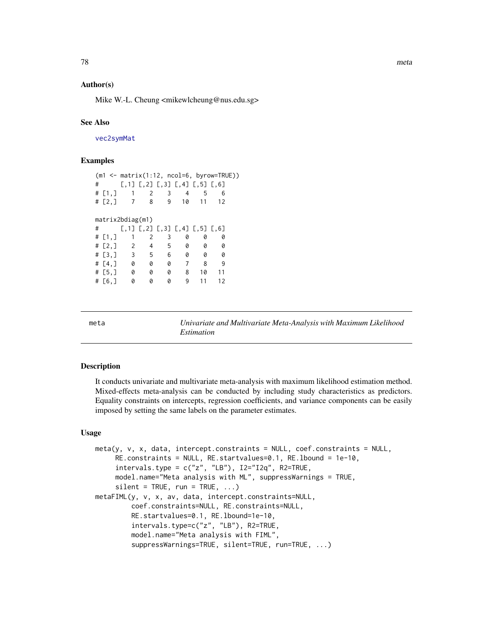# Author(s)

Mike W.-L. Cheung <mikewlcheung@nus.edu.sg>

#### See Also

[vec2symMat](#page-126-0)

## Examples

|   |           |                  |                |              |                                                 |    | $(m1 \leq maxrix(1:12, ncol=6, byrow=True))$ |  |
|---|-----------|------------------|----------------|--------------|-------------------------------------------------|----|----------------------------------------------|--|
| # |           |                  |                |              | $[0,1]$ $[0,2]$ $[0,3]$ $[0,4]$ $[0,5]$ $[0,6]$ |    |                                              |  |
|   | # $[1,]$  | $\overline{1}$   | 2              | $\mathbf{3}$ | $\overline{4}$                                  | -5 | 6                                            |  |
|   | # $[2, ]$ | $\overline{7}$   | 8              | 9            | 10                                              | 11 | 12                                           |  |
|   |           |                  |                |              |                                                 |    |                                              |  |
|   |           | matrix2bdiag(m1) |                |              |                                                 |    |                                              |  |
| # |           |                  |                |              | [,1] [,2] [,3] [,4] [,5] [,6]                   |    |                                              |  |
|   | # $[1,]$  | 1                | 2              | 3            | 0                                               | 0  | 0                                            |  |
|   | # [2,]    | $\overline{2}$   | $\overline{4}$ | 5            | 0                                               | 0  | 0                                            |  |
|   |           | # $[3, 3]$ 3     | 5              | 6            | 0                                               | 0  | 0                                            |  |
|   | # $[4, ]$ | - 0              | 0              | 0            | 7                                               | 8  | 9                                            |  |
|   | # [5, ]   | 0                | 0              | 0            | 8                                               | 10 | 11                                           |  |
|   | $\#$ [6,] | 0                | 0              | 0            | 9                                               | 11 | 12                                           |  |

<span id="page-77-0"></span>meta *Univariate and Multivariate Meta-Analysis with Maximum Likelihood Estimation*

#### Description

It conducts univariate and multivariate meta-analysis with maximum likelihood estimation method. Mixed-effects meta-analysis can be conducted by including study characteristics as predictors. Equality constraints on intercepts, regression coefficients, and variance components can be easily imposed by setting the same labels on the parameter estimates.

#### Usage

```
meta(y, v, x, data, intercept.constraints = NULL, coef.constraints = NULL,
     RE.constraints = NULL, RE.startvalues=0.1, RE.lbound = 1e-10,
     intervals.type = c("z", "LB"), I2="I2q", R2=TRUE,
     model.name="Meta analysis with ML", suppressWarnings = TRUE,
     silent = TRUE, run = TRUE, ...)metaFIML(y, v, x, av, data, intercept.constraints=NULL,
         coef.constraints=NULL, RE.constraints=NULL,
         RE.startvalues=0.1, RE.lbound=1e-10,
         intervals.type=c("z", "LB"), R2=TRUE,
         model.name="Meta analysis with FIML",
         suppressWarnings=TRUE, silent=TRUE, run=TRUE, ...)
```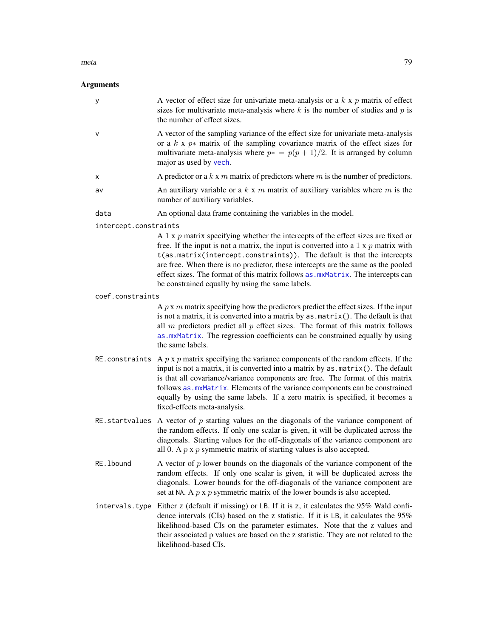#### meta 2008 and 2008 and 2008 and 2008 and 2008 and 2008 and 2008 and 2008 and 2008 and 2008 and 2008 and 2008 and 2008 and 2008 and 2008 and 2008 and 2008 and 2008 and 2008 and 2008 and 2008 and 2008 and 2008 and 2008 and 2

| у                     | A vector of effect size for univariate meta-analysis or a $k \times p$ matrix of effect<br>sizes for multivariate meta-analysis where $k$ is the number of studies and $p$ is<br>the number of effect sizes.                                                                                                                                                                                                                                                                               |
|-----------------------|--------------------------------------------------------------------------------------------------------------------------------------------------------------------------------------------------------------------------------------------------------------------------------------------------------------------------------------------------------------------------------------------------------------------------------------------------------------------------------------------|
| V                     | A vector of the sampling variance of the effect size for univariate meta-analysis<br>or a $k \times p*$ matrix of the sampling covariance matrix of the effect sizes for<br>multivariate meta-analysis where $p* = p(p + 1)/2$ . It is arranged by column<br>major as used by vech.                                                                                                                                                                                                        |
| х                     | A predictor or a $k \times m$ matrix of predictors where $m$ is the number of predictors.                                                                                                                                                                                                                                                                                                                                                                                                  |
| av                    | An auxiliary variable or a $k \times m$ matrix of auxiliary variables where $m$ is the<br>number of auxiliary variables.                                                                                                                                                                                                                                                                                                                                                                   |
| data                  | An optional data frame containing the variables in the model.                                                                                                                                                                                                                                                                                                                                                                                                                              |
| intercept.constraints |                                                                                                                                                                                                                                                                                                                                                                                                                                                                                            |
|                       | A 1 x $p$ matrix specifying whether the intercepts of the effect sizes are fixed or<br>free. If the input is not a matrix, the input is converted into a $1 \times p$ matrix with<br>t(as.matrix(intercept.constraints)). The default is that the intercepts<br>are free. When there is no predictor, these intercepts are the same as the pooled<br>effect sizes. The format of this matrix follows as . mxMatrix. The intercepts can<br>be constrained equally by using the same labels. |
| coef.constraints      |                                                                                                                                                                                                                                                                                                                                                                                                                                                                                            |
|                       | A $p \times m$ matrix specifying how the predictors predict the effect sizes. If the input<br>is not a matrix, it is converted into a matrix by as . matrix (). The default is that<br>all $m$ predictors predict all $p$ effect sizes. The format of this matrix follows<br>as.mxMatrix. The regression coefficients can be constrained equally by using<br>the same labels.                                                                                                              |
|                       | RE constraints A $p \times p$ matrix specifying the variance components of the random effects. If the<br>input is not a matrix, it is converted into a matrix by $as.matrix()$ . The default<br>is that all covariance/variance components are free. The format of this matrix<br>follows as . mxMatrix. Elements of the variance components can be constrained<br>equally by using the same labels. If a zero matrix is specified, it becomes a<br>fixed-effects meta-analysis.           |
|                       | RE startvalues A vector of $p$ starting values on the diagonals of the variance component of<br>the random effects. If only one scalar is given, it will be duplicated across the<br>diagonals. Starting values for the off-diagonals of the variance component are<br>all 0. A $p \times p$ symmetric matrix of starting values is also accepted.                                                                                                                                         |
| RE. 1bound            | A vector of $p$ lower bounds on the diagonals of the variance component of the<br>random effects. If only one scalar is given, it will be duplicated across the<br>diagonals. Lower bounds for the off-diagonals of the variance component are<br>set at NA. A $p \times p$ symmetric matrix of the lower bounds is also accepted.                                                                                                                                                         |
| intervals.type        | Either z (default if missing) or LB. If it is z, it calculates the 95% Wald confi-<br>dence intervals (CIs) based on the z statistic. If it is LB, it calculates the 95%<br>likelihood-based CIs on the parameter estimates. Note that the z values and<br>their associated p values are based on the z statistic. They are not related to the<br>likelihood-based CIs.                                                                                                                    |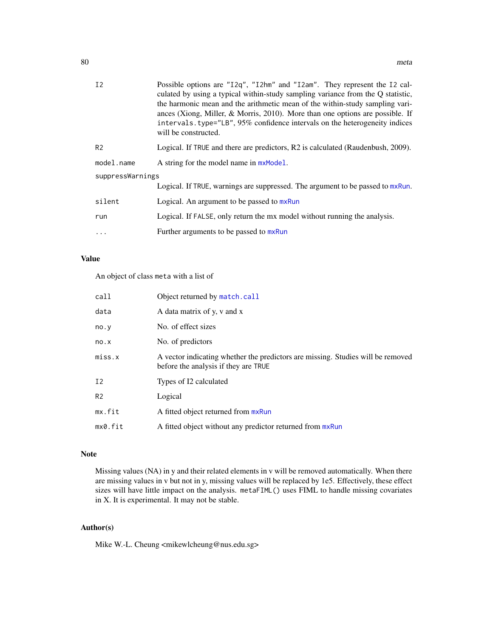| I <sub>2</sub>   | Possible options are "12q", "12hm" and "12am". They represent the 12 cal-<br>culated by using a typical within-study sampling variance from the Q statistic,<br>the harmonic mean and the arithmetic mean of the within-study sampling vari-<br>ances (Xiong, Miller, & Morris, 2010). More than one options are possible. If<br>intervals.type="LB", 95% confidence intervals on the heterogeneity indices<br>will be constructed. |
|------------------|-------------------------------------------------------------------------------------------------------------------------------------------------------------------------------------------------------------------------------------------------------------------------------------------------------------------------------------------------------------------------------------------------------------------------------------|
| R <sub>2</sub>   | Logical. If TRUE and there are predictors, R2 is calculated (Raudenbush, 2009).                                                                                                                                                                                                                                                                                                                                                     |
| model.name       | A string for the model name in $mxModel$ .                                                                                                                                                                                                                                                                                                                                                                                          |
| suppressWarnings |                                                                                                                                                                                                                                                                                                                                                                                                                                     |
|                  | Logical. If TRUE, warnings are suppressed. The argument to be passed to mxRun.                                                                                                                                                                                                                                                                                                                                                      |
| silent           | Logical. An argument to be passed to mxRun                                                                                                                                                                                                                                                                                                                                                                                          |
| run              | Logical. If FALSE, only return the mx model without running the analysis.                                                                                                                                                                                                                                                                                                                                                           |
| .                | Further arguments to be passed to mxRun                                                                                                                                                                                                                                                                                                                                                                                             |
|                  |                                                                                                                                                                                                                                                                                                                                                                                                                                     |

# Value

An object of class meta with a list of

| call           | Object returned by match.call                                                                                           |
|----------------|-------------------------------------------------------------------------------------------------------------------------|
| data           | A data matrix of y, y and x                                                                                             |
| no.y           | No. of effect sizes                                                                                                     |
| no.x           | No. of predictors                                                                                                       |
| miss.x         | A vector indicating whether the predictors are missing. Studies will be removed<br>before the analysis if they are TRUE |
| Ι2             | Types of I2 calculated                                                                                                  |
| R <sub>2</sub> | Logical                                                                                                                 |
| mx.fit         | A fitted object returned from mxRun                                                                                     |
| mx0.fit        | A fitted object without any predictor returned from mxRun                                                               |

## Note

Missing values (NA) in y and their related elements in v will be removed automatically. When there are missing values in v but not in y, missing values will be replaced by 1e5. Effectively, these effect sizes will have little impact on the analysis. metaFIML() uses FIML to handle missing covariates in X. It is experimental. It may not be stable.

# Author(s)

Mike W.-L. Cheung <mikewlcheung@nus.edu.sg>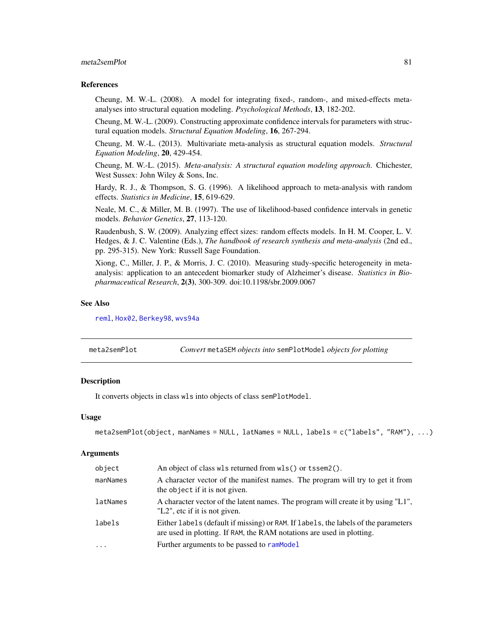# meta2semPlot 81

#### References

Cheung, M. W.-L. (2008). A model for integrating fixed-, random-, and mixed-effects metaanalyses into structural equation modeling. *Psychological Methods*, 13, 182-202.

Cheung, M. W.-L. (2009). Constructing approximate confidence intervals for parameters with structural equation models. *Structural Equation Modeling*, 16, 267-294.

Cheung, M. W.-L. (2013). Multivariate meta-analysis as structural equation models. *Structural Equation Modeling*, 20, 429-454.

Cheung, M. W.-L. (2015). *Meta-analysis: A structural equation modeling approach*. Chichester, West Sussex: John Wiley & Sons, Inc.

Hardy, R. J., & Thompson, S. G. (1996). A likelihood approach to meta-analysis with random effects. *Statistics in Medicine*, 15, 619-629.

Neale, M. C., & Miller, M. B. (1997). The use of likelihood-based confidence intervals in genetic models. *Behavior Genetics*, 27, 113-120.

Raudenbush, S. W. (2009). Analyzing effect sizes: random effects models. In H. M. Cooper, L. V. Hedges, & J. C. Valentine (Eds.), *The handbook of research synthesis and meta-analysis* (2nd ed., pp. 295-315). New York: Russell Sage Foundation.

Xiong, C., Miller, J. P., & Morris, J. C. (2010). Measuring study-specific heterogeneity in metaanalysis: application to an antecedent biomarker study of Alzheimer's disease. *Statistics in Biopharmaceutical Research*, 2(3), 300-309. doi:10.1198/sbr.2009.0067

#### See Also

[reml](#page-102-0), [Hox02](#page-58-0), [Berkey98](#page-23-0), [wvs94a](#page-132-0)

<span id="page-80-0"></span>

| meta2semPlot | Convert metaSEM objects into semPlotModel objects for plotting |  |
|--------------|----------------------------------------------------------------|--|
|--------------|----------------------------------------------------------------|--|

# Description

It converts objects in class wls into objects of class semPlotModel.

#### Usage

```
meta2semPlot(object, manNames = NULL, latNames = NULL, labels = c("labels", "RAM"), ...)
```

| object   | An object of class wls returned from wls() or tssem2().                                                                                                     |
|----------|-------------------------------------------------------------------------------------------------------------------------------------------------------------|
| manNames | A character vector of the manifest names. The program will try to get it from<br>the object if it is not given.                                             |
| latNames | A character vector of the latent names. The program will create it by using "L1",<br>"L2", etc if it is not given.                                          |
| labels   | Either labels (default if missing) or RAM. If labels, the labels of the parameters<br>are used in plotting. If RAM, the RAM notations are used in plotting. |
| $\ddots$ | Further arguments to be passed to ramModel                                                                                                                  |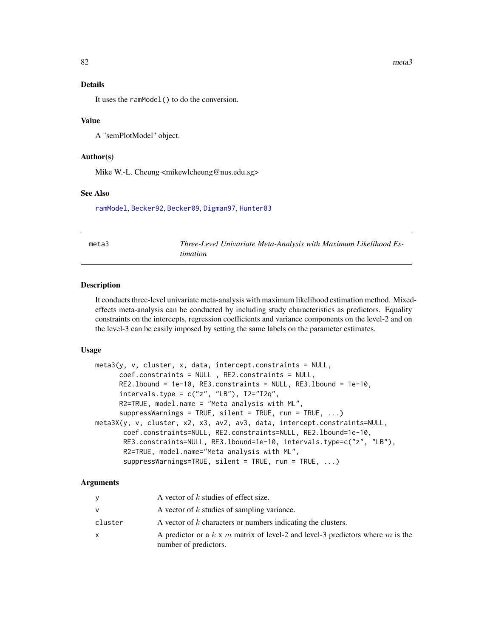#### Details

It uses the ramModel() to do the conversion.

#### Value

A "semPlotModel" object.

# Author(s)

Mike W.-L. Cheung <mikewlcheung@nus.edu.sg>

#### See Also

[ramModel](#page-0-0), [Becker92](#page-19-0), [Becker09](#page-14-0), [Digman97](#page-50-0), [Hunter83](#page-59-0)

<span id="page-81-0"></span>meta3 *Three-Level Univariate Meta-Analysis with Maximum Likelihood Estimation*

#### Description

It conducts three-level univariate meta-analysis with maximum likelihood estimation method. Mixedeffects meta-analysis can be conducted by including study characteristics as predictors. Equality constraints on the intercepts, regression coefficients and variance components on the level-2 and on the level-3 can be easily imposed by setting the same labels on the parameter estimates.

#### Usage

```
meta3(y, v, cluster, x, data, intercept. constraints = NULL,coef.constraints = NULL , RE2.constraints = NULL,
     RE2.lbound = 1e-10, RE3.constraints = NULL, RE3.lbound = 1e-10,
     intervals.type = c("z", "LB"), I2='I2q",R2=TRUE, model.name = "Meta analysis with ML",
      suppressWarnings = TRUE, silent = TRUE, run = TRUE, ...)
meta3X(y, v, cluster, x2, x3, av2, av3, data, intercept.constraints=NULL,
       coef.constraints=NULL, RE2.constraints=NULL, RE2.lbound=1e-10,
       RE3.constraints=NULL, RE3.lbound=1e-10, intervals.type=c("z", "LB"),
       R2=TRUE, model.name="Meta analysis with ML",
       suppressWarnings=TRUE, silent = TRUE, run = TRUE, ...)
```

| V       | A vector of $k$ studies of effect size.                                                                 |
|---------|---------------------------------------------------------------------------------------------------------|
| v       | A vector of k studies of sampling variance.                                                             |
| cluster | A vector of k characters or numbers indicating the clusters.                                            |
| X       | A predictor or a k x m matrix of level-2 and level-3 predictors where m is the<br>number of predictors. |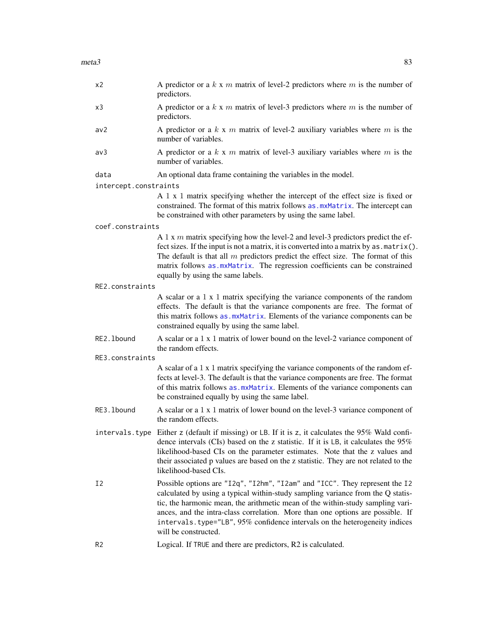| x <sub>2</sub>        | A predictor or a $k \times m$ matrix of level-2 predictors where $m$ is the number of<br>predictors.                                                                                                                                                                                                                                                                                     |
|-----------------------|------------------------------------------------------------------------------------------------------------------------------------------------------------------------------------------------------------------------------------------------------------------------------------------------------------------------------------------------------------------------------------------|
| x3                    | A predictor or a $k \times m$ matrix of level-3 predictors where $m$ is the number of<br>predictors.                                                                                                                                                                                                                                                                                     |
| av2                   | A predictor or a $k \times m$ matrix of level-2 auxiliary variables where $m$ is the<br>number of variables.                                                                                                                                                                                                                                                                             |
| av3                   | A predictor or a $k \times m$ matrix of level-3 auxiliary variables where $m$ is the<br>number of variables.                                                                                                                                                                                                                                                                             |
| data                  | An optional data frame containing the variables in the model.                                                                                                                                                                                                                                                                                                                            |
| intercept.constraints |                                                                                                                                                                                                                                                                                                                                                                                          |
|                       | A 1 x 1 matrix specifying whether the intercept of the effect size is fixed or<br>constrained. The format of this matrix follows as .mxMatrix. The intercept can<br>be constrained with other parameters by using the same label.                                                                                                                                                        |
| coef.constraints      |                                                                                                                                                                                                                                                                                                                                                                                          |
|                       | A 1 x $m$ matrix specifying how the level-2 and level-3 predictors predict the ef-<br>fect sizes. If the input is not a matrix, it is converted into a matrix by as . matrix().<br>The default is that all $m$ predictors predict the effect size. The format of this<br>matrix follows as mxMatrix. The regression coefficients can be constrained<br>equally by using the same labels. |
| RE2.constraints       |                                                                                                                                                                                                                                                                                                                                                                                          |
|                       | A scalar or a 1 x 1 matrix specifying the variance components of the random<br>effects. The default is that the variance components are free. The format of<br>this matrix follows as .mxMatrix. Elements of the variance components can be<br>constrained equally by using the same label.                                                                                              |
| RE2.1bound            | A scalar or a 1 x 1 matrix of lower bound on the level-2 variance component of<br>the random effects.                                                                                                                                                                                                                                                                                    |
| RE3.constraints       |                                                                                                                                                                                                                                                                                                                                                                                          |
|                       | A scalar of a 1 x 1 matrix specifying the variance components of the random ef-<br>fects at level-3. The default is that the variance components are free. The format<br>of this matrix follows as .mxMatrix. Elements of the variance components can<br>be constrained equally by using the same label.                                                                                 |
| RE3.1bound            | A scalar or a 1 x 1 matrix of lower bound on the level-3 variance component of                                                                                                                                                                                                                                                                                                           |

- intervals.type Either z (default if missing) or LB. If it is z, it calculates the 95% Wald confidence intervals (CIs) based on the z statistic. If it is LB, it calculates the 95% likelihood-based CIs on the parameter estimates. Note that the z values and their associated p values are based on the z statistic. They are not related to the likelihood-based CIs.
- I2 Possible options are "I2q", "I2hm", "I2am" and "ICC". They represent the I2 calculated by using a typical within-study sampling variance from the Q statistic, the harmonic mean, the arithmetic mean of the within-study sampling variances, and the intra-class correlation. More than one options are possible. If intervals.type="LB", 95% confidence intervals on the heterogeneity indices will be constructed.
- R2 Logical. If TRUE and there are predictors, R2 is calculated.

the random effects.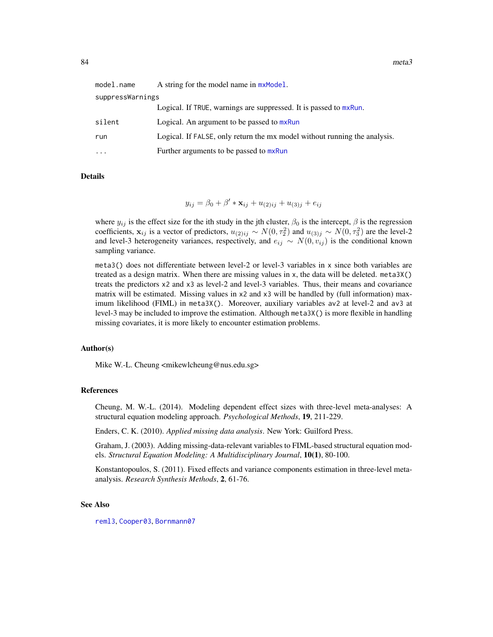| model.name       | A string for the model name in $m \times \text{Model}$ .                  |  |  |  |
|------------------|---------------------------------------------------------------------------|--|--|--|
| suppressWarnings |                                                                           |  |  |  |
|                  | Logical. If TRUE, warnings are suppressed. It is passed to mxRun.         |  |  |  |
| silent           | Logical. An argument to be passed to mxRun                                |  |  |  |
| run              | Logical. If FALSE, only return the mx model without running the analysis. |  |  |  |
| .                | Further arguments to be passed to mxRun                                   |  |  |  |

Details

 $y_{ij} = \beta_0 + \beta' * \mathbf{x}_{ij} + u_{(2)ij} + u_{(3)j} + e_{ij}$ 

where  $y_{ij}$  is the effect size for the ith study in the jth cluster,  $\beta_0$  is the intercept,  $\beta$  is the regression coefficients,  $x_{ij}$  is a vector of predictors,  $u_{(2)ij} \sim N(0, \tau_2^2)$  and  $u_{(3)j} \sim N(0, \tau_3^2)$  are the level-2 and level-3 heterogeneity variances, respectively, and  $e_{ij} \sim N(0, v_{ij})$  is the conditional known sampling variance.

meta3() does not differentiate between level-2 or level-3 variables in x since both variables are treated as a design matrix. When there are missing values in x, the data will be deleted. meta3X() treats the predictors x2 and x3 as level-2 and level-3 variables. Thus, their means and covariance matrix will be estimated. Missing values in x2 and x3 will be handled by (full information) maximum likelihood (FIML) in meta3X(). Moreover, auxiliary variables av2 at level-2 and av3 at level-3 may be included to improve the estimation. Although meta3X() is more flexible in handling missing covariates, it is more likely to encounter estimation problems.

# Author(s)

Mike W.-L. Cheung <mikewlcheung@nus.edu.sg>

#### References

Cheung, M. W.-L. (2014). Modeling dependent effect sizes with three-level meta-analyses: A structural equation modeling approach. *Psychological Methods*, 19, 211-229.

Enders, C. K. (2010). *Applied missing data analysis*. New York: Guilford Press.

Graham, J. (2003). Adding missing-data-relevant variables to FIML-based structural equation models. *Structural Equation Modeling: A Multidisciplinary Journal*, 10(1), 80-100.

Konstantopoulos, S. (2011). Fixed effects and variance components estimation in three-level metaanalysis. *Research Synthesis Methods*, 2, 61-76.

#### See Also

[reml3](#page-104-0), [Cooper03](#page-38-0), [Bornmann07](#page-28-0)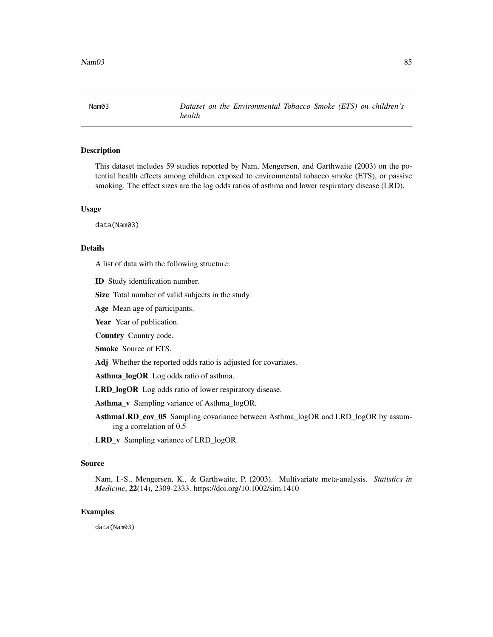Nam03 *Dataset on the Environmental Tobacco Smoke (ETS) on children's health*

## Description

This dataset includes 59 studies reported by Nam, Mengersen, and Garthwaite (2003) on the potential health effects among children exposed to environmental tobacco smoke (ETS), or passive smoking. The effect sizes are the log odds ratios of asthma and lower respiratory disease (LRD).

#### Usage

data(Nam03)

#### Details

A list of data with the following structure:

ID Study identification number.

Size Total number of valid subjects in the study.

Age Mean age of participants.

Year Year of publication.

Country Country code.

Smoke Source of ETS.

Adj Whether the reported odds ratio is adjusted for covariates.

Asthma\_logOR Log odds ratio of asthma.

LRD\_logOR Log odds ratio of lower respiratory disease.

Asthma v Sampling variance of Asthma logOR.

AsthmaLRD\_cov\_05 Sampling covariance between Asthma\_logOR and LRD\_logOR by assuming a correlation of 0.5

LRD\_v Sampling variance of LRD\_logOR.

## Source

Nam, I.-S., Mengersen, K., & Garthwaite, P. (2003). Multivariate meta-analysis. *Statistics in Medicine*, 22(14), 2309-2333. https://doi.org/10.1002/sim.1410

### Examples

data(Nam03)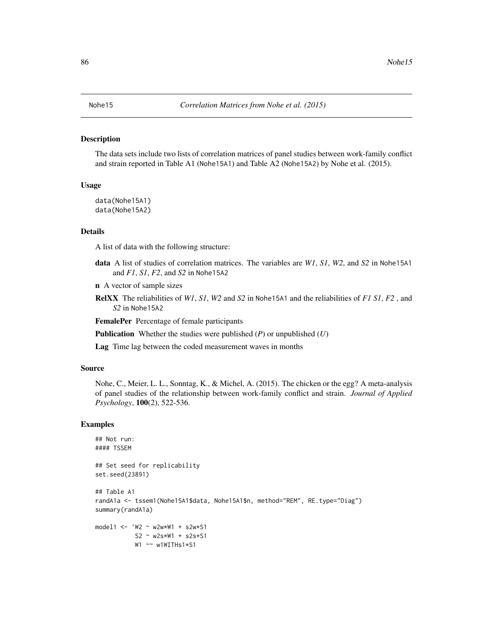#### <span id="page-85-0"></span>Description

The data sets include two lists of correlation matrices of panel studies between work-family conflict and strain reported in Table A1 (Nohe15A1) and Table A2 (Nohe15A2) by Nohe et al. (2015).

# Usage

```
data(Nohe15A1)
data(Nohe15A2)
```
#### Details

A list of data with the following structure:

data A list of studies of correlation matrices. The variables are *W1*, *S1*, *W2*, and *S2* in Nohe15A1 and *F1*, *S1*, *F2*, and *S2* in Nohe15A2

n A vector of sample sizes

RelXX The reliabilities of *W1*, *S1*, *W2* and *S2* in Nohe15A1 and the reliabilities of *F1 S1*, *F2* , and *S2* in Nohe15A2

FemalePer Percentage of female participants

Publication Whether the studies were published (*P*) or unpublished (*U*)

Lag Time lag between the coded measurement waves in months

#### Source

Nohe, C., Meier, L. L., Sonntag, K., & Michel, A. (2015). The chicken or the egg? A meta-analysis of panel studies of the relationship between work-family conflict and strain. *Journal of Applied Psychology*, 100(2), 522-536.

#### Examples

```
## Not run:
#### TSSEM
## Set seed for replicability
set.seed(23891)
## Table A1
randA1a <- tssem1(Nohe15A1$data, Nohe15A1$n, method="REM", RE.type="Diag")
summary(randA1a)
model1 <- 'W2 ~ w2w*W1 + s2w*S1
           S2 ~ w2s*W1 + s2s*S1
           W1 ~~ w1WITHs1*S1
```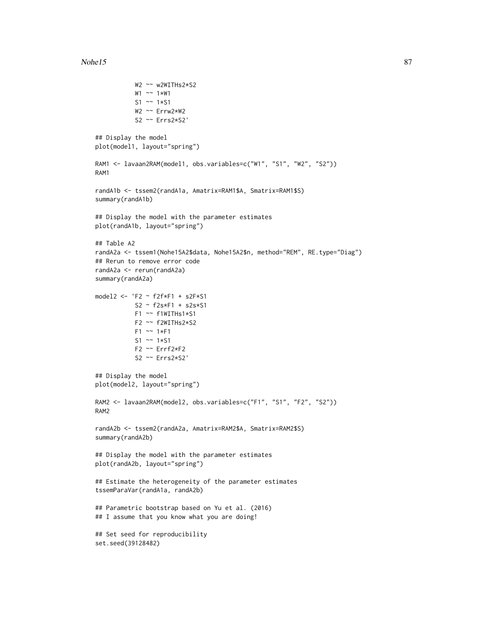#### $Nohel5$  87

W2 ~~ w2WITHs2\*S2

```
W1 ~~ 1*W1
           S1 ~~ 1*S1
           W2 ~~ Errw2*W2
           S2 ~~ Errs2*S2'
## Display the model
plot(model1, layout="spring")
RAM1 <- lavaan2RAM(model1, obs.variables=c("W1", "S1", "W2", "S2"))
RAM1
randA1b <- tssem2(randA1a, Amatrix=RAM1$A, Smatrix=RAM1$S)
summary(randA1b)
## Display the model with the parameter estimates
plot(randA1b, layout="spring")
## Table A2
randA2a <- tssem1(Nohe15A2$data, Nohe15A2$n, method="REM", RE.type="Diag")
## Rerun to remove error code
randA2a <- rerun(randA2a)
summary(randA2a)
model2 <- 'F2 ~ f2f*F1 + s2F*S1
          S2 ~ f2s*F1 + s2s*S1
           F1 ~~ f1WITHs1*S1
           F2 ~~ f2WITHs2*S2
           F1 ~~ 1*F1
           S1 ~~ 1*S1
          F2 ~~ Errf2*F2
          S2 ~~ Errs2*S2'
## Display the model
plot(model2, layout="spring")
RAM2 <- lavaan2RAM(model2, obs.variables=c("F1", "S1", "F2", "S2"))
RAM2
randA2b <- tssem2(randA2a, Amatrix=RAM2$A, Smatrix=RAM2$S)
summary(randA2b)
## Display the model with the parameter estimates
plot(randA2b, layout="spring")
## Estimate the heterogeneity of the parameter estimates
tssemParaVar(randA1a, randA2b)
## Parametric bootstrap based on Yu et al. (2016)
## I assume that you know what you are doing!
## Set seed for reproducibility
set.seed(39128482)
```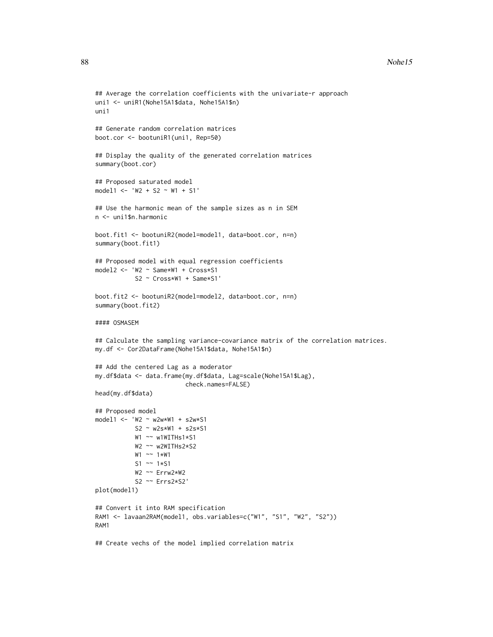```
## Average the correlation coefficients with the univariate-r approach
uni1 <- uniR1(Nohe15A1$data, Nohe15A1$n)
uni1
## Generate random correlation matrices
boot.cor <- bootuniR1(uni1, Rep=50)
## Display the quality of the generated correlation matrices
summary(boot.cor)
## Proposed saturated model
model1 <- 'W2 + S2 ~ W1 + S1'
## Use the harmonic mean of the sample sizes as n in SEM
n <- uni1$n.harmonic
boot.fit1 <- bootuniR2(model=model1, data=boot.cor, n=n)
summary(boot.fit1)
## Proposed model with equal regression coefficients
model2 <- 'W2 ~ Same*W1 + Cross*S1
           S2 ~ Cross*W1 + Same*S1'
boot.fit2 <- bootuniR2(model=model2, data=boot.cor, n=n)
summary(boot.fit2)
#### OSMASEM
## Calculate the sampling variance-covariance matrix of the correlation matrices.
my.df <- Cor2DataFrame(Nohe15A1$data, Nohe15A1$n)
## Add the centered Lag as a moderator
my.df$data <- data.frame(my.df$data, Lag=scale(Nohe15A1$Lag),
                         check.names=FALSE)
head(my.df$data)
## Proposed model
model1 <- 'W2 ~ w2w*W1 + s2w*S1
           S2 ~ w2s*W1 + s2s*S1
           W1 ~~ w1WITHs1*S1
           W2 ~~ w2WITHs2*S2
          W1 ~~ 1*W1
           S1 ~~ 1*S1
          W2 ~~ Errw2*W2
           S2 ~~ Errs2*S2'
plot(model1)
## Convert it into RAM specification
RAM1 <- lavaan2RAM(model1, obs.variables=c("W1", "S1", "W2", "S2"))
RAM1
## Create vechs of the model implied correlation matrix
```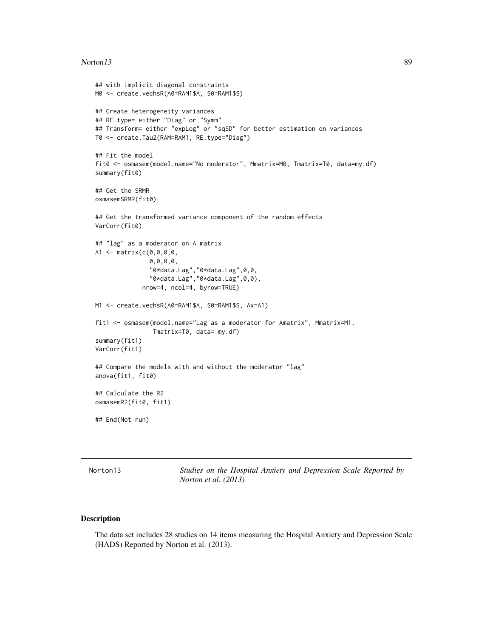#### Norton13 89

```
## with implicit diagonal constraints
M0 <- create.vechsR(A0=RAM1$A, S0=RAM1$S)
## Create heterogeneity variances
## RE.type= either "Diag" or "Symm"
## Transform= either "expLog" or "sqSD" for better estimation on variances
T0 <- create.Tau2(RAM=RAM1, RE.type="Diag")
## Fit the model
fit0 <- osmasem(model.name="No moderator", Mmatrix=M0, Tmatrix=T0, data=my.df)
summary(fit0)
## Get the SRMR
osmasemSRMR(fit0)
## Get the transformed variance component of the random effects
VarCorr(fit0)
## "lag" as a moderator on A matrix
A1 <- matrix(c(0,0,0,0,
               0,0,0,0,
               "0*data.Lag","0*data.Lag",0,0,
               "0*data.Lag","0*data.Lag",0,0),
             nrow=4, ncol=4, byrow=TRUE)
M1 <- create.vechsR(A0=RAM1$A, S0=RAM1$S, Ax=A1)
fit1 <- osmasem(model.name="Lag as a moderator for Amatrix", Mmatrix=M1,
                Tmatrix=T0, data= my.df)
summary(fit1)
VarCorr(fit1)
## Compare the models with and without the moderator "lag"
anova(fit1, fit0)
## Calculate the R2
osmasemR2(fit0, fit1)
## End(Not run)
```
Norton13 *Studies on the Hospital Anxiety and Depression Scale Reported by Norton et al. (2013)*

# Description

The data set includes 28 studies on 14 items measuring the Hospital Anxiety and Depression Scale (HADS) Reported by Norton et al. (2013).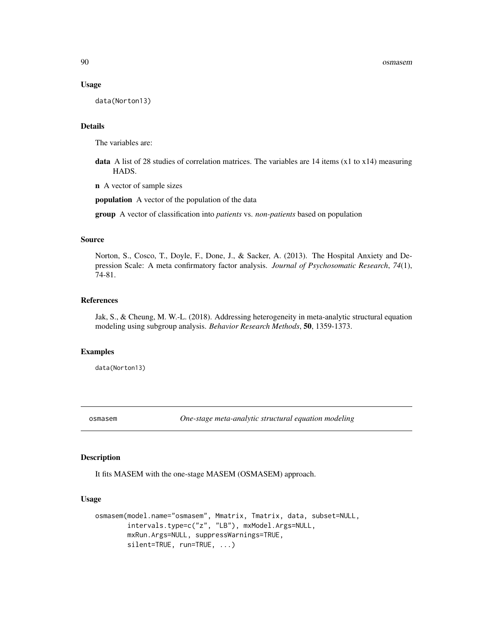#### Usage

data(Norton13)

# Details

The variables are:

data A list of 28 studies of correlation matrices. The variables are  $14$  items (x1 to x14) measuring HADS.

n A vector of sample sizes

population A vector of the population of the data

group A vector of classification into *patients* vs. *non-patients* based on population

#### Source

Norton, S., Cosco, T., Doyle, F., Done, J., & Sacker, A. (2013). The Hospital Anxiety and Depression Scale: A meta confirmatory factor analysis. *Journal of Psychosomatic Research*, *74*(1), 74-81.

# References

Jak, S., & Cheung, M. W.-L. (2018). Addressing heterogeneity in meta-analytic structural equation modeling using subgroup analysis. *Behavior Research Methods*, 50, 1359-1373.

#### Examples

data(Norton13)

<span id="page-89-0"></span>osmasem *One-stage meta-analytic structural equation modeling*

#### Description

It fits MASEM with the one-stage MASEM (OSMASEM) approach.

# Usage

```
osmasem(model.name="osmasem", Mmatrix, Tmatrix, data, subset=NULL,
        intervals.type=c("z", "LB"), mxModel.Args=NULL,
       mxRun.Args=NULL, suppressWarnings=TRUE,
       silent=TRUE, run=TRUE, ...)
```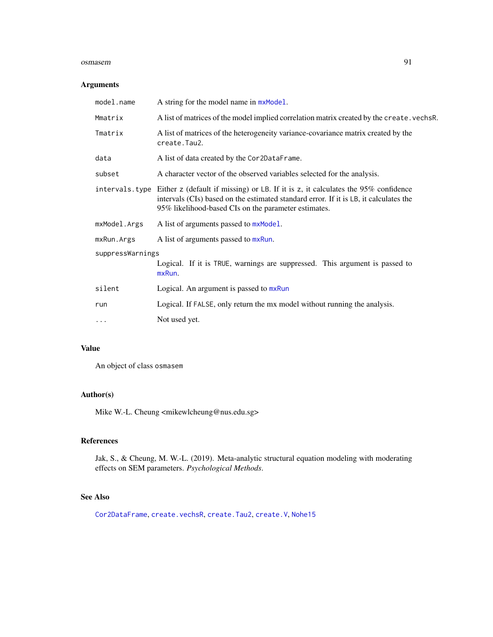#### osmasem 91

## Arguments

| A string for the model name in mxModel.                                                                                                                                                                                                            |
|----------------------------------------------------------------------------------------------------------------------------------------------------------------------------------------------------------------------------------------------------|
| A list of matrices of the model implied correlation matrix created by the create. vechsR.                                                                                                                                                          |
| A list of matrices of the heterogeneity variance-covariance matrix created by the<br>create. Tau2.                                                                                                                                                 |
| A list of data created by the Cor2DataFrame.                                                                                                                                                                                                       |
| A character vector of the observed variables selected for the analysis.                                                                                                                                                                            |
| intervals. type Either z (default if missing) or LB. If it is z, it calculates the 95% confidence<br>intervals (CIs) based on the estimated standard error. If it is LB, it calculates the<br>95% likelihood-based CIs on the parameter estimates. |
| A list of arguments passed to mxModel.                                                                                                                                                                                                             |
| A list of arguments passed to mxRun.                                                                                                                                                                                                               |
| suppressWarnings                                                                                                                                                                                                                                   |
| Logical. If it is TRUE, warnings are suppressed. This argument is passed to<br>mxRun.                                                                                                                                                              |
| Logical. An argument is passed to mxRun                                                                                                                                                                                                            |
| Logical. If FALSE, only return the mx model without running the analysis.                                                                                                                                                                          |
| Not used yet.                                                                                                                                                                                                                                      |
|                                                                                                                                                                                                                                                    |

# Value

An object of class osmasem

# Author(s)

Mike W.-L. Cheung <mikewlcheung@nus.edu.sg>

# References

Jak, S., & Cheung, M. W.-L. (2019). Meta-analytic structural equation modeling with moderating effects on SEM parameters. *Psychological Methods*.

# See Also

[Cor2DataFrame](#page-40-0), [create.vechsR](#page-48-0), [create.Tau2](#page-45-0), [create.V](#page-47-0), [Nohe15](#page-85-0)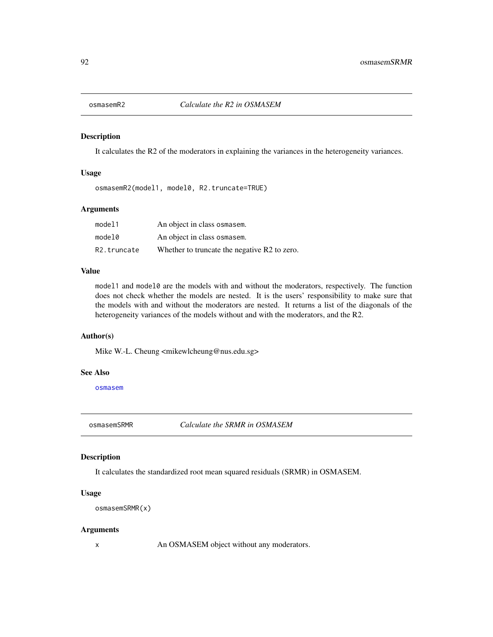# Description

It calculates the R2 of the moderators in explaining the variances in the heterogeneity variances.

# Usage

osmasemR2(model1, model0, R2.truncate=TRUE)

# Arguments

| model1      | An object in class osmasem.                  |
|-------------|----------------------------------------------|
| model0      | An object in class osmasem.                  |
| R2.truncate | Whether to truncate the negative R2 to zero. |

# Value

model1 and model0 are the models with and without the moderators, respectively. The function does not check whether the models are nested. It is the users' responsibility to make sure that the models with and without the moderators are nested. It returns a list of the diagonals of the heterogeneity variances of the models without and with the moderators, and the R2.

# Author(s)

Mike W.-L. Cheung <mikewlcheung@nus.edu.sg>

#### See Also

[osmasem](#page-89-0)

osmasemSRMR *Calculate the SRMR in OSMASEM*

# Description

It calculates the standardized root mean squared residuals (SRMR) in OSMASEM.

## Usage

```
osmasemSRMR(x)
```
#### Arguments

x An OSMASEM object without any moderators.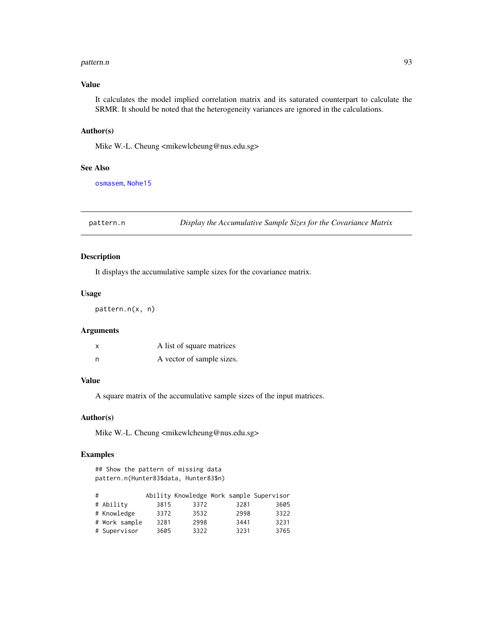#### pattern.n 93

# Value

It calculates the model implied correlation matrix and its saturated counterpart to calculate the SRMR. It should be noted that the heterogeneity variances are ignored in the calculations.

#### Author(s)

Mike W.-L. Cheung <mikewlcheung@nus.edu.sg>

# See Also

[osmasem](#page-89-0), [Nohe15](#page-85-0)

pattern.n *Display the Accumulative Sample Sizes for the Covariance Matrix*

# Description

It displays the accumulative sample sizes for the covariance matrix.

# Usage

pattern.n(x, n)

# Arguments

| x | A list of square matrices |
|---|---------------------------|
| n | A vector of sample sizes. |

# Value

A square matrix of the accumulative sample sizes of the input matrices.

#### Author(s)

Mike W.-L. Cheung <mikewlcheung@nus.edu.sg>

## Examples

## Show the pattern of missing data pattern.n(Hunter83\$data, Hunter83\$n)

| # |               |      |      |      | Ability Knowledge Work sample Supervisor |
|---|---------------|------|------|------|------------------------------------------|
|   | # Ability     | 3815 | 3372 | 3281 | 3605                                     |
|   | # Knowledge   | 3372 | 3532 | 2998 | 3322                                     |
|   | # Work sample | 3281 | 2998 | 3441 | 3231                                     |
|   | # Supervisor  | 3605 | 3322 | 3231 | 3765                                     |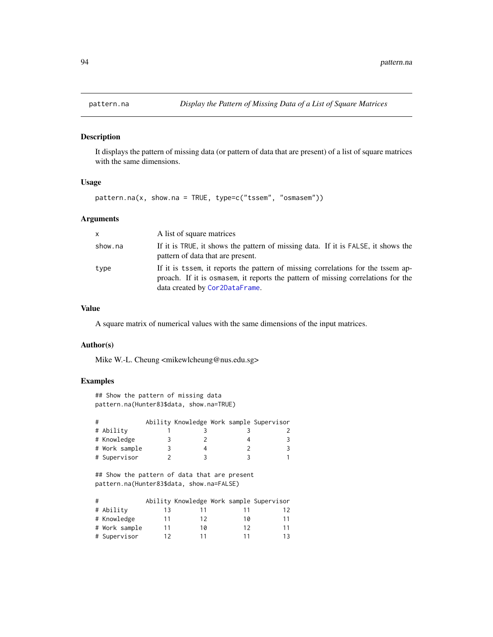# Description

It displays the pattern of missing data (or pattern of data that are present) of a list of square matrices with the same dimensions.

# Usage

pattern.na(x, show.na = TRUE, type=c("tssem", "osmasem"))

# Arguments

| <b>X</b> | A list of square matrices                                                                                                                                                                              |
|----------|--------------------------------------------------------------------------------------------------------------------------------------------------------------------------------------------------------|
| show.na  | If it is TRUE, it shows the pattern of missing data. If it is FALSE, it shows the<br>pattern of data that are present.                                                                                 |
| type     | If it is tssem, it reports the pattern of missing correlations for the tssem ap-<br>proach. If it is osmasem, it reports the pattern of missing correlations for the<br>data created by Cor2DataFrame. |

# Value

A square matrix of numerical values with the same dimensions of the input matrices.

## Author(s)

Mike W.-L. Cheung <mikewlcheung@nus.edu.sg>

# Examples

```
## Show the pattern of missing data
pattern.na(Hunter83$data, show.na=TRUE)
```

| # |               |   |  | Ability Knowledge Work sample Supervisor |
|---|---------------|---|--|------------------------------------------|
|   | # Ability     |   |  |                                          |
|   | # Knowledge   |   |  |                                          |
|   | # Work sample | 3 |  |                                          |
|   | # Supervisor  |   |  |                                          |

## Show the pattern of data that are present pattern.na(Hunter83\$data, show.na=FALSE)

| # |               |    |    |    | Ability Knowledge Work sample Supervisor |
|---|---------------|----|----|----|------------------------------------------|
|   | # Ability     | 13 |    |    | 12                                       |
|   | # Knowledge   | 11 | 12 | 10 | 11                                       |
|   | # Work sample | 11 | 10 | 12 | 11                                       |
|   | # Supervisor  | 12 |    |    | 1 २                                      |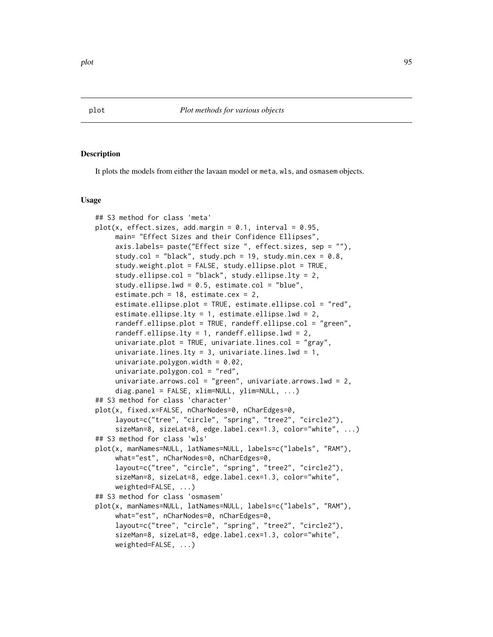#### Description

It plots the models from either the lavaan model or meta, wls, and osmasem objects.

#### Usage

```
## S3 method for class 'meta'
plot(x, effect.sizes, add.margin = 0.1, interval = 0.95,main= "Effect Sizes and their Confidence Ellipses",
     axis.labels= paste("Effect size ", effect.sizes, sep = ""),
     study.col = "black", study.pch = 19, study.min.cex = 0.8,
     study.weight.plot = FALSE, study.ellipse.plot = TRUE,
     study.ellipse.col = "black", study.ellipse.lty = 2,
     study.ellipse.lwd = 0.5, estimate.col = "blue",
     estimate.pch = 18, estimate.cex = 2,
     estimate.ellipse.plot = TRUE, estimate.ellipse.col = "red",
     estimate.ellipse.lty = 1, estimate.ellipse.lwd = 2,
     randeff.ellipse.plot = TRUE, randeff.ellipse.col = "green",
     randeff.ellipse.lty = 1, randeff.ellipse.lwd = 2,
     univariate.plot = TRUE, univariate.lines.col = "gray",
     univariate.lines.lty = 3, univariate.lines.lwd = 1,
     univariate.polygon.width = 0.02,
     univariate.polygon.col = "red",
     univariate.arrows.col = "green", univariate.arrows.lwd = 2,
     diag.panel = FALSE, xlim=NULL, ylim=NULL, ...)
## S3 method for class 'character'
plot(x, fixed.x=FALSE, nCharNodes=0, nCharEdges=0,
     layout=c("tree", "circle", "spring", "tree2", "circle2"),
     sizeMan=8, sizeLat=8, edge.label.cex=1.3, color="white", ...)
## S3 method for class 'wls'
plot(x, manNames=NULL, latNames=NULL, labels=c("labels", "RAM"),
     what="est", nCharNodes=0, nCharEdges=0,
     layout=c("tree", "circle", "spring", "tree2", "circle2"),
     sizeMan=8, sizeLat=8, edge.label.cex=1.3, color="white",
     weighted=FALSE, ...)
## S3 method for class 'osmasem'
plot(x, manNames=NULL, latNames=NULL, labels=c("labels", "RAM"),
     what="est", nCharNodes=0, nCharEdges=0,
     layout=c("tree", "circle", "spring", "tree2", "circle2"),
     sizeMan=8, sizeLat=8, edge.label.cex=1.3, color="white",
     weighted=FALSE, ...)
```
plot the set of the set of the set of the set of the set of the set of the set of the set of the set of the set of the set of the set of the set of the set of the set of the set of the set of the set of the set of the set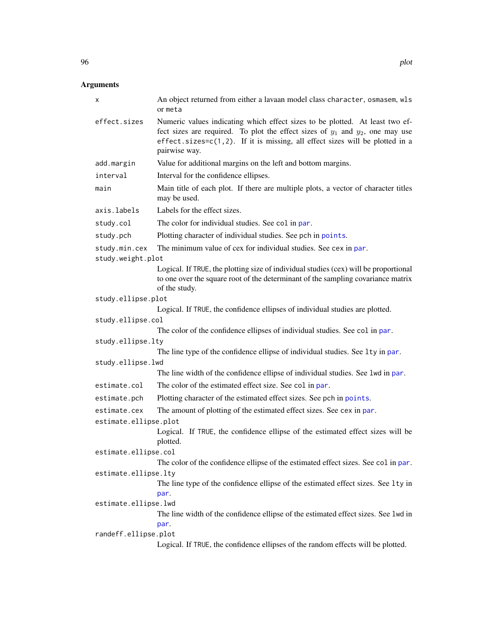| х                     | An object returned from either a lavaan model class character, osmasem, wls<br>or meta                                                                                                                                                                              |
|-----------------------|---------------------------------------------------------------------------------------------------------------------------------------------------------------------------------------------------------------------------------------------------------------------|
| effect.sizes          | Numeric values indicating which effect sizes to be plotted. At least two ef-<br>fect sizes are required. To plot the effect sizes of $y_1$ and $y_2$ , one may use<br>effect.sizes=c(1,2). If it is missing, all effect sizes will be plotted in a<br>pairwise way. |
| add.margin            | Value for additional margins on the left and bottom margins.                                                                                                                                                                                                        |
| interval              | Interval for the confidence ellipses.                                                                                                                                                                                                                               |
| main                  | Main title of each plot. If there are multiple plots, a vector of character titles<br>may be used.                                                                                                                                                                  |
| axis.labels           | Labels for the effect sizes.                                                                                                                                                                                                                                        |
| study.col             | The color for individual studies. See col in par.                                                                                                                                                                                                                   |
| study.pch             | Plotting character of individual studies. See pch in points.                                                                                                                                                                                                        |
| study.min.cex         | The minimum value of cex for individual studies. See cex in par.                                                                                                                                                                                                    |
| study.weight.plot     |                                                                                                                                                                                                                                                                     |
|                       | Logical. If TRUE, the plotting size of individual studies (cex) will be proportional<br>to one over the square root of the determinant of the sampling covariance matrix<br>of the study.                                                                           |
| study.ellipse.plot    |                                                                                                                                                                                                                                                                     |
|                       | Logical. If TRUE, the confidence ellipses of individual studies are plotted.                                                                                                                                                                                        |
| study.ellipse.col     |                                                                                                                                                                                                                                                                     |
|                       | The color of the confidence ellipses of individual studies. See col in par.                                                                                                                                                                                         |
| study.ellipse.lty     | The line type of the confidence ellipse of individual studies. See 1ty in par.                                                                                                                                                                                      |
| study.ellipse.lwd     | The line width of the confidence ellipse of individual studies. See 1wd in par.                                                                                                                                                                                     |
| estimate.col          |                                                                                                                                                                                                                                                                     |
|                       | The color of the estimated effect size. See col in par.                                                                                                                                                                                                             |
| estimate.pch          | Plotting character of the estimated effect sizes. See pch in points.                                                                                                                                                                                                |
| estimate.cex          | The amount of plotting of the estimated effect sizes. See cex in par.                                                                                                                                                                                               |
| estimate.ellipse.plot | Logical. If TRUE, the confidence ellipse of the estimated effect sizes will be                                                                                                                                                                                      |
|                       | plotted.                                                                                                                                                                                                                                                            |
| estimate.ellipse.col  |                                                                                                                                                                                                                                                                     |
|                       | The color of the confidence ellipse of the estimated effect sizes. See col in par.                                                                                                                                                                                  |
| estimate.ellipse.lty  |                                                                                                                                                                                                                                                                     |
|                       | The line type of the confidence ellipse of the estimated effect sizes. See 1ty in<br>par.                                                                                                                                                                           |
| estimate.ellipse.lwd  |                                                                                                                                                                                                                                                                     |
|                       | The line width of the confidence ellipse of the estimated effect sizes. See 1wd in<br>par.                                                                                                                                                                          |
| randeff.ellipse.plot  |                                                                                                                                                                                                                                                                     |
|                       | Logical. If TRUE, the confidence ellipses of the random effects will be plotted.                                                                                                                                                                                    |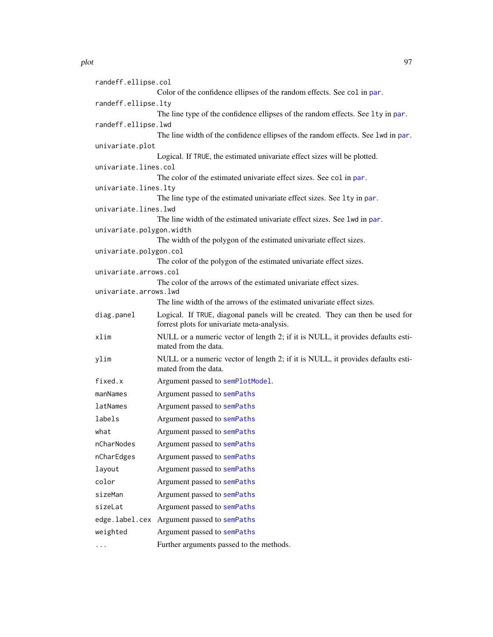randeff.ellipse.col Color of the confidence ellipses of the random effects. See col in [par](#page-0-0). randeff.ellipse.lty The line type of the confidence ellipses of the random effects. See 1ty in [par](#page-0-0). randeff.ellipse.lwd The line width of the confidence ellipses of the random effects. See lwd in [par](#page-0-0). univariate.plot Logical. If TRUE, the estimated univariate effect sizes will be plotted. univariate.lines.col The color of the estimated univariate effect sizes. See col in [par](#page-0-0). univariate.lines.lty The line type of the estimated univariate effect sizes. See lty in [par](#page-0-0). univariate.lines.lwd The line width of the estimated univariate effect sizes. See lwd in [par](#page-0-0). univariate.polygon.width The width of the polygon of the estimated univariate effect sizes. univariate.polygon.col The color of the polygon of the estimated univariate effect sizes. univariate.arrows.col The color of the arrows of the estimated univariate effect sizes. univariate.arrows.lwd The line width of the arrows of the estimated univariate effect sizes. diag.panel Logical. If TRUE, diagonal panels will be created. They can then be used for forrest plots for univariate meta-analysis. xlim NULL or a numeric vector of length 2; if it is NULL, it provides defaults estimated from the data. ylim NULL or a numeric vector of length 2; if it is NULL, it provides defaults estimated from the data. fixed.x Argument passed to [semPlotModel](#page-0-0). manNames Argument passed to [semPaths](#page-0-0) latNames Argument passed to [semPaths](#page-0-0) labels Argument passed to [semPaths](#page-0-0) what Argument passed to [semPaths](#page-0-0) nCharNodes Argument passed to [semPaths](#page-0-0) nCharEdges Argument passed to [semPaths](#page-0-0) layout Argument passed to [semPaths](#page-0-0) color Argument passed to [semPaths](#page-0-0) sizeMan Argument passed to [semPaths](#page-0-0) sizeLat Argument passed to [semPaths](#page-0-0) edge.label.cex Argument passed to [semPaths](#page-0-0) weighted Argument passed to [semPaths](#page-0-0) ... Further arguments passed to the methods.

plot the set of the set of the set of the set of the set of the set of the set of the set of the set of the set of the set of the set of the set of the set of the set of the set of the set of the set of the set of the set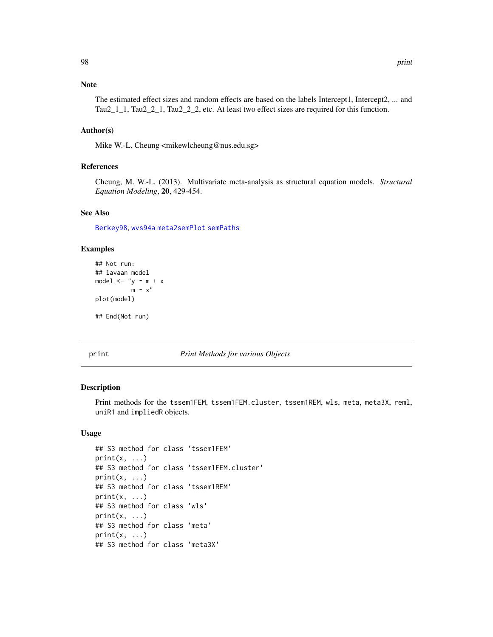The estimated effect sizes and random effects are based on the labels Intercept1, Intercept2, ... and Tau2\_1\_1, Tau2\_2\_1, Tau2\_2\_2, etc. At least two effect sizes are required for this function.

# Author(s)

Mike W.-L. Cheung <mikewlcheung@nus.edu.sg>

# References

Cheung, M. W.-L. (2013). Multivariate meta-analysis as structural equation models. *Structural Equation Modeling*, 20, 429-454.

# See Also

[Berkey98](#page-23-0), [wvs94a](#page-132-0) [meta2semPlot](#page-80-0) [semPaths](#page-0-0)

# Examples

```
## Not run:
## lavaan model
model \lt- "y \sim m + x
           m \sim x''plot(model)
## End(Not run)
```
print *Print Methods for various Objects*

#### Description

Print methods for the tssem1FEM, tssem1FEM.cluster, tssem1REM, wls, meta, meta3X, reml, uniR1 and impliedR objects.

# Usage

```
## S3 method for class 'tssem1FEM'
print(x, \ldots)## S3 method for class 'tssem1FEM.cluster'
print(x, \ldots)## S3 method for class 'tssem1REM'
print(x, \ldots)## S3 method for class 'wls'
print(x, \ldots)## S3 method for class 'meta'
print(x, \ldots)## S3 method for class 'meta3X'
```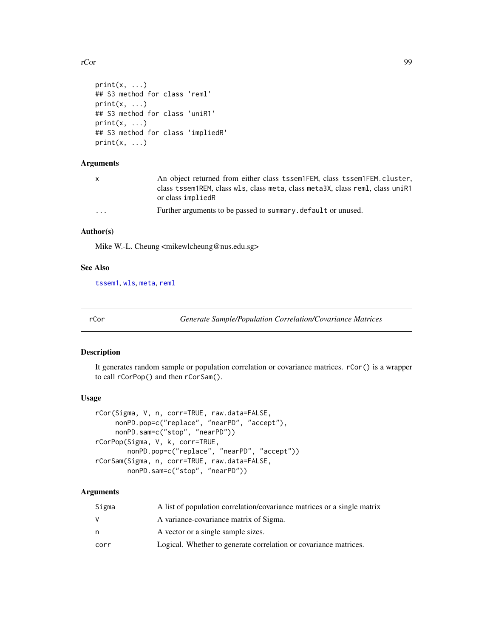rCor 99

```
print(x, \ldots)## S3 method for class 'reml'
print(x, \ldots)## S3 method for class 'uniR1'
print(x, \ldots)## S3 method for class 'impliedR'
print(x, \ldots)
```
# Arguments

| $\mathsf{X}$         | An object returned from either class tssem1FEM, class tssem1FEM. cluster,     |
|----------------------|-------------------------------------------------------------------------------|
|                      | class tssem1REM, class wls, class meta, class meta3X, class reml, class uniR1 |
|                      | or class impliedR                                                             |
| $\ddot{\phantom{0}}$ | Further arguments to be passed to summary default or unused.                  |

# Author(s)

Mike W.-L. Cheung <mikewlcheung@nus.edu.sg>

# See Also

[tssem1](#page-117-0), [wls](#page-127-0), [meta](#page-77-0), [reml](#page-102-0)

rCor *Generate Sample/Population Correlation/Covariance Matrices*

# Description

It generates random sample or population correlation or covariance matrices. rCor() is a wrapper to call rCorPop() and then rCorSam().

# Usage

```
rCor(Sigma, V, n, corr=TRUE, raw.data=FALSE,
     nonPD.pop=c("replace", "nearPD", "accept"),
    nonPD.sam=c("stop", "nearPD"))
rCorPop(Sigma, V, k, corr=TRUE,
       nonPD.pop=c("replace", "nearPD", "accept"))
rCorSam(Sigma, n, corr=TRUE, raw.data=FALSE,
       nonPD.sam=c("stop", "nearPD"))
```

| Sigma | A list of population correlation/covariance matrices or a single matrix |
|-------|-------------------------------------------------------------------------|
|       | A variance-covariance matrix of Sigma.                                  |
| n     | A vector or a single sample sizes.                                      |
| corr  | Logical. Whether to generate correlation or covariance matrices.        |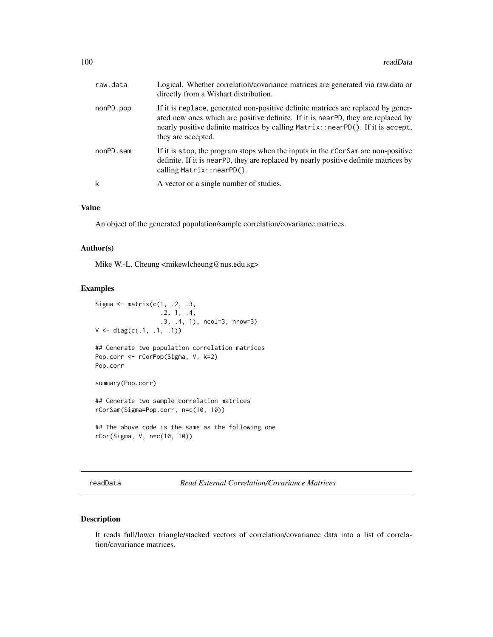| raw.data  | Logical. Whether correlation/covariance matrices are generated via raw.data or<br>directly from a Wishart distribution.                                                                                                                                                        |
|-----------|--------------------------------------------------------------------------------------------------------------------------------------------------------------------------------------------------------------------------------------------------------------------------------|
| nonPD.pop | If it is replace, generated non-positive definite matrices are replaced by gener-<br>ated new ones which are positive definite. If it is nearPD, they are replaced by<br>nearly positive definite matrices by calling Matrix::nearPD(). If it is accept,<br>they are accepted. |
| nonPD.sam | If it is stop, the program stops when the inputs in the rCorSam are non-positive<br>definite. If it is nearPD, they are replaced by nearly positive definite matrices by<br>calling Matrix::nearPD().                                                                          |
| k         | A vector or a single number of studies.                                                                                                                                                                                                                                        |

# Value

An object of the generated population/sample correlation/covariance matrices.

#### Author(s)

Mike W.-L. Cheung <mikewlcheung@nus.edu.sg>

#### Examples

```
Sigma \leq matrix(c(1, .2, .3,
                  .2, 1, .4,
                  .3, .4, 1), ncol=3, nrow=3)
V \leftarrow diag(c(.1, .1, .1))## Generate two population correlation matrices
Pop.corr <- rCorPop(Sigma, V, k=2)
Pop.corr
summary(Pop.corr)
## Generate two sample correlation matrices
rCorSam(Sigma=Pop.corr, n=c(10, 10))
## The above code is the same as the following one
rCor(Sigma, V, n=c(10, 10))
```
readData *Read External Correlation/Covariance Matrices*

# Description

It reads full/lower triangle/stacked vectors of correlation/covariance data into a list of correlation/covariance matrices.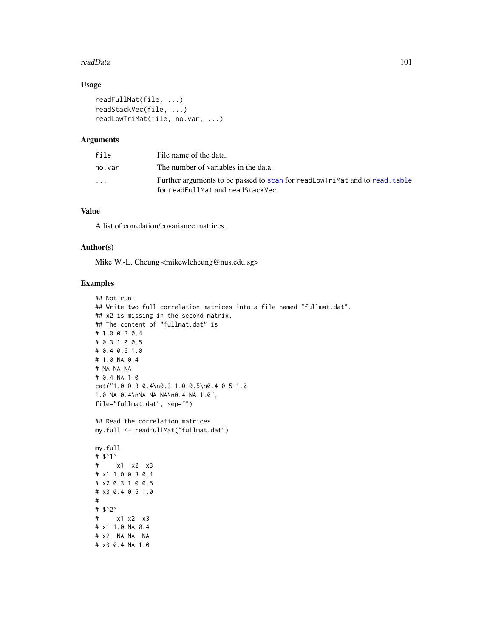#### readData 101

# Usage

```
readFullMat(file, ...)
readStackVec(file, ...)
readLowTriMat(file, no.var, ...)
```
# Arguments

| file                    | File name of the data.                                                                                           |
|-------------------------|------------------------------------------------------------------------------------------------------------------|
| no.var                  | The number of variables in the data.                                                                             |
| $\cdot$ $\cdot$ $\cdot$ | Further arguments to be passed to scan for readLowTriMat and to read, table<br>for readFullMat and readStackVec. |

# Value

A list of correlation/covariance matrices.

# Author(s)

Mike W.-L. Cheung <mikewlcheung@nus.edu.sg>

# Examples

```
## Not run:
## Write two full correlation matrices into a file named "fullmat.dat".
## x2 is missing in the second matrix.
## The content of "fullmat.dat" is
# 1.0 0.3 0.4
# 0.3 1.0 0.5
# 0.4 0.5 1.0
# 1.0 NA 0.4
# NA NA NA
# 0.4 NA 1.0
cat("1.0 0.3 0.4\n0.3 1.0 0.5\n0.4 0.5 1.0
1.0 NA 0.4\nNA NA NA\n0.4 NA 1.0",
file="fullmat.dat", sep="")
## Read the correlation matrices
my.full <- readFullMat("fullmat.dat")
my.full
# $`1`
# x1 x2 x3
# x1 1.0 0.3 0.4
# x2 0.3 1.0 0.5
# x3 0.4 0.5 1.0
#
# $`2`
# x1 x2 x3
# x1 1.0 NA 0.4
# x2 NA NA NA
# x3 0.4 NA 1.0
```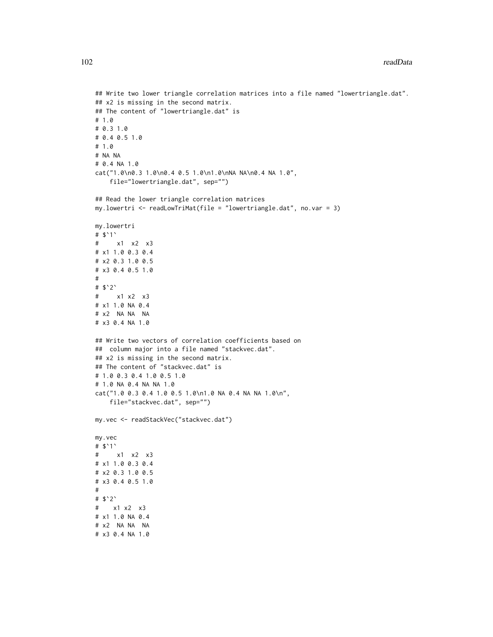```
## Write two lower triangle correlation matrices into a file named "lowertriangle.dat".
## x2 is missing in the second matrix.
## The content of "lowertriangle.dat" is
# 1.0
# 0.3 1.0
# 0.4 0.5 1.0
# 1.0
# NA NA
# 0.4 NA 1.0
cat("1.0\n0.3 1.0\n0.4 0.5 1.0\n1.0\nNA NA\n0.4 NA 1.0",
    file="lowertriangle.dat", sep="")
## Read the lower triangle correlation matrices
my.lowertri <- readLowTriMat(file = "lowertriangle.dat", no.var = 3)
my.lowertri
# $`1`
# x1 x2 x3
# x1 1.0 0.3 0.4
# x2 0.3 1.0 0.5
# x3 0.4 0.5 1.0
#
# $`2`
# x1 x2 x3
# x1 1.0 NA 0.4
# x2 NA NA NA
# x3 0.4 NA 1.0
## Write two vectors of correlation coefficients based on
## column major into a file named "stackvec.dat".
## x2 is missing in the second matrix.
## The content of "stackvec.dat" is
# 1.0 0.3 0.4 1.0 0.5 1.0
# 1.0 NA 0.4 NA NA 1.0
cat("1.0 0.3 0.4 1.0 0.5 1.0\n1.0 NA 0.4 NA NA 1.0\n",
    file="stackvec.dat", sep="")
my.vec <- readStackVec("stackvec.dat")
my.vec
# $`1`
# x1 x2 x3
# x1 1.0 0.3 0.4
# x2 0.3 1.0 0.5
# x3 0.4 0.5 1.0
#
# $`2`
# x1 x2 x3
# x1 1.0 NA 0.4
# x2 NA NA NA
# x3 0.4 NA 1.0
```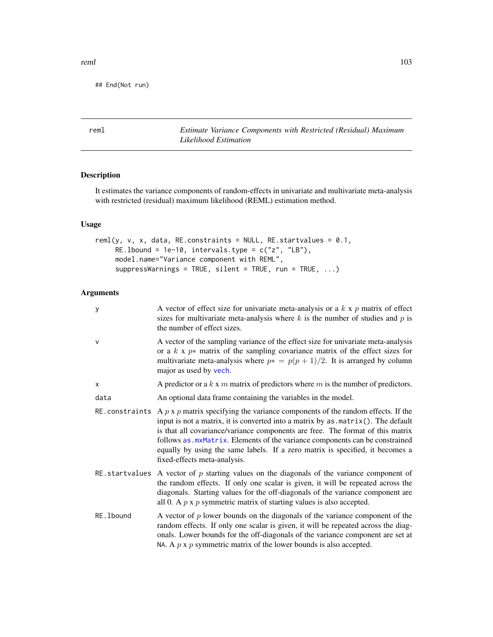## End(Not run)

<span id="page-102-0"></span>reml *Estimate Variance Components with Restricted (Residual) Maximum Likelihood Estimation*

# Description

It estimates the variance components of random-effects in univariate and multivariate meta-analysis with restricted (residual) maximum likelihood (REML) estimation method.

# Usage

```
reml(y, v, x, data, RE.constraints = NULL, RE.startvalues = 0.1,
     RE.1bound = 1e-10, intervals.type = c("z", "LB"),
     model.name="Variance component with REML",
     suppressWarnings = TRUE, silent = TRUE, run = TRUE, ...)
```

| y              | A vector of effect size for univariate meta-analysis or a $k \times p$ matrix of effect<br>sizes for multivariate meta-analysis where $k$ is the number of studies and $p$ is<br>the number of effect sizes.                                                                                                                                                                                                                                                     |
|----------------|------------------------------------------------------------------------------------------------------------------------------------------------------------------------------------------------------------------------------------------------------------------------------------------------------------------------------------------------------------------------------------------------------------------------------------------------------------------|
| $\mathsf{V}$   | A vector of the sampling variance of the effect size for univariate meta-analysis<br>or a $k \times p*$ matrix of the sampling covariance matrix of the effect sizes for<br>multivariate meta-analysis where $p* = p(p + 1)/2$ . It is arranged by column<br>major as used by vech.                                                                                                                                                                              |
| X              | A predictor or a $k \times m$ matrix of predictors where $m$ is the number of predictors.                                                                                                                                                                                                                                                                                                                                                                        |
| data           | An optional data frame containing the variables in the model.                                                                                                                                                                                                                                                                                                                                                                                                    |
| RE.constraints | A $p \times p$ matrix specifying the variance components of the random effects. If the<br>input is not a matrix, it is converted into a matrix by as . matrix(). The default<br>is that all covariance/variance components are free. The format of this matrix<br>follows as . mxMatrix. Elements of the variance components can be constrained<br>equally by using the same labels. If a zero matrix is specified, it becomes a<br>fixed-effects meta-analysis. |
|                | RE startvalues A vector of $p$ starting values on the diagonals of the variance component of<br>the random effects. If only one scalar is given, it will be repeated across the<br>diagonals. Starting values for the off-diagonals of the variance component are<br>all 0. A $p \times p$ symmetric matrix of starting values is also accepted.                                                                                                                 |
| RE. 1bound     | A vector of $p$ lower bounds on the diagonals of the variance component of the<br>random effects. If only one scalar is given, it will be repeated across the diag-<br>onals. Lower bounds for the off-diagonals of the variance component are set at<br>NA. A $p \times p$ symmetric matrix of the lower bounds is also accepted.                                                                                                                               |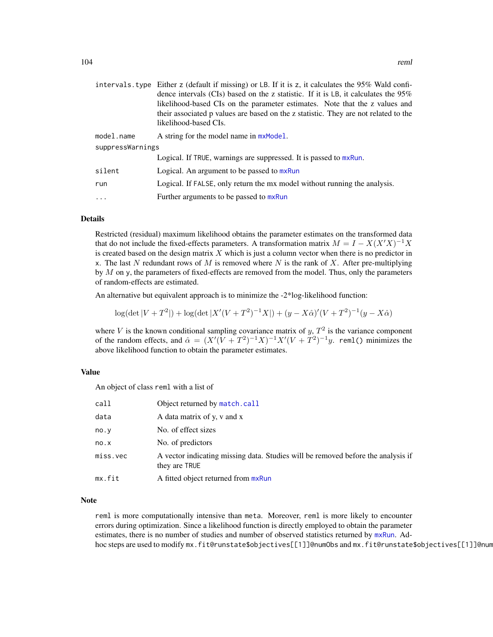|                  | intervals. type Either z (default if missing) or LB. If it is z, it calculates the 95% Wald confi-<br>dence intervals (CIs) based on the z statistic. If it is LB, it calculates the $95\%$ |  |  |
|------------------|---------------------------------------------------------------------------------------------------------------------------------------------------------------------------------------------|--|--|
|                  | likelihood-based CIs on the parameter estimates. Note that the z values and<br>their associated p values are based on the z statistic. They are not related to the<br>likelihood-based CIs. |  |  |
| model.name       | A string for the model name in $mxModel$ .                                                                                                                                                  |  |  |
| suppressWarnings |                                                                                                                                                                                             |  |  |
|                  | Logical. If TRUE, warnings are suppressed. It is passed to mxRun.                                                                                                                           |  |  |
| silent           | Logical. An argument to be passed to mxRun                                                                                                                                                  |  |  |
| run              | Logical. If FALSE, only return the mx model without running the analysis.                                                                                                                   |  |  |
| $\cdots$         | Further arguments to be passed to mxRun                                                                                                                                                     |  |  |

#### Details

Restricted (residual) maximum likelihood obtains the parameter estimates on the transformed data that do not include the fixed-effects parameters. A transformation matrix  $M = I - X(X'X)^{-1}X$ is created based on the design matrix  $X$  which is just a column vector when there is no predictor in x. The last N redundant rows of M is removed where N is the rank of X. After pre-multiplying by  $M$  on y, the parameters of fixed-effects are removed from the model. Thus, only the parameters of random-effects are estimated.

An alternative but equivalent approach is to minimize the -2\*log-likelihood function:

 $\log(\det|V + T^2|) + \log(\det|X'(V + T^2)^{-1}X|) + (y - X\hat{\alpha})'(V + T^2)^{-1}(y - X\hat{\alpha})$ 

where V is the known conditional sampling covariance matrix of  $y$ ,  $T<sup>2</sup>$  is the variance component of the random effects, and  $\hat{\alpha} = (X'(V + T^2)^{-1}X)^{-1}X'(V + T^2)^{-1}y$ . rem1() minimizes the above likelihood function to obtain the parameter estimates.

# Value

An object of class reml with a list of

| call     | Object returned by match.call                                                                     |
|----------|---------------------------------------------------------------------------------------------------|
| data     | A data matrix of y, v and x                                                                       |
| no.y     | No. of effect sizes                                                                               |
| no.x     | No. of predictors                                                                                 |
| miss.vec | A vector indicating missing data. Studies will be removed before the analysis if<br>they are TRUE |
| mx.fit   | A fitted object returned from mxRun                                                               |

#### Note

reml is more computationally intensive than meta. Moreover, reml is more likely to encounter errors during optimization. Since a likelihood function is directly employed to obtain the parameter estimates, there is no number of studies and number of observed statistics returned by [mxRun](#page-0-0). Adhoc steps are used to modify mx.fit@runstate\$objectives[[1]]@numObs and mx.fit@runstate\$objectives[[1]]@num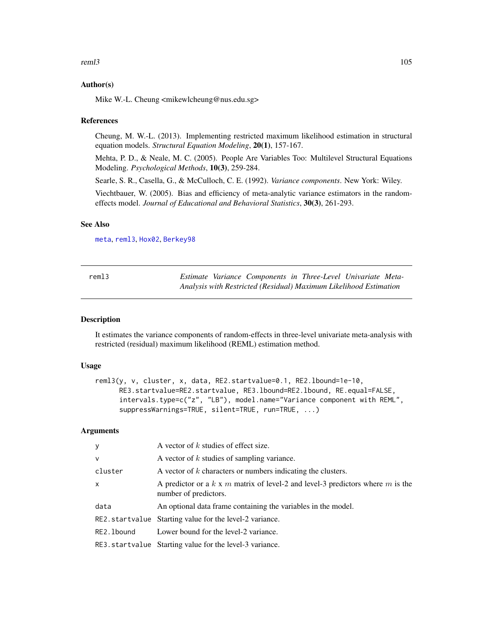#### reml3 and the contract of the contract of the contract of the contract of the contract of the contract of the contract of the contract of the contract of the contract of the contract of the contract of the contract of the

### Author(s)

Mike W.-L. Cheung <mikewlcheung@nus.edu.sg>

#### References

Cheung, M. W.-L. (2013). Implementing restricted maximum likelihood estimation in structural equation models. *Structural Equation Modeling*, 20(1), 157-167.

Mehta, P. D., & Neale, M. C. (2005). People Are Variables Too: Multilevel Structural Equations Modeling. *Psychological Methods*, 10(3), 259-284.

Searle, S. R., Casella, G., & McCulloch, C. E. (1992). *Variance components*. New York: Wiley.

Viechtbauer, W. (2005). Bias and efficiency of meta-analytic variance estimators in the randomeffects model. *Journal of Educational and Behavioral Statistics*, 30(3), 261-293.

## See Also

[meta](#page-77-0), [reml3](#page-104-0), [Hox02](#page-58-0), [Berkey98](#page-23-0)

<span id="page-104-0"></span>

| reml3 |  | Estimate Variance Components in Three-Level Univariate Meta-      |  |  |
|-------|--|-------------------------------------------------------------------|--|--|
|       |  | Analysis with Restricted (Residual) Maximum Likelihood Estimation |  |  |

# Description

It estimates the variance components of random-effects in three-level univariate meta-analysis with restricted (residual) maximum likelihood (REML) estimation method.

#### Usage

```
reml3(y, v, cluster, x, data, RE2.startvalue=0.1, RE2.lbound=1e-10,
     RE3.startvalue=RE2.startvalue, RE3.lbound=RE2.lbound, RE.equal=FALSE,
     intervals.type=c("z", "LB"), model.name="Variance component with REML",
     suppressWarnings=TRUE, silent=TRUE, run=TRUE, ...)
```

| y            | A vector of $k$ studies of effect size.                                                                          |
|--------------|------------------------------------------------------------------------------------------------------------------|
| $\mathsf{v}$ | A vector of $k$ studies of sampling variance.                                                                    |
| cluster      | A vector of $k$ characters or numbers indicating the clusters.                                                   |
| $\mathsf{x}$ | A predictor or a $k \times m$ matrix of level-2 and level-3 predictors where $m$ is the<br>number of predictors. |
| data         | An optional data frame containing the variables in the model.                                                    |
|              | RE2.startvalue Starting value for the level-2 variance.                                                          |
| RE2.1bound   | Lower bound for the level-2 variance.                                                                            |
|              | RE3.startvalue Starting value for the level-3 variance.                                                          |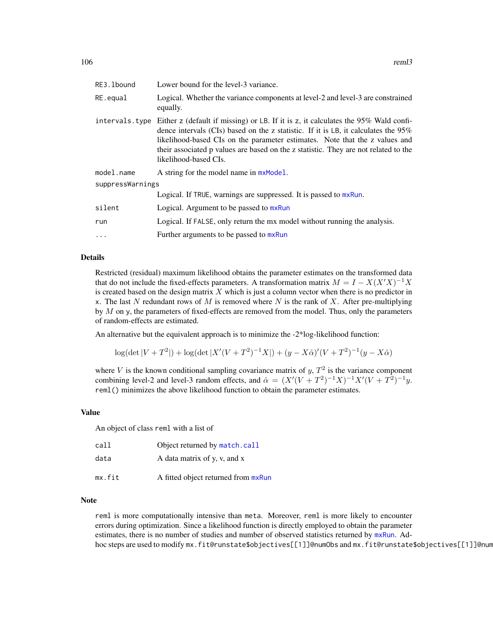| RE3.1bound       | Lower bound for the level-3 variance.                                                                                                                                                                                                                                                                                                                                                        |
|------------------|----------------------------------------------------------------------------------------------------------------------------------------------------------------------------------------------------------------------------------------------------------------------------------------------------------------------------------------------------------------------------------------------|
| RE.equal         | Logical. Whether the variance components at level-2 and level-3 are constrained<br>equally.                                                                                                                                                                                                                                                                                                  |
|                  | intervals type Either z (default if missing) or LB. If it is z, it calculates the $95\%$ Wald confi-<br>dence intervals (CIs) based on the z statistic. If it is LB, it calculates the $95\%$<br>likelihood-based CIs on the parameter estimates. Note that the z values and<br>their associated p values are based on the z statistic. They are not related to the<br>likelihood-based CIs. |
| model.name       | A string for the model name in $mxModel$ .                                                                                                                                                                                                                                                                                                                                                   |
| suppressWarnings |                                                                                                                                                                                                                                                                                                                                                                                              |
|                  | Logical. If TRUE, warnings are suppressed. It is passed to mxRun.                                                                                                                                                                                                                                                                                                                            |
| silent           | Logical. Argument to be passed to mxRun                                                                                                                                                                                                                                                                                                                                                      |
| run              | Logical. If FALSE, only return the mx model without running the analysis.                                                                                                                                                                                                                                                                                                                    |
| $\ddots$         | Further arguments to be passed to mxRun                                                                                                                                                                                                                                                                                                                                                      |
|                  |                                                                                                                                                                                                                                                                                                                                                                                              |

# Details

Restricted (residual) maximum likelihood obtains the parameter estimates on the transformed data that do not include the fixed-effects parameters. A transformation matrix  $M = I - X(X'X)^{-1}X$ is created based on the design matrix  $X$  which is just a column vector when there is no predictor in x. The last N redundant rows of M is removed where N is the rank of X. After pre-multiplying by  $M$  on y, the parameters of fixed-effects are removed from the model. Thus, only the parameters of random-effects are estimated.

An alternative but the equivalent approach is to minimize the -2\*log-likelihood function:

$$
\log(\det|V+T^2|) + \log(\det|X'(V+T^2)^{-1}X|) + (y - X\hat{\alpha})'(V+T^2)^{-1}(y - X\hat{\alpha})
$$

where V is the known conditional sampling covariance matrix of  $y$ ,  $T<sup>2</sup>$  is the variance component combining level-2 and level-3 random effects, and  $\hat{\alpha} = (X'(V + T^2)^{-1}X)^{-1}X'(V + T^2)^{-1}y$ . reml() minimizes the above likelihood function to obtain the parameter estimates.

# Value

An object of class reml with a list of

| call   | Object returned by match.call       |
|--------|-------------------------------------|
| data   | A data matrix of y, y, and x        |
| mx.fit | A fitted object returned from mxRun |

#### Note

reml is more computationally intensive than meta. Moreover, reml is more likely to encounter errors during optimization. Since a likelihood function is directly employed to obtain the parameter estimates, there is no number of studies and number of observed statistics returned by [mxRun](#page-0-0). Adhoc steps are used to modify mx.fit@runstate\$objectives[[1]]@numObs and mx.fit@runstate\$objectives[[1]]@num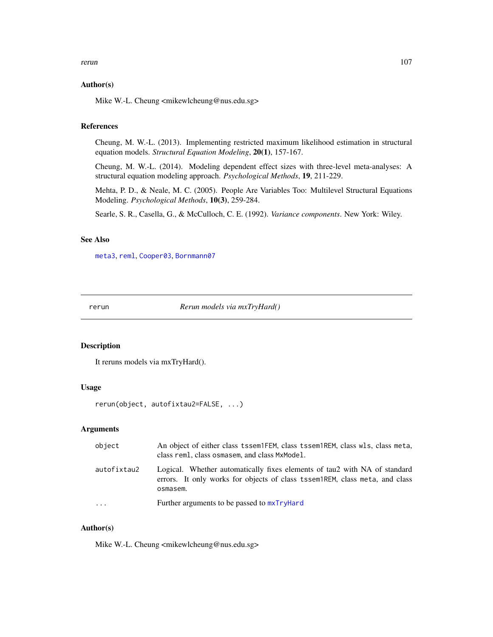#### rerun alternative and the contract of the contract of the contract of the contract of the contract of the contract of the contract of the contract of the contract of the contract of the contract of the contract of the cont

## Author(s)

Mike W.-L. Cheung <mikewlcheung@nus.edu.sg>

# References

Cheung, M. W.-L. (2013). Implementing restricted maximum likelihood estimation in structural equation models. *Structural Equation Modeling*, 20(1), 157-167.

Cheung, M. W.-L. (2014). Modeling dependent effect sizes with three-level meta-analyses: A structural equation modeling approach. *Psychological Methods*, 19, 211-229.

Mehta, P. D., & Neale, M. C. (2005). People Are Variables Too: Multilevel Structural Equations Modeling. *Psychological Methods*, 10(3), 259-284.

Searle, S. R., Casella, G., & McCulloch, C. E. (1992). *Variance components*. New York: Wiley.

# See Also

[meta3](#page-81-0), [reml](#page-102-0), [Cooper03](#page-38-0), [Bornmann07](#page-28-0)

rerun *Rerun models via mxTryHard()*

# Description

It reruns models via mxTryHard().

# Usage

```
rerun(object, autofixtau2=FALSE, ...)
```
# Arguments

| object      | An object of either class tssem1FEM, class tssem1REM, class wls, class meta,<br>class reml, class osmasem, and class MxModel.                                         |
|-------------|-----------------------------------------------------------------------------------------------------------------------------------------------------------------------|
| autofixtau2 | Logical. Whether automatically fixes elements of tau2 with NA of standard<br>errors. It only works for objects of class tssem nREM, class meta, and class<br>osmasem. |
| $\cdots$    | Further arguments to be passed to $mxTryHard$                                                                                                                         |

# Author(s)

Mike W.-L. Cheung <mikewlcheung@nus.edu.sg>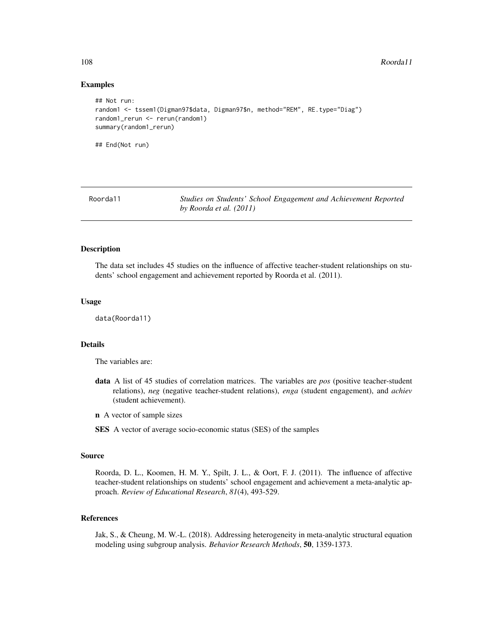### Examples

```
## Not run:
random1 <- tssem1(Digman97$data, Digman97$n, method="REM", RE.type="Diag")
random1_rerun <- rerun(random1)
summary(random1_rerun)
## End(Not run)
```
Roorda11 *Studies on Students' School Engagement and Achievement Reported by Roorda et al. (2011)*

# **Description**

The data set includes 45 studies on the influence of affective teacher-student relationships on students' school engagement and achievement reported by Roorda et al. (2011).

#### Usage

data(Roorda11)

# Details

The variables are:

- data A list of 45 studies of correlation matrices. The variables are *pos* (positive teacher-student relations), *neg* (negative teacher-student relations), *enga* (student engagement), and *achiev* (student achievement).
- n A vector of sample sizes
- SES A vector of average socio-economic status (SES) of the samples

# Source

Roorda, D. L., Koomen, H. M. Y., Spilt, J. L., & Oort, F. J. (2011). The influence of affective teacher-student relationships on students' school engagement and achievement a meta-analytic approach. *Review of Educational Research*, *81*(4), 493-529.

# References

Jak, S., & Cheung, M. W.-L. (2018). Addressing heterogeneity in meta-analytic structural equation modeling using subgroup analysis. *Behavior Research Methods*, 50, 1359-1373.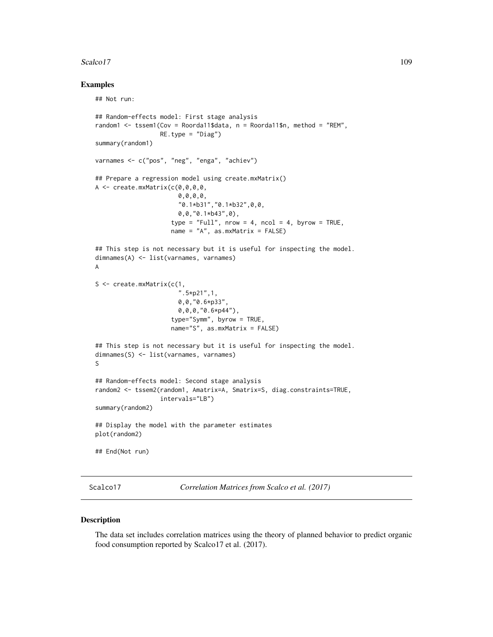#### <span id="page-108-0"></span>Scalco17 109

#### Examples

```
## Not run:
## Random-effects model: First stage analysis
random1 <- tssem1(Cov = Roorda11$data, n = Roorda11$n, method = "REM",
                  RE.type = "Diag")summary(random1)
varnames <- c("pos", "neg", "enga", "achiev")
## Prepare a regression model using create.mxMatrix()
A \leftarrow \text{create.mxMatrix}(c(0, 0, 0, 0, 0, 0))0,0,0,0,
                       "0.1*b31","0.1*b32",0,0,
                       0,0,"0.1*b43",0),
                     type = "Full", nrow = 4, ncol = 4, byrow = TRUE,
                     name = "A", as.mxMatrix = FALSE)
## This step is not necessary but it is useful for inspecting the model.
dimnames(A) <- list(varnames, varnames)
A
S <- create.mxMatrix(c(1,
                        ".5*p21",1,
                       0,0,"0.6*p33",
                       0,0,0,"0.6*p44"),
                     type="Symm", byrow = TRUE,
                     name="S", as.mxMatrix = FALSE)
## This step is not necessary but it is useful for inspecting the model.
dimnames(S) <- list(varnames, varnames)
S
## Random-effects model: Second stage analysis
random2 <- tssem2(random1, Amatrix=A, Smatrix=S, diag.constraints=TRUE,
                  intervals="LB")
summary(random2)
## Display the model with the parameter estimates
plot(random2)
## End(Not run)
```
Scalco17 *Correlation Matrices from Scalco et al. (2017)*

#### Description

The data set includes correlation matrices using the theory of planned behavior to predict organic food consumption reported by Scalco17 et al. (2017).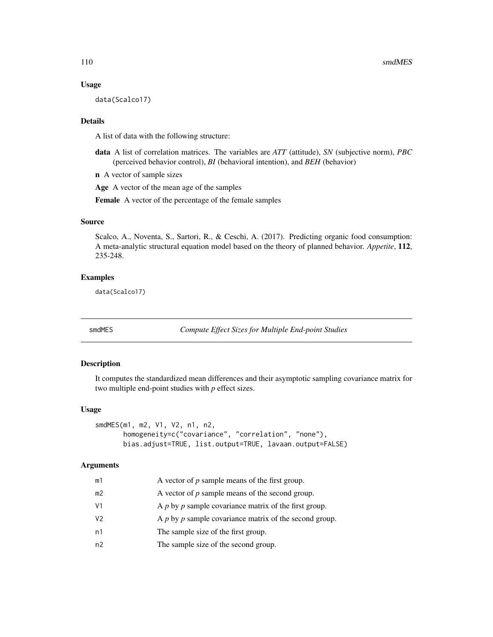#### Usage

data(Scalco17)

#### Details

A list of data with the following structure:

data A list of correlation matrices. The variables are *ATT* (attitude), *SN* (subjective norm), *PBC* (perceived behavior control), *BI* (behavioral intention), and *BEH* (behavior)

n A vector of sample sizes

Age A vector of the mean age of the samples

Female A vector of the percentage of the female samples

#### Source

Scalco, A., Noventa, S., Sartori, R., & Ceschi, A. (2017). Predicting organic food consumption: A meta-analytic structural equation model based on the theory of planned behavior. *Appetite*, 112, 235-248.

#### Examples

data(Scalco17)

smdMES *Compute Effect Sizes for Multiple End-point Studies*

# Description

It computes the standardized mean differences and their asymptotic sampling covariance matrix for two multiple end-point studies with *p* effect sizes.

#### Usage

```
smdMES(m1, m2, V1, V2, n1, n2,
      homogeneity=c("covariance", "correlation", "none"),
      bias.adjust=TRUE, list.output=TRUE, lavaan.output=FALSE)
```
# **Arguments**

| m1 | A vector of $p$ sample means of the first group.           |
|----|------------------------------------------------------------|
| m2 | A vector of $p$ sample means of the second group.          |
| V1 | A $p$ by $p$ sample covariance matrix of the first group.  |
| V2 | A $p$ by $p$ sample covariance matrix of the second group. |
| n1 | The sample size of the first group.                        |
| n2 | The sample size of the second group.                       |

<span id="page-109-0"></span>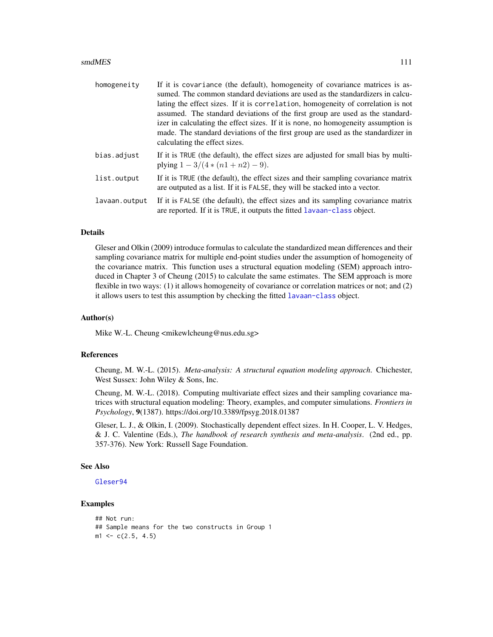#### <span id="page-110-0"></span>smdMES 111

| homogeneity   | If it is covariance (the default), homogeneity of covariance matrices is as-<br>sumed. The common standard deviations are used as the standardizers in calcu-<br>lating the effect sizes. If it is correlation, homogeneity of correlation is not<br>assumed. The standard deviations of the first group are used as the standard-<br>izer in calculating the effect sizes. If it is none, no homogeneity assumption is<br>made. The standard deviations of the first group are used as the standardizer in<br>calculating the effect sizes. |
|---------------|----------------------------------------------------------------------------------------------------------------------------------------------------------------------------------------------------------------------------------------------------------------------------------------------------------------------------------------------------------------------------------------------------------------------------------------------------------------------------------------------------------------------------------------------|
| bias.adjust   | If it is TRUE (the default), the effect sizes are adjusted for small bias by multi-<br>plying $1 - 3/(4*(n1+n2) - 9)$ .                                                                                                                                                                                                                                                                                                                                                                                                                      |
| list.output   | If it is TRUE (the default), the effect sizes and their sampling covariance matrix<br>are outputed as a list. If it is FALSE, they will be stacked into a vector.                                                                                                                                                                                                                                                                                                                                                                            |
| lavaan.output | If it is FALSE (the default), the effect sizes and its sampling covariance matrix<br>are reported. If it is TRUE, it outputs the fitted lavaan-class object.                                                                                                                                                                                                                                                                                                                                                                                 |

#### **Details**

Gleser and Olkin (2009) introduce formulas to calculate the standardized mean differences and their sampling covariance matrix for multiple end-point studies under the assumption of homogeneity of the covariance matrix. This function uses a structural equation modeling (SEM) approach introduced in Chapter 3 of Cheung (2015) to calculate the same estimates. The SEM approach is more flexible in two ways: (1) it allows homogeneity of covariance or correlation matrices or not; and (2) it allows users to test this assumption by checking the fitted [lavaan-class](#page-0-0) object.

#### Author(s)

Mike W.-L. Cheung <mikewlcheung@nus.edu.sg>

#### References

Cheung, M. W.-L. (2015). *Meta-analysis: A structural equation modeling approach*. Chichester, West Sussex: John Wiley & Sons, Inc.

Cheung, M. W.-L. (2018). Computing multivariate effect sizes and their sampling covariance matrices with structural equation modeling: Theory, examples, and computer simulations. *Frontiers in Psychology*, 9(1387). https://doi.org/10.3389/fpsyg.2018.01387

Gleser, L. J., & Olkin, I. (2009). Stochastically dependent effect sizes. In H. Cooper, L. V. Hedges, & J. C. Valentine (Eds.), *The handbook of research synthesis and meta-analysis*. (2nd ed., pp. 357-376). New York: Russell Sage Foundation.

## See Also

# [Gleser94](#page-53-0)

# Examples

```
## Not run:
## Sample means for the two constructs in Group 1
m1 \leq c(2.5, 4.5)
```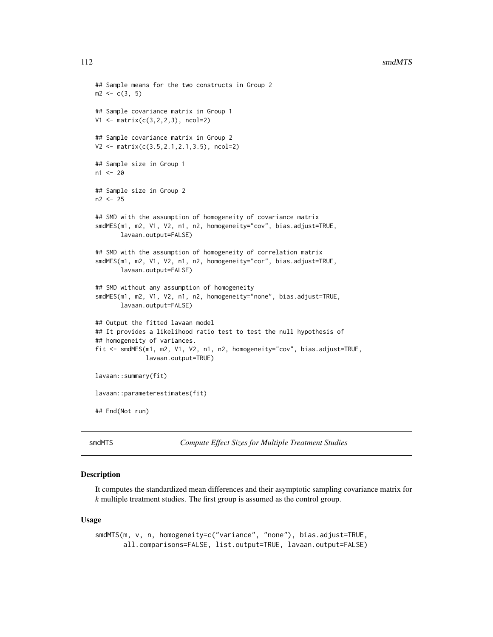```
## Sample means for the two constructs in Group 2
m2 < -c(3, 5)## Sample covariance matrix in Group 1
V1 <- matrix(c(3,2,2,3), ncol=2)
## Sample covariance matrix in Group 2
V2 <- matrix(c(3.5,2.1,2.1,3.5), ncol=2)
## Sample size in Group 1
n1 < -20## Sample size in Group 2
n2 <- 25
## SMD with the assumption of homogeneity of covariance matrix
smdMES(m1, m2, V1, V2, n1, n2, homogeneity="cov", bias.adjust=TRUE,
       lavaan.output=FALSE)
## SMD with the assumption of homogeneity of correlation matrix
smdMES(m1, m2, V1, V2, n1, n2, homogeneity="cor", bias.adjust=TRUE,
       lavaan.output=FALSE)
## SMD without any assumption of homogeneity
smdMES(m1, m2, V1, V2, n1, n2, homogeneity="none", bias.adjust=TRUE,
       lavaan.output=FALSE)
## Output the fitted lavaan model
## It provides a likelihood ratio test to test the null hypothesis of
## homogeneity of variances.
fit <- smdMES(m1, m2, V1, V2, n1, n2, homogeneity="cov", bias.adjust=TRUE,
              lavaan.output=TRUE)
lavaan::summary(fit)
lavaan::parameterestimates(fit)
## End(Not run)
```
smdMTS *Compute Effect Sizes for Multiple Treatment Studies*

## Description

It computes the standardized mean differences and their asymptotic sampling covariance matrix for *k* multiple treatment studies. The first group is assumed as the control group.

#### Usage

```
smdMTS(m, v, n, homogeneity=c("variance", "none"), bias.adjust=TRUE,
      all.comparisons=FALSE, list.output=TRUE, lavaan.output=FALSE)
```
<span id="page-111-0"></span>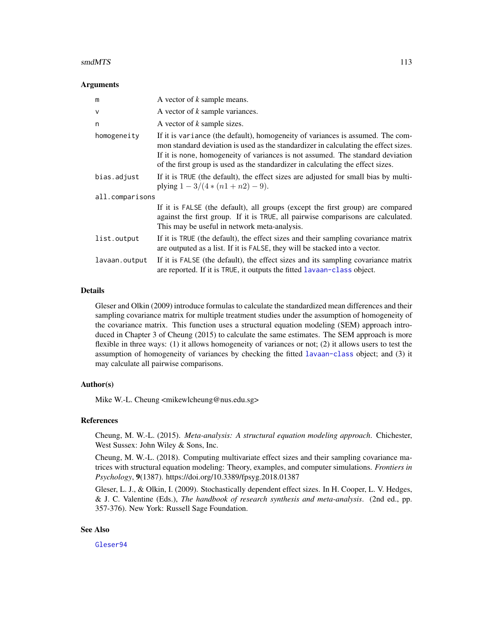#### <span id="page-112-0"></span>smdMTS 113

#### Arguments

| m               | A vector of k sample means.                                                                                                                                                                                                                                                                                                                |  |
|-----------------|--------------------------------------------------------------------------------------------------------------------------------------------------------------------------------------------------------------------------------------------------------------------------------------------------------------------------------------------|--|
| $\mathsf{V}$    | A vector of k sample variances.                                                                                                                                                                                                                                                                                                            |  |
| n               | A vector of k sample sizes.                                                                                                                                                                                                                                                                                                                |  |
| homogeneity     | If it is variance (the default), homogeneity of variances is assumed. The com-<br>mon standard deviation is used as the standardizer in calculating the effect sizes.<br>If it is none, homogeneity of variances is not assumed. The standard deviation<br>of the first group is used as the standardizer in calculating the effect sizes. |  |
| bias.adjust     | If it is TRUE (the default), the effect sizes are adjusted for small bias by multi-<br>plying $1 - 3/(4*(n1+n2) - 9)$ .                                                                                                                                                                                                                    |  |
| all.comparisons |                                                                                                                                                                                                                                                                                                                                            |  |
|                 | If it is FALSE (the default), all groups (except the first group) are compared<br>against the first group. If it is TRUE, all pairwise comparisons are calculated.<br>This may be useful in network meta-analysis.                                                                                                                         |  |
| list.output     | If it is TRUE (the default), the effect sizes and their sampling covariance matrix<br>are outputed as a list. If it is FALSE, they will be stacked into a vector.                                                                                                                                                                          |  |
| lavaan.output   | If it is FALSE (the default), the effect sizes and its sampling covariance matrix<br>are reported. If it is TRUE, it outputs the fitted lavaan-class object.                                                                                                                                                                               |  |

#### Details

Gleser and Olkin (2009) introduce formulas to calculate the standardized mean differences and their sampling covariance matrix for multiple treatment studies under the assumption of homogeneity of the covariance matrix. This function uses a structural equation modeling (SEM) approach introduced in Chapter 3 of Cheung (2015) to calculate the same estimates. The SEM approach is more flexible in three ways: (1) it allows homogeneity of variances or not; (2) it allows users to test the assumption of homogeneity of variances by checking the fitted [lavaan-class](#page-0-0) object; and (3) it may calculate all pairwise comparisons.

### Author(s)

Mike W.-L. Cheung <mikewlcheung@nus.edu.sg>

# References

Cheung, M. W.-L. (2015). *Meta-analysis: A structural equation modeling approach*. Chichester, West Sussex: John Wiley & Sons, Inc.

Cheung, M. W.-L. (2018). Computing multivariate effect sizes and their sampling covariance matrices with structural equation modeling: Theory, examples, and computer simulations. *Frontiers in Psychology*, 9(1387). https://doi.org/10.3389/fpsyg.2018.01387

Gleser, L. J., & Olkin, I. (2009). Stochastically dependent effect sizes. In H. Cooper, L. V. Hedges, & J. C. Valentine (Eds.), *The handbook of research synthesis and meta-analysis*. (2nd ed., pp. 357-376). New York: Russell Sage Foundation.

#### See Also

[Gleser94](#page-53-0)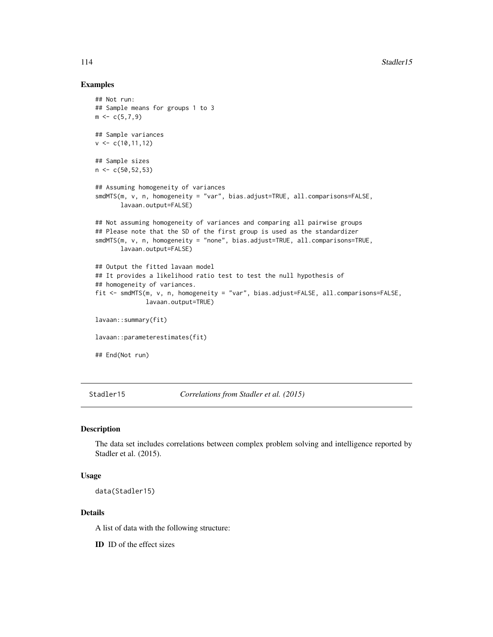#### <span id="page-113-0"></span>Examples

```
## Not run:
## Sample means for groups 1 to 3
m \leftarrow c(5, 7, 9)## Sample variances
v \leq c(10, 11, 12)## Sample sizes
n < c(50, 52, 53)## Assuming homogeneity of variances
smdMTS(m, v, n, homogeneity = "var", bias.adjust=TRUE, all.comparisons=FALSE,
       lavaan.output=FALSE)
## Not assuming homogeneity of variances and comparing all pairwise groups
## Please note that the SD of the first group is used as the standardizer
smdMTS(m, v, n, homogeneity = "none", bias.adjust=TRUE, all.comparisons=TRUE,
       lavaan.output=FALSE)
## Output the fitted lavaan model
## It provides a likelihood ratio test to test the null hypothesis of
## homogeneity of variances.
fit <- smdMTS(m, v, n, homogeneity = "var", bias.adjust=FALSE, all.comparisons=FALSE,
              lavaan.output=TRUE)
lavaan::summary(fit)
lavaan::parameterestimates(fit)
## End(Not run)
```
Stadler15 *Correlations from Stadler et al. (2015)*

# Description

The data set includes correlations between complex problem solving and intelligence reported by Stadler et al. (2015).

#### Usage

```
data(Stadler15)
```
#### Details

A list of data with the following structure:

ID ID of the effect sizes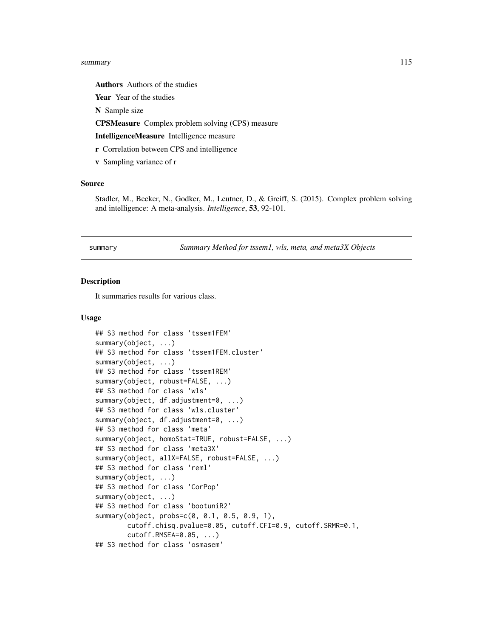#### <span id="page-114-0"></span>summary 115

Authors Authors of the studies

Year Year of the studies

N Sample size

CPSMeasure Complex problem solving (CPS) measure

IntelligenceMeasure Intelligence measure

- r Correlation between CPS and intelligence
- v Sampling variance of r

#### Source

Stadler, M., Becker, N., Godker, M., Leutner, D., & Greiff, S. (2015). Complex problem solving and intelligence: A meta-analysis. *Intelligence*, 53, 92-101.

summary *Summary Method for tssem1, wls, meta, and meta3X Objects*

#### **Description**

It summaries results for various class.

#### Usage

```
## S3 method for class 'tssem1FEM'
summary(object, ...)
## S3 method for class 'tssem1FEM.cluster'
summary(object, ...)
## S3 method for class 'tssem1REM'
summary(object, robust=FALSE, ...)
## S3 method for class 'wls'
summary(object, df.adjustment=0, ...)
## S3 method for class 'wls.cluster'
summary(object, df.adjustment=0, ...)
## S3 method for class 'meta'
summary(object, homoStat=TRUE, robust=FALSE, ...)
## S3 method for class 'meta3X'
summary(object, allX=FALSE, robust=FALSE, ...)
## S3 method for class 'reml'
summary(object, ...)
## S3 method for class 'CorPop'
summary(object, ...)
## S3 method for class 'bootuniR2'
summary(object, probs=c(0, 0.1, 0.5, 0.9, 1),
        cutoff.chisq.pvalue=0.05, cutoff.CFI=0.9, cutoff.SRMR=0.1,
        cutoff.RMSEA=0.05, ...)
## S3 method for class 'osmasem'
```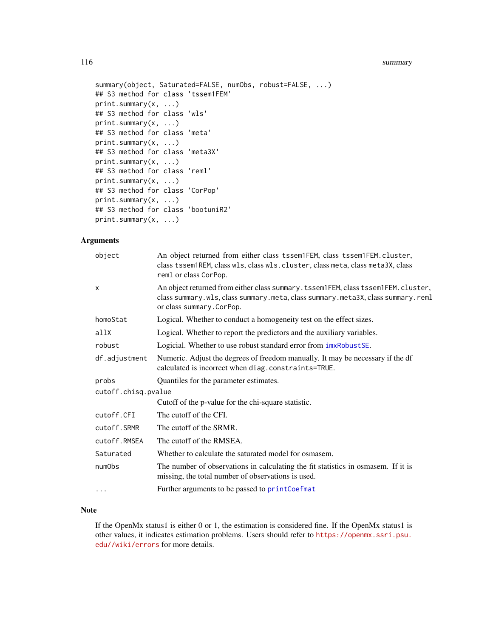#### <span id="page-115-0"></span>116 summary summary summary summary summary summary summary summary summary summary summary summary summary summary

```
summary(object, Saturated=FALSE, numObs, robust=FALSE, ...)
## S3 method for class 'tssem1FEM'
print.summary(x, ...)
## S3 method for class 'wls'
print.summary(x, ...)
## S3 method for class 'meta'
print.summary(x, ...)
## S3 method for class 'meta3X'
print.summary(x, ...)
## S3 method for class 'reml'
print.summary(x, ...)
## S3 method for class 'CorPop'
print.summary(x, ...)
## S3 method for class 'bootuniR2'
print.summary(x, ...)
```
# Arguments

| object              | An object returned from either class tssem1FEM, class tssem1FEM.cluster,<br>class tssem1REM, class wls, class wls. cluster, class meta, class meta3X, class<br>reml or class CorPop.               |
|---------------------|----------------------------------------------------------------------------------------------------------------------------------------------------------------------------------------------------|
| X                   | An object returned from either class summary. tssem1FEM, class tssem1FEM. cluster,<br>class summary.wls, class summary.meta, class summary.meta3X, class summary.reml<br>or class summary. CorPop. |
| homoStat            | Logical. Whether to conduct a homogeneity test on the effect sizes.                                                                                                                                |
| allX                | Logical. Whether to report the predictors and the auxiliary variables.                                                                                                                             |
| robust              | Logicial. Whether to use robust standard error from $imxRobustSE$ .                                                                                                                                |
| df.adjustment       | Numeric. Adjust the degrees of freedom manually. It may be necessary if the df<br>calculated is incorrect when diag.constraints=TRUE.                                                              |
| probs               | Quantiles for the parameter estimates.                                                                                                                                                             |
| cutoff.chisq.pvalue |                                                                                                                                                                                                    |
|                     | Cutoff of the p-value for the chi-square statistic.                                                                                                                                                |
| cutoff.CFI          | The cutoff of the CFI.                                                                                                                                                                             |
| cutoff.SRMR         | The cutoff of the SRMR.                                                                                                                                                                            |
| cutoff.RMSEA        | The cutoff of the RMSEA.                                                                                                                                                                           |
| Saturated           | Whether to calculate the saturated model for osmasem.                                                                                                                                              |
| numObs              | The number of observations in calculating the fit statistics in osmasem. If it is<br>missing, the total number of observations is used.                                                            |
| $\cdots$            | Further arguments to be passed to printCoefmat                                                                                                                                                     |

# Note

If the OpenMx status1 is either 0 or 1, the estimation is considered fine. If the OpenMx status1 is other values, it indicates estimation problems. Users should refer to [https://openmx.ssri.psu.](https://openmx.ssri.psu.edu//wiki/errors) [edu//wiki/errors](https://openmx.ssri.psu.edu//wiki/errors) for more details.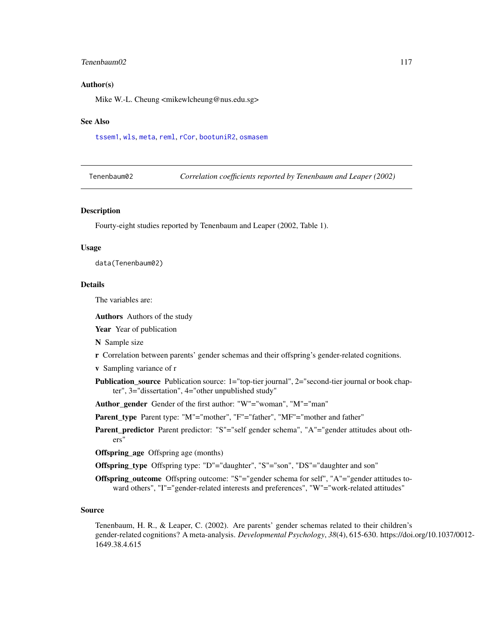## <span id="page-116-0"></span>Tenenbaum02 117

#### Author(s)

Mike W.-L. Cheung <mikewlcheung@nus.edu.sg>

#### See Also

[tssem1](#page-117-0), [wls](#page-127-0), [meta](#page-77-0), [reml](#page-102-0), [rCor](#page-98-0), [bootuniR2](#page-27-0), [osmasem](#page-89-0)

| Tenenbaum02 |  |
|-------------|--|
|-------------|--|

**Correlation coefficients reported by Tenenbaum and Leaper (2002)** 

### Description

Fourty-eight studies reported by Tenenbaum and Leaper (2002, Table 1).

#### Usage

data(Tenenbaum02)

#### Details

The variables are:

Authors Authors of the study

- Year Year of publication
- N Sample size
- r Correlation between parents' gender schemas and their offspring's gender-related cognitions.
- v Sampling variance of r
- **Publication\_source** Publication source: 1="top-tier journal", 2="second-tier journal or book chapter", 3="dissertation", 4="other unpublished study"
- Author gender Gender of the first author: "W"="woman", "M"="man"
- Parent\_type Parent type: "M"="mother", "F"="father", "MF"="mother and father"
- Parent\_predictor Parent predictor: "S"="self gender schema", "A"="gender attitudes about others"

Offspring\_age Offspring age (months)

- Offspring\_type Offspring type: "D"="daughter", "S"="son", "DS"="daughter and son"
- Offspring\_outcome Offspring outcome: "S"="gender schema for self", "A"="gender attitudes toward others", "I"="gender-related interests and preferences", "W"="work-related attitudes"

#### Source

Tenenbaum, H. R., & Leaper, C. (2002). Are parents' gender schemas related to their children's gender-related cognitions? A meta-analysis. *Developmental Psychology*, *38*(4), 615-630. https://doi.org/10.1037/0012- 1649.38.4.615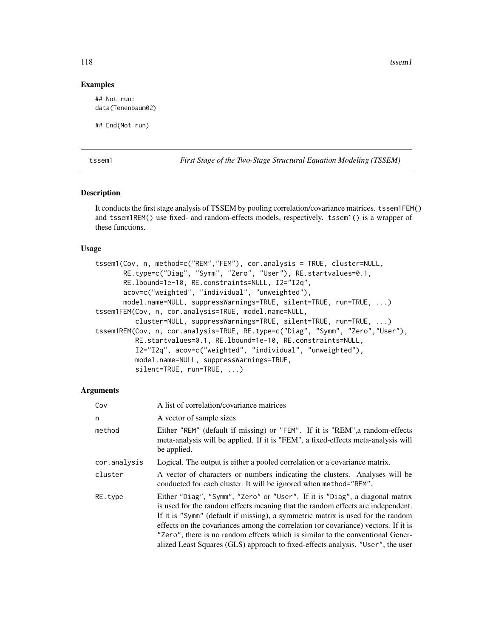118 tssem1

#### Examples

## Not run: data(Tenenbaum02)

## End(Not run)

<span id="page-117-0"></span>

tssem1 *First Stage of the Two-Stage Structural Equation Modeling (TSSEM)*

#### Description

It conducts the first stage analysis of TSSEM by pooling correlation/covariance matrices. tssem1FEM() and tssem1REM() use fixed- and random-effects models, respectively. tssem1() is a wrapper of these functions.

#### Usage

```
tssem1(Cov, n, method=c("REM","FEM"), cor.analysis = TRUE, cluster=NULL,
       RE.type=c("Diag", "Symm", "Zero", "User"), RE.startvalues=0.1,
       RE.lbound=1e-10, RE.constraints=NULL, I2="I2q",
       acov=c("weighted", "individual", "unweighted"),
       model.name=NULL, suppressWarnings=TRUE, silent=TRUE, run=TRUE, ...)
tssem1FEM(Cov, n, cor.analysis=TRUE, model.name=NULL,
          cluster=NULL, suppressWarnings=TRUE, silent=TRUE, run=TRUE, ...)
tssem1REM(Cov, n, cor.analysis=TRUE, RE.type=c("Diag", "Symm", "Zero","User"),
         RE.startvalues=0.1, RE.lbound=1e-10, RE.constraints=NULL,
          I2="I2q", acov=c("weighted", "individual", "unweighted"),
          model.name=NULL, suppressWarnings=TRUE,
          silent=TRUE, run=TRUE, ...)
```
#### Arguments

| Cov          | A list of correlation/covariance matrices                                                                                                                                                                                                                                                                                                                                                                                                                                                                    |
|--------------|--------------------------------------------------------------------------------------------------------------------------------------------------------------------------------------------------------------------------------------------------------------------------------------------------------------------------------------------------------------------------------------------------------------------------------------------------------------------------------------------------------------|
| n            | A vector of sample sizes                                                                                                                                                                                                                                                                                                                                                                                                                                                                                     |
| method       | Either "REM" (default if missing) or "FEM". If it is "REM", a random-effects<br>meta-analysis will be applied. If it is "FEM", a fixed-effects meta-analysis will<br>be applied.                                                                                                                                                                                                                                                                                                                             |
| cor.analysis | Logical. The output is either a pooled correlation or a covariance matrix.                                                                                                                                                                                                                                                                                                                                                                                                                                   |
| cluster      | A vector of characters or numbers indicating the clusters. Analyses will be<br>conducted for each cluster. It will be ignored when method="REM".                                                                                                                                                                                                                                                                                                                                                             |
| RE.type      | Either "Diag", "Symm", "Zero" or "User". If it is "Diag", a diagonal matrix<br>is used for the random effects meaning that the random effects are independent.<br>If it is "Symm" (default if missing), a symmetric matrix is used for the random<br>effects on the covariances among the correlation (or covariance) vectors. If it is<br>"Zero", there is no random effects which is similar to the conventional Gener-<br>alized Least Squares (GLS) approach to fixed-effects analysis. "User", the user |

<span id="page-117-1"></span>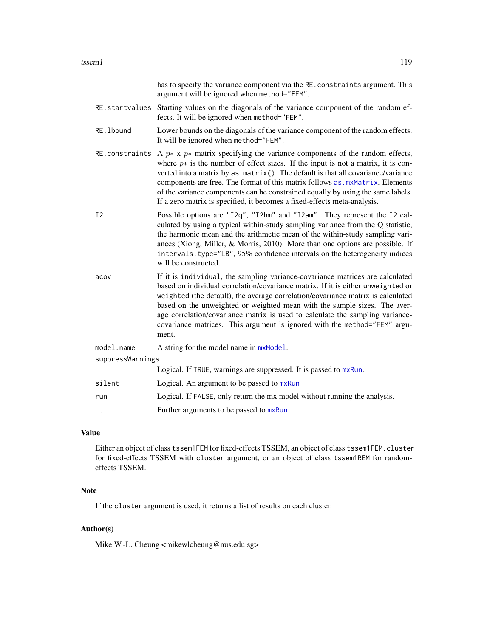<span id="page-118-0"></span>

|                | has to specify the variance component via the RE. constraints argument. This<br>argument will be ignored when method="FEM".                                                                                                                                                                                                                                                                                                                                                                                                  |  |  |
|----------------|------------------------------------------------------------------------------------------------------------------------------------------------------------------------------------------------------------------------------------------------------------------------------------------------------------------------------------------------------------------------------------------------------------------------------------------------------------------------------------------------------------------------------|--|--|
|                | RE.startvalues Starting values on the diagonals of the variance component of the random ef-<br>fects. It will be ignored when method="FEM".                                                                                                                                                                                                                                                                                                                                                                                  |  |  |
| RE. 1bound     | Lower bounds on the diagonals of the variance component of the random effects.<br>It will be ignored when method="FEM".                                                                                                                                                                                                                                                                                                                                                                                                      |  |  |
|                | RE constraints A $p^*$ x $p^*$ matrix specifying the variance components of the random effects,<br>where $p*$ is the number of effect sizes. If the input is not a matrix, it is con-<br>verted into a matrix by as . matrix(). The default is that all covariance/variance<br>components are free. The format of this matrix follows as . mxMatrix. Elements<br>of the variance components can be constrained equally by using the same labels.<br>If a zero matrix is specified, it becomes a fixed-effects meta-analysis. |  |  |
| I <sub>2</sub> | Possible options are "12q", "12hm" and "12am". They represent the 12 cal-<br>culated by using a typical within-study sampling variance from the Q statistic,<br>the harmonic mean and the arithmetic mean of the within-study sampling vari-<br>ances (Xiong, Miller, & Morris, 2010). More than one options are possible. If<br>intervals.type="LB", 95% confidence intervals on the heterogeneity indices<br>will be constructed.                                                                                          |  |  |
| acov           | If it is individual, the sampling variance-covariance matrices are calculated<br>based on individual correlation/covariance matrix. If it is either unweighted or<br>weighted (the default), the average correlation/covariance matrix is calculated<br>based on the unweighted or weighted mean with the sample sizes. The aver-<br>age correlation/covariance matrix is used to calculate the sampling variance-<br>covariance matrices. This argument is ignored with the method="FEM" argu-<br>ment.                     |  |  |
| model.name     | A string for the model name in mxModel.                                                                                                                                                                                                                                                                                                                                                                                                                                                                                      |  |  |
|                | suppressWarnings                                                                                                                                                                                                                                                                                                                                                                                                                                                                                                             |  |  |
|                | Logical. If TRUE, warnings are suppressed. It is passed to mxRun.                                                                                                                                                                                                                                                                                                                                                                                                                                                            |  |  |
| silent         | Logical. An argument to be passed to mxRun                                                                                                                                                                                                                                                                                                                                                                                                                                                                                   |  |  |
| run            | Logical. If FALSE, only return the mx model without running the analysis.                                                                                                                                                                                                                                                                                                                                                                                                                                                    |  |  |
| .              | Further arguments to be passed to mxRun                                                                                                                                                                                                                                                                                                                                                                                                                                                                                      |  |  |

# Value

Either an object of class tssem1FEM for fixed-effects TSSEM, an object of class tssem1FEM.cluster for fixed-effects TSSEM with cluster argument, or an object of class tssem1REM for randomeffects TSSEM.

# Note

If the cluster argument is used, it returns a list of results on each cluster.

# Author(s)

Mike W.-L. Cheung <mikewlcheung@nus.edu.sg>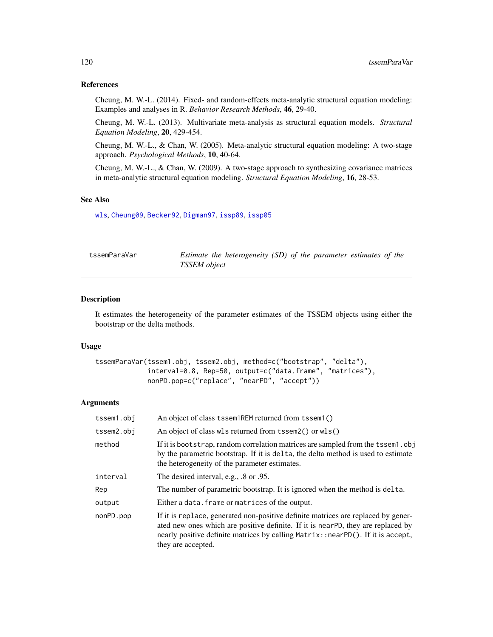# <span id="page-119-0"></span>References

Cheung, M. W.-L. (2014). Fixed- and random-effects meta-analytic structural equation modeling: Examples and analyses in R. *Behavior Research Methods*, 46, 29-40.

Cheung, M. W.-L. (2013). Multivariate meta-analysis as structural equation models. *Structural Equation Modeling*, 20, 429-454.

Cheung, M. W.-L., & Chan, W. (2005). Meta-analytic structural equation modeling: A two-stage approach. *Psychological Methods*, 10, 40-64.

Cheung, M. W.-L., & Chan, W. (2009). A two-stage approach to synthesizing covariance matrices in meta-analytic structural equation modeling. *Structural Equation Modeling*, 16, 28-53.

#### See Also

[wls](#page-127-0), [Cheung09](#page-33-0), [Becker92](#page-19-0), [Digman97](#page-50-0), [issp89](#page-68-0), [issp05](#page-66-0)

| tssemParaVar | Estimate the heterogeneity (SD) of the parameter estimates of the |  |
|--------------|-------------------------------------------------------------------|--|
|              | <b>TSSEM</b> object                                               |  |

#### Description

It estimates the heterogeneity of the parameter estimates of the TSSEM objects using either the bootstrap or the delta methods.

#### Usage

```
tssemParaVar(tssem1.obj, tssem2.obj, method=c("bootstrap", "delta"),
             interval=0.8, Rep=50, output=c("data.frame", "matrices"),
             nonPD.pop=c("replace", "nearPD", "accept"))
```
#### Arguments

| tssem1.obj | An object of class tssem1REM returned from tssem1()                                                                                                                                                                                                                             |
|------------|---------------------------------------------------------------------------------------------------------------------------------------------------------------------------------------------------------------------------------------------------------------------------------|
| tssem2.obj | An object of class wls returned from tssem2() or wls()                                                                                                                                                                                                                          |
| method     | If it is bootstrap, random correlation matrices are sampled from the tssem1.obj<br>by the parametric bootstrap. If it is delta, the delta method is used to estimate<br>the heterogeneity of the parameter estimates.                                                           |
| interval   | The desired interval, e.g., .8 or .95.                                                                                                                                                                                                                                          |
| Rep        | The number of parametric bootstrap. It is ignored when the method is delta.                                                                                                                                                                                                     |
| output     | Either a data. frame or matrices of the output.                                                                                                                                                                                                                                 |
| nonPD.pop  | If it is replace, generated non-positive definite matrices are replaced by gener-<br>ated new ones which are positive definite. If it is near-PD, they are replaced by<br>nearly positive definite matrices by calling Matrix::nearPD(). If it is accept,<br>they are accepted. |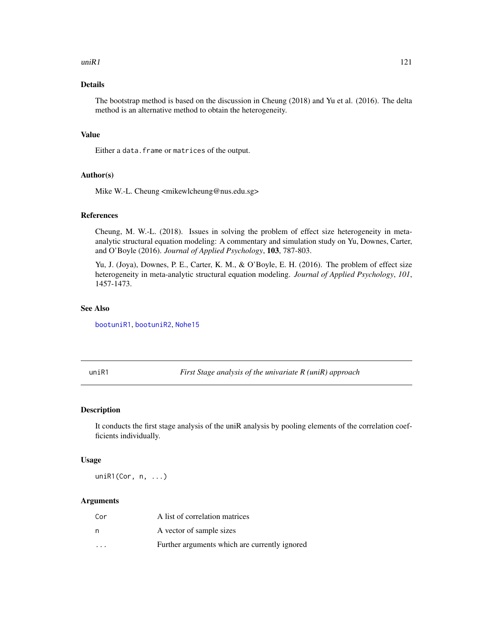#### <span id="page-120-1"></span> $uniR1$  121

# Details

The bootstrap method is based on the discussion in Cheung (2018) and Yu et al. (2016). The delta method is an alternative method to obtain the heterogeneity.

# Value

Either a data. frame or matrices of the output.

# Author(s)

Mike W.-L. Cheung <mikewlcheung@nus.edu.sg>

#### References

Cheung, M. W.-L. (2018). Issues in solving the problem of effect size heterogeneity in metaanalytic structural equation modeling: A commentary and simulation study on Yu, Downes, Carter, and O'Boyle (2016). *Journal of Applied Psychology*, 103, 787-803.

Yu, J. (Joya), Downes, P. E., Carter, K. M., & O'Boyle, E. H. (2016). The problem of effect size heterogeneity in meta-analytic structural equation modeling. *Journal of Applied Psychology*, *101*, 1457-1473.

# See Also

[bootuniR1](#page-26-0), [bootuniR2](#page-27-0), [Nohe15](#page-85-0)

<span id="page-120-0"></span>uniR1 *First Stage analysis of the univariate R (uniR) approach*

# Description

It conducts the first stage analysis of the uniR analysis by pooling elements of the correlation coefficients individually.

#### Usage

uniR1(Cor, n, ...)

#### Arguments

| Cor                     | A list of correlation matrices                |
|-------------------------|-----------------------------------------------|
| n                       | A vector of sample sizes                      |
| $\cdot$ $\cdot$ $\cdot$ | Further arguments which are currently ignored |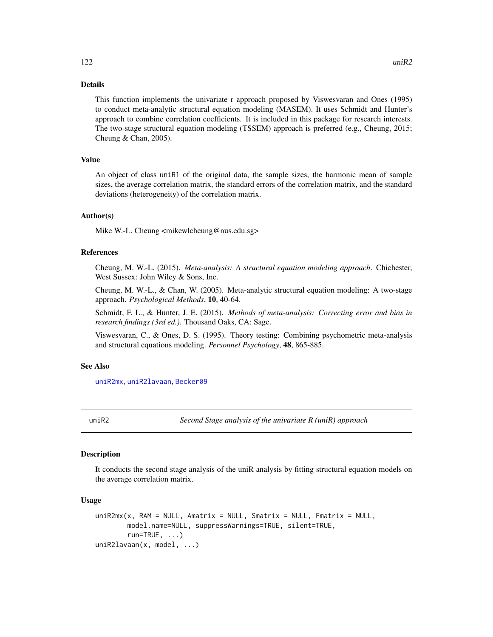# Details

This function implements the univariate r approach proposed by Viswesvaran and Ones (1995) to conduct meta-analytic structural equation modeling (MASEM). It uses Schmidt and Hunter's approach to combine correlation coefficients. It is included in this package for research interests. The two-stage structural equation modeling (TSSEM) approach is preferred (e.g., Cheung, 2015; Cheung & Chan, 2005).

# Value

An object of class uniR1 of the original data, the sample sizes, the harmonic mean of sample sizes, the average correlation matrix, the standard errors of the correlation matrix, and the standard deviations (heterogeneity) of the correlation matrix.

# Author(s)

Mike W.-L. Cheung <mikewlcheung@nus.edu.sg>

#### References

Cheung, M. W.-L. (2015). *Meta-analysis: A structural equation modeling approach*. Chichester, West Sussex: John Wiley & Sons, Inc.

Cheung, M. W.-L., & Chan, W. (2005). Meta-analytic structural equation modeling: A two-stage approach. *Psychological Methods*, 10, 40-64.

Schmidt, F. L., & Hunter, J. E. (2015). *Methods of meta-analysis: Correcting error and bias in research findings (3rd ed.)*. Thousand Oaks, CA: Sage.

Viswesvaran, C., & Ones, D. S. (1995). Theory testing: Combining psychometric meta-analysis and structural equations modeling. *Personnel Psychology*, 48, 865-885.

# See Also

[uniR2mx](#page-121-0), [uniR2lavaan](#page-121-0), [Becker09](#page-14-0)

uniR2 *Second Stage analysis of the univariate R (uniR) approach*

#### <span id="page-121-0"></span>**Description**

It conducts the second stage analysis of the uniR analysis by fitting structural equation models on the average correlation matrix.

#### Usage

```
uniR2mx(x, RAM = NULL, Amatrix = NULL, Smatrix = NULL, Fmatrix = NULL,model.name=NULL, suppressWarnings=TRUE, silent=TRUE,
        run = TRUE, ...uniR2lavaan(x, model, ...)
```
<span id="page-121-1"></span>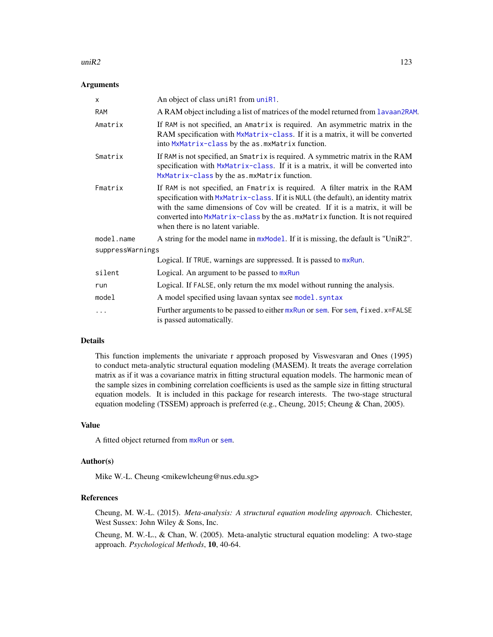#### <span id="page-122-0"></span> $\mu$ ini $R2$  123

#### Arguments

| $\mathsf{x}$     | An object of class uniR1 from uniR1.                                                                                                                                                                                                                                                                                                                                       |  |
|------------------|----------------------------------------------------------------------------------------------------------------------------------------------------------------------------------------------------------------------------------------------------------------------------------------------------------------------------------------------------------------------------|--|
| <b>RAM</b>       | A RAM object including a list of matrices of the model returned from lavaan2RAM.                                                                                                                                                                                                                                                                                           |  |
| Amatrix          | If RAM is not specified, an Amatrix is required. An asymmetric matrix in the<br>RAM specification with MxMatrix-class. If it is a matrix, it will be converted<br>into MxMatrix-class by the as. mxMatrix function.                                                                                                                                                        |  |
| Smatrix          | If RAM is not specified, an Smatrix is required. A symmetric matrix in the RAM<br>specification with MxMatrix-class. If it is a matrix, it will be converted into<br>MxMatrix-class by the as. mxMatrix function.                                                                                                                                                          |  |
| Fmatrix          | If RAM is not specified, an Fmatrix is required. A filter matrix in the RAM<br>specification with MxMatrix-class. If it is NULL (the default), an identity matrix<br>with the same dimensions of Cov will be created. If it is a matrix, it will be<br>converted into MxMatrix-class by the as. mxMatrix function. It is not required<br>when there is no latent variable. |  |
| model.name       | A string for the model name in $m \times \text{Model}$ . If it is missing, the default is "UniR2".                                                                                                                                                                                                                                                                         |  |
| suppressWarnings |                                                                                                                                                                                                                                                                                                                                                                            |  |
|                  | Logical. If TRUE, warnings are suppressed. It is passed to mxRun.                                                                                                                                                                                                                                                                                                          |  |
| silent           | Logical. An argument to be passed to mxRun                                                                                                                                                                                                                                                                                                                                 |  |
| run              | Logical. If FALSE, only return the mx model without running the analysis.                                                                                                                                                                                                                                                                                                  |  |
| mode1            | A model specified using lavaan syntax see model. syntax                                                                                                                                                                                                                                                                                                                    |  |
| .                | Further arguments to be passed to either mxRun or sem. For sem, fixed. x=FALSE<br>is passed automatically.                                                                                                                                                                                                                                                                 |  |

# Details

This function implements the univariate r approach proposed by Viswesvaran and Ones (1995) to conduct meta-analytic structural equation modeling (MASEM). It treats the average correlation matrix as if it was a covariance matrix in fitting structural equation models. The harmonic mean of the sample sizes in combining correlation coefficients is used as the sample size in fitting structural equation models. It is included in this package for research interests. The two-stage structural equation modeling (TSSEM) approach is preferred (e.g., Cheung, 2015; Cheung & Chan, 2005).

# Value

A fitted object returned from [mxRun](#page-0-0) or [sem](#page-0-0).

# Author(s)

Mike W.-L. Cheung <mikewlcheung@nus.edu.sg>

# References

Cheung, M. W.-L. (2015). *Meta-analysis: A structural equation modeling approach*. Chichester, West Sussex: John Wiley & Sons, Inc.

Cheung, M. W.-L., & Chan, W. (2005). Meta-analytic structural equation modeling: A two-stage approach. *Psychological Methods*, 10, 40-64.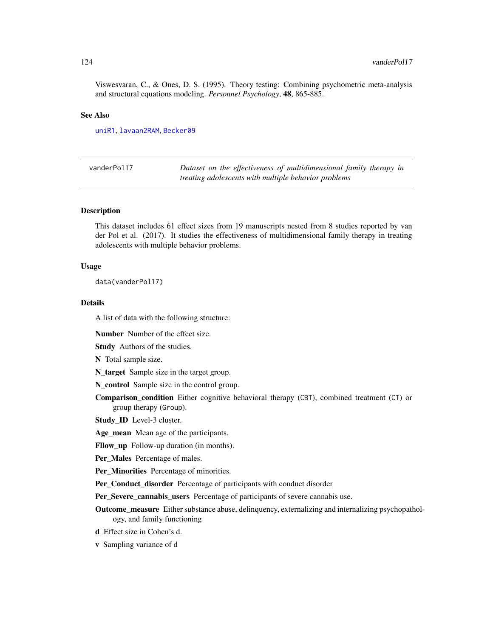<span id="page-123-0"></span>Viswesvaran, C., & Ones, D. S. (1995). Theory testing: Combining psychometric meta-analysis and structural equations modeling. *Personnel Psychology*, 48, 865-885.

#### See Also

[uniR1](#page-120-0), [lavaan2RAM](#page-72-0), [Becker09](#page-14-0)

| vanderPol17 | Dataset on the effectiveness of multidimensional family therapy in |
|-------------|--------------------------------------------------------------------|
|             | treating adolescents with multiple behavior problems               |

#### Description

This dataset includes 61 effect sizes from 19 manuscripts nested from 8 studies reported by van der Pol et al. (2017). It studies the effectiveness of multidimensional family therapy in treating adolescents with multiple behavior problems.

#### Usage

data(vanderPol17)

#### Details

A list of data with the following structure:

Number Number of the effect size.

Study Authors of the studies.

N Total sample size.

N\_target Sample size in the target group.

N\_control Sample size in the control group.

Comparison\_condition Either cognitive behavioral therapy (CBT), combined treatment (CT) or group therapy (Group).

Study\_ID Level-3 cluster.

Age\_mean Mean age of the participants.

Fllow\_up Follow-up duration (in months).

Per\_Males Percentage of males.

Per\_Minorities Percentage of minorities.

Per\_Conduct\_disorder Percentage of participants with conduct disorder

Per\_Severe\_cannabis\_users Percentage of participants of severe cannabis use.

**Outcome measure** Either substance abuse, delinquency, externalizing and internalizing psychopathology, and family functioning

d Effect size in Cohen's d.

v Sampling variance of d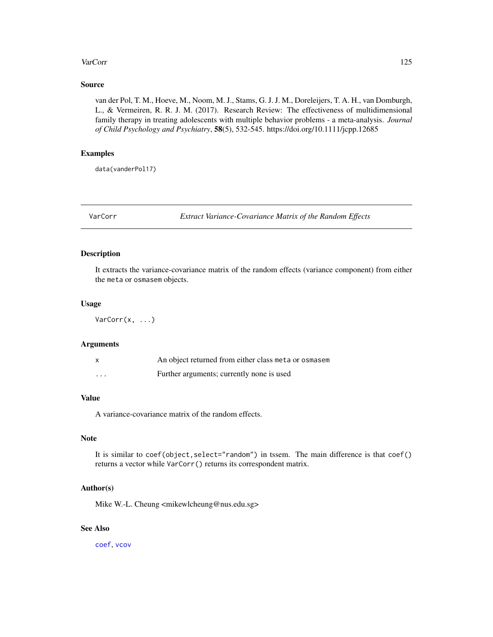#### <span id="page-124-0"></span>VarCorr 125

# Source

van der Pol, T. M., Hoeve, M., Noom, M. J., Stams, G. J. J. M., Doreleijers, T. A. H., van Domburgh, L., & Vermeiren, R. R. J. M. (2017). Research Review: The effectiveness of multidimensional family therapy in treating adolescents with multiple behavior problems - a meta-analysis. *Journal of Child Psychology and Psychiatry*, 58(5), 532-545. https://doi.org/10.1111/jcpp.12685

# Examples

data(vanderPol17)

VarCorr *Extract Variance-Covariance Matrix of the Random Effects*

#### Description

It extracts the variance-covariance matrix of the random effects (variance component) from either the meta or osmasem objects.

#### Usage

VarCorr(x, ...)

# Arguments

|          | An object returned from either class meta or osmasem |
|----------|------------------------------------------------------|
| $\cdots$ | Further arguments; currently none is used            |

# Value

A variance-covariance matrix of the random effects.

# Note

It is similar to coef(object, select="random") in tssem. The main difference is that coef() returns a vector while VarCorr() returns its correspondent matrix.

# Author(s)

Mike W.-L. Cheung <mikewlcheung@nus.edu.sg>

# See Also

[coef](#page-35-0), [vcov](#page-125-0)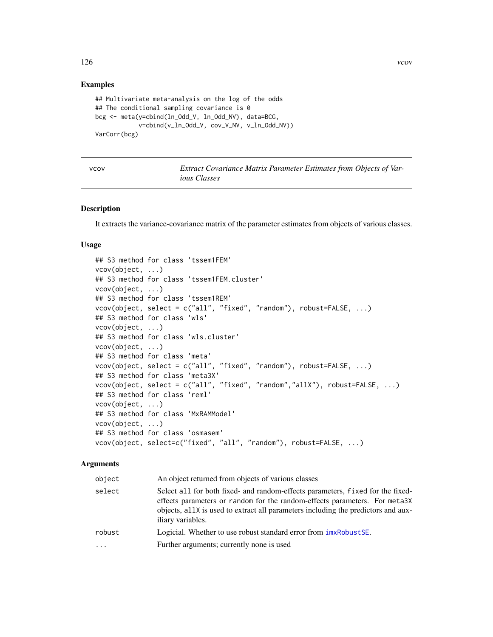# Examples

```
## Multivariate meta-analysis on the log of the odds
## The conditional sampling covariance is 0
bcg <- meta(y=cbind(ln_Odd_V, ln_Odd_NV), data=BCG,
            v=cbind(v_ln_Odd_V, cov_V_NV, v_ln_Odd_NV))
VarCorr(bcg)
```
<span id="page-125-0"></span>

v *Extract Covariance Matrix Parameter Estimates from Objects of Various Classes*

# Description

It extracts the variance-covariance matrix of the parameter estimates from objects of various classes.

# Usage

```
## S3 method for class 'tssem1FEM'
vcov(object, ...)
## S3 method for class 'tssem1FEM.cluster'
vcov(object, ...)
## S3 method for class 'tssem1REM'
vcov(object, select = c("all", "fixed", "random"), robust=FALSE, ...)
## S3 method for class 'wls'
vcov(object, ...)
## S3 method for class 'wls.cluster'
vcov(object, ...)
## S3 method for class 'meta'
vcov(object, select = c("all", "fixed", "random"), robust=FALSE, ...)
## S3 method for class 'meta3X'
vcov(object, select = c("all", "fixed", "random","allX"), robust=FALSE, ...)
## S3 method for class 'reml'
vcov(object, ...)
## S3 method for class 'MxRAMModel'
vcov(object, ...)
## S3 method for class 'osmasem'
vcov(object, select=c("fixed", "all", "random"), robust=FALSE, ...)
```
# Arguments

| object | An object returned from objects of various classes                                                                                                                                                                                                                      |
|--------|-------------------------------------------------------------------------------------------------------------------------------------------------------------------------------------------------------------------------------------------------------------------------|
| select | Select all for both fixed- and random-effects parameters, fixed for the fixed-<br>effects parameters or random for the random-effects parameters. For meta3X<br>objects, all X is used to extract all parameters including the predictors and aux-<br>iliary variables. |
| robust | Logicial. Whether to use robust standard error from $imxRobustSE$ .                                                                                                                                                                                                     |
| .      | Further arguments; currently none is used                                                                                                                                                                                                                               |
|        |                                                                                                                                                                                                                                                                         |

<span id="page-125-1"></span>126 vcov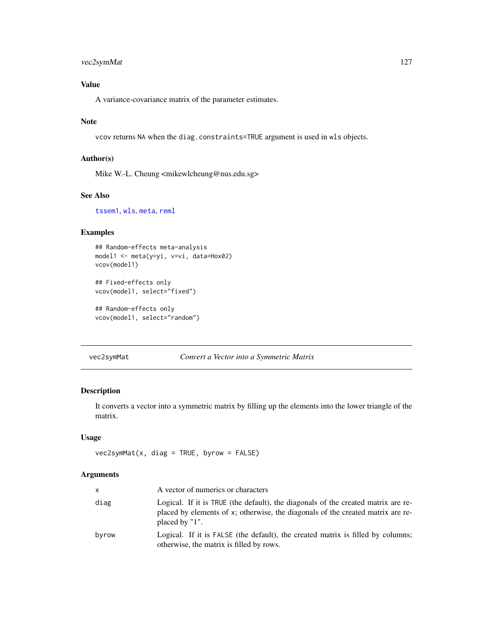# <span id="page-126-0"></span>vec2symMat 127

# Value

A variance-covariance matrix of the parameter estimates.

# Note

vcov returns NA when the diag.constraints=TRUE argument is used in wls objects.

# Author(s)

Mike W.-L. Cheung <mikewlcheung@nus.edu.sg>

# See Also

[tssem1](#page-117-0), [wls](#page-127-0), [meta](#page-77-0), [reml](#page-102-0)

# Examples

```
## Random-effects meta-analysis
model1 <- meta(y=yi, v=vi, data=Hox02)
vcov(model1)
```
## Fixed-effects only vcov(model1, select="fixed")

```
## Random-effects only
vcov(model1, select="random")
```
vec2symMat *Convert a Vector into a Symmetric Matrix*

# Description

It converts a vector into a symmetric matrix by filling up the elements into the lower triangle of the matrix.

# Usage

```
vec2symMat(x, diag = TRUE, byrow = FALSE)
```
### Arguments

| x     | A vector of numerics or characters                                                                                                                                                     |
|-------|----------------------------------------------------------------------------------------------------------------------------------------------------------------------------------------|
| diag  | Logical. If it is TRUE (the default), the diagonals of the created matrix are re-<br>placed by elements of x; otherwise, the diagonals of the created matrix are re-<br>placed by "1". |
| byrow | Logical. If it is FALSE (the default), the created matrix is filled by columns;<br>otherwise, the matrix is filled by rows.                                                            |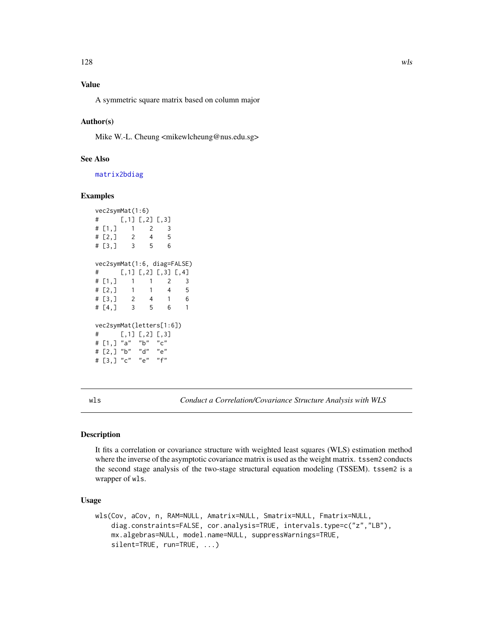# <span id="page-127-1"></span>Value

A symmetric square matrix based on column major

# Author(s)

Mike W.-L. Cheung <mikewlcheung@nus.edu.sg>

# See Also

[matrix2bdiag](#page-76-0)

# Examples

```
vec2symMat(1:6)
# [,1] [,2] [,3]
# [1,] 1 2 3
# [2,] 2 4 5
# [3,] 3 5 6
vec2symMat(1:6, diag=FALSE)
# [,1] [,2] [,3] [,4]
# [1,] 1 1 2 3
# [2,] 1 1 4 5
# [3,] 2 4 1 6
# [4,] 3 5 6 1
vec2symMat(letters[1:6])
# [, 1] [, 2] [, 3]
# [1,] "a" "b" "c"
# [2,] "b" "d" "e"
# [3,] "c" "e" "f"
```
<span id="page-127-0"></span>wls *Conduct a Correlation/Covariance Structure Analysis with WLS*

#### Description

It fits a correlation or covariance structure with weighted least squares (WLS) estimation method where the inverse of the asymptotic covariance matrix is used as the weight matrix. tssem2 conducts the second stage analysis of the two-stage structural equation modeling (TSSEM). tssem2 is a wrapper of wls.

#### Usage

```
wls(Cov, aCov, n, RAM=NULL, Amatrix=NULL, Smatrix=NULL, Fmatrix=NULL,
   diag.constraints=FALSE, cor.analysis=TRUE, intervals.type=c("z","LB"),
   mx.algebras=NULL, model.name=NULL, suppressWarnings=TRUE,
   silent=TRUE, run=TRUE, ...)
```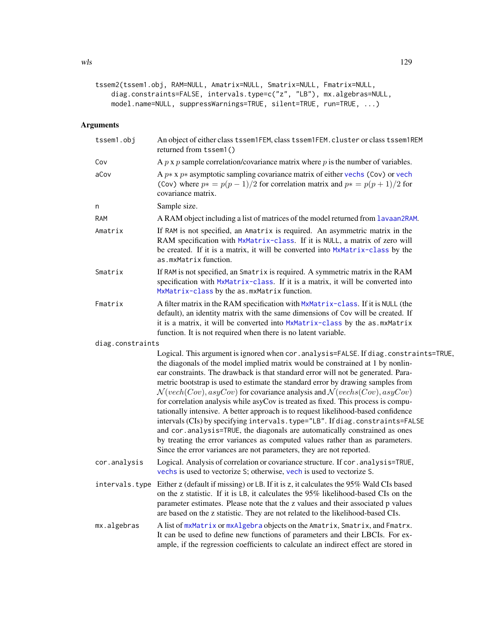```
tssem2(tssem1.obj, RAM=NULL, Amatrix=NULL, Smatrix=NULL, Fmatrix=NULL,
   diag.constraints=FALSE, intervals.type=c("z", "LB"), mx.algebras=NULL,
   model.name=NULL, suppressWarnings=TRUE, silent=TRUE, run=TRUE, ...)
```
# Arguments

| tssem1.obj       | An object of either class tssem1FEM, class tssem1FEM. cluster or class tssem1REM<br>returned from tssem1()                                                                                                                                                                                                                                                                                                                                                                                                                                                                                                                                                                                                                                                                                                                                                                                                                                        |
|------------------|---------------------------------------------------------------------------------------------------------------------------------------------------------------------------------------------------------------------------------------------------------------------------------------------------------------------------------------------------------------------------------------------------------------------------------------------------------------------------------------------------------------------------------------------------------------------------------------------------------------------------------------------------------------------------------------------------------------------------------------------------------------------------------------------------------------------------------------------------------------------------------------------------------------------------------------------------|
| Cov              | A $p \times p$ sample correlation/covariance matrix where $p$ is the number of variables.                                                                                                                                                                                                                                                                                                                                                                                                                                                                                                                                                                                                                                                                                                                                                                                                                                                         |
| aCov             | A $p * x p *$ asymptotic sampling covariance matrix of either vechs (Cov) or vech<br>(Cov) where $p* = p(p-1)/2$ for correlation matrix and $p* = p(p+1)/2$ for<br>covariance matrix.                                                                                                                                                                                                                                                                                                                                                                                                                                                                                                                                                                                                                                                                                                                                                             |
| n                | Sample size.                                                                                                                                                                                                                                                                                                                                                                                                                                                                                                                                                                                                                                                                                                                                                                                                                                                                                                                                      |
| <b>RAM</b>       | A RAM object including a list of matrices of the model returned from Lavaan2RAM.                                                                                                                                                                                                                                                                                                                                                                                                                                                                                                                                                                                                                                                                                                                                                                                                                                                                  |
| Amatrix          | If RAM is not specified, an Amatrix is required. An asymmetric matrix in the<br>RAM specification with MxMatrix-class. If it is NULL, a matrix of zero will<br>be created. If it is a matrix, it will be converted into MxMatrix-class by the<br>as.mxMatrixfunction.                                                                                                                                                                                                                                                                                                                                                                                                                                                                                                                                                                                                                                                                             |
| Smatrix          | If RAM is not specified, an Smatrix is required. A symmetric matrix in the RAM<br>specification with MxMatrix-class. If it is a matrix, it will be converted into<br>MxMatrix-class by the as. mxMatrix function.                                                                                                                                                                                                                                                                                                                                                                                                                                                                                                                                                                                                                                                                                                                                 |
| Fmatrix          | A filter matrix in the RAM specification with MxMatrix-class. If it is NULL (the<br>default), an identity matrix with the same dimensions of Cov will be created. If<br>it is a matrix, it will be converted into MxMatrix-class by the as.mxMatrix<br>function. It is not required when there is no latent variable.                                                                                                                                                                                                                                                                                                                                                                                                                                                                                                                                                                                                                             |
| diag.constraints |                                                                                                                                                                                                                                                                                                                                                                                                                                                                                                                                                                                                                                                                                                                                                                                                                                                                                                                                                   |
|                  | Logical. This argument is ignored when cor. analysis=FALSE. If diag. constraints=TRUE,<br>the diagonals of the model implied matrix would be constrained at 1 by nonlin-<br>ear constraints. The drawback is that standard error will not be generated. Para-<br>metric bootstrap is used to estimate the standard error by drawing samples from<br>$\mathcal{N}(vech(Cov),asyCov)$ for covariance analysis and $\mathcal{N}(vechs(Cov),asyCov)$<br>for correlation analysis while asyCov is treated as fixed. This process is compu-<br>tationally intensive. A better approach is to request likelihood-based confidence<br>intervals (CIs) by specifying intervals.type="LB". If diag.constraints=FALSE<br>and cor.analysis=TRUE, the diagonals are automatically constrained as ones<br>by treating the error variances as computed values rather than as parameters.<br>Since the error variances are not parameters, they are not reported. |
| cor.analysis     | Logical. Analysis of correlation or covariance structure. If cor. analysis=TRUE,<br>vechs is used to vectorize S; otherwise, vech is used to vectorize S.                                                                                                                                                                                                                                                                                                                                                                                                                                                                                                                                                                                                                                                                                                                                                                                         |
| intervals.type   | Either z (default if missing) or LB. If it is z, it calculates the 95% Wald CIs based<br>on the z statistic. If it is LB, it calculates the 95% likelihood-based CIs on the<br>parameter estimates. Please note that the z values and their associated p values<br>are based on the z statistic. They are not related to the likelihood-based CIs.                                                                                                                                                                                                                                                                                                                                                                                                                                                                                                                                                                                                |
| mx.algebras      | A list of mxMatrix or mxAlgebra objects on the Amatrix, Smatrix, and Fmatrx.<br>It can be used to define new functions of parameters and their LBCIs. For ex-<br>ample, if the regression coefficients to calculate an indirect effect are stored in                                                                                                                                                                                                                                                                                                                                                                                                                                                                                                                                                                                                                                                                                              |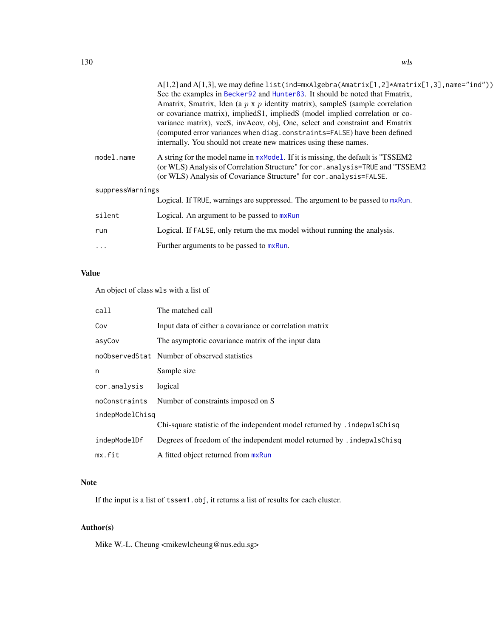<span id="page-129-0"></span>

|                  | $A[1,2]$ and $A[1,3]$ , we may define list(ind=mxAlgebra(Amatrix $[1,2]$ *Amatrix $[1,3]$ , name="ind")) |  |
|------------------|----------------------------------------------------------------------------------------------------------|--|
|                  | See the examples in Becker92 and Hunter83. It should be noted that Fmatrix,                              |  |
|                  | Amatrix, Smatrix, Iden (a $p \times p$ identity matrix), sampleS (sample correlation                     |  |
|                  | or covariance matrix), implied S1, implied S (model implied correlation or co-                           |  |
|                  | variance matrix), vecS, invAcov, obj, One, select and constraint and Ematrix                             |  |
|                  | (computed error variances when diag.constraints=FALSE) have been defined                                 |  |
|                  | internally. You should not create new matrices using these names.                                        |  |
| model.name       | A string for the model name in $mxModel$ . If it is missing, the default is "TSSEM2                      |  |
|                  | (or WLS) Analysis of Correlation Structure" for cor. analysis=TRUE and "TSSEM2                           |  |
|                  | (or WLS) Analysis of Covariance Structure" for cor.analysis=FALSE.                                       |  |
| suppressWarnings |                                                                                                          |  |
|                  | Logical. If TRUE, warnings are suppressed. The argument to be passed to mxRun.                           |  |
| silent           | Logical. An argument to be passed to mxRun                                                               |  |
| run              | Logical. If FALSE, only return the mx model without running the analysis.                                |  |
|                  | Further arguments to be passed to mxRun.                                                                 |  |
| $\cdots$         |                                                                                                          |  |

# Value

An object of class wls with a list of

| call            | The matched call                                                          |  |
|-----------------|---------------------------------------------------------------------------|--|
| Cov             | Input data of either a covariance or correlation matrix                   |  |
| asyCov          | The asymptotic covariance matrix of the input data                        |  |
|                 | noObservedStat Number of observed statistics                              |  |
| n               | Sample size                                                               |  |
| cor.analysis    | logical                                                                   |  |
| noConstraints   | Number of constraints imposed on S                                        |  |
| indepModelChisg |                                                                           |  |
|                 | Chi-square statistic of the independent model returned by . indepwlsChisq |  |
| indepModelDf    | Degrees of freedom of the independent model returned by . indepwlsChisq   |  |
| mx.fit          | A fitted object returned from mxRun                                       |  |

# Note

If the input is a list of tssem1.obj, it returns a list of results for each cluster.

# Author(s)

Mike W.-L. Cheung <mikewlcheung@nus.edu.sg>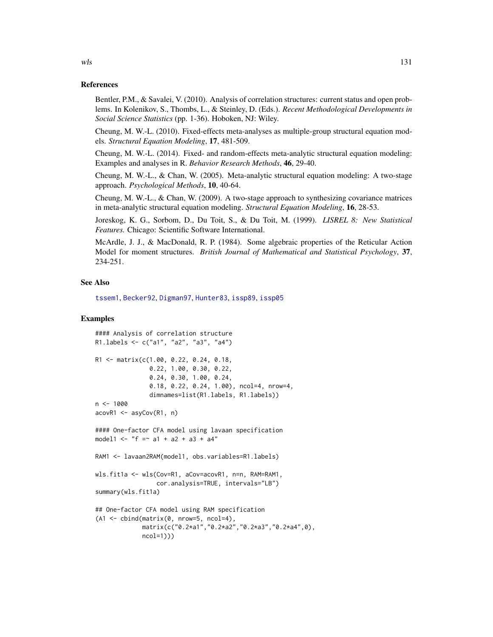#### References

Bentler, P.M., & Savalei, V. (2010). Analysis of correlation structures: current status and open problems. In Kolenikov, S., Thombs, L., & Steinley, D. (Eds.). *Recent Methodological Developments in Social Science Statistics* (pp. 1-36). Hoboken, NJ: Wiley.

Cheung, M. W.-L. (2010). Fixed-effects meta-analyses as multiple-group structural equation models. *Structural Equation Modeling*, 17, 481-509.

Cheung, M. W.-L. (2014). Fixed- and random-effects meta-analytic structural equation modeling: Examples and analyses in R. *Behavior Research Methods*, 46, 29-40.

Cheung, M. W.-L., & Chan, W. (2005). Meta-analytic structural equation modeling: A two-stage approach. *Psychological Methods*, 10, 40-64.

Cheung, M. W.-L., & Chan, W. (2009). A two-stage approach to synthesizing covariance matrices in meta-analytic structural equation modeling. *Structural Equation Modeling*, 16, 28-53.

Joreskog, K. G., Sorbom, D., Du Toit, S., & Du Toit, M. (1999). *LISREL 8: New Statistical Features.* Chicago: Scientific Software International.

McArdle, J. J., & MacDonald, R. P. (1984). Some algebraic properties of the Reticular Action Model for moment structures. *British Journal of Mathematical and Statistical Psychology*, 37, 234-251.

#### See Also

[tssem1](#page-117-0), [Becker92](#page-19-0), [Digman97](#page-50-0), [Hunter83](#page-59-0), [issp89](#page-68-0), [issp05](#page-66-0)

#### Examples

```
#### Analysis of correlation structure
R1.labels <- c("a1", "a2", "a3", "a4")
R1 <- matrix(c(1.00, 0.22, 0.24, 0.18,
                0.22, 1.00, 0.30, 0.22,
                0.24, 0.30, 1.00, 0.24,
               0.18, 0.22, 0.24, 1.00), ncol=4, nrow=4,
                dimnames=list(R1.labels, R1.labels))
n <- 1000
acovR1 <- asyCov(R1, n)
#### One-factor CFA model using lavaan specification
model1 <- "f = \sim a1 + a2 + a3 + a4"
RAM1 <- lavaan2RAM(model1, obs.variables=R1.labels)
wls.fit1a <- wls(Cov=R1, aCov=acovR1, n=n, RAM=RAM1,
                  cor.analysis=TRUE, intervals="LB")
summary(wls.fit1a)
## One-factor CFA model using RAM specification
(A1 \leq - \text{cbind}(\text{matrix}(0, \text{now=5}, \text{ncol=4})),matrix(c("0.2*a1","0.2*a2","0.2*a3","0.2*a4",0),
             ncol=1)))
```
<span id="page-130-0"></span>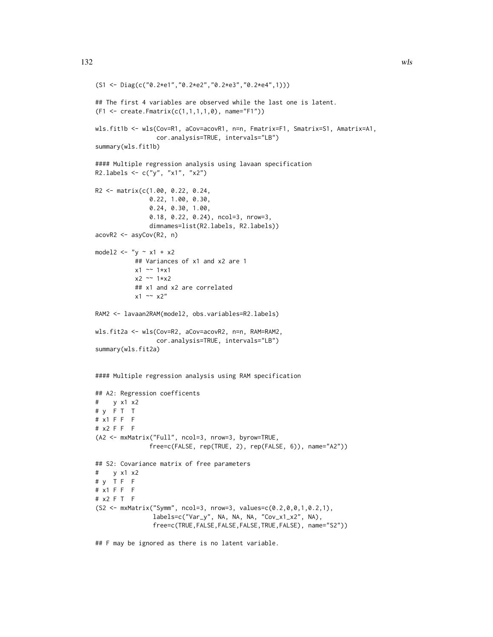```
(S1 <- Diag(c("0.2*e1","0.2*e2","0.2*e3","0.2*e4",1)))
## The first 4 variables are observed while the last one is latent.
(F1 <- create.Fmatrix(c(1,1,1,1,0), name="F1"))
wls.fit1b <- wls(Cov=R1, aCov=acovR1, n=n, Fmatrix=F1, Smatrix=S1, Amatrix=A1,
                 cor.analysis=TRUE, intervals="LB")
summary(wls.fit1b)
#### Multiple regression analysis using lavaan specification
R2.labels <- c("y", "x1", "x2")
R2 <- matrix(c(1.00, 0.22, 0.24,
               0.22, 1.00, 0.30,
               0.24, 0.30, 1.00,
               0.18, 0.22, 0.24), ncol=3, nrow=3,
               dimnames=list(R2.labels, R2.labels))
acovR2 <- asyCov(R2, n)
model2 <- "y \sim x1 + x2
          ## Variances of x1 and x2 are 1
          x1 \sim 1*x1x2 \sim 1*x2## x1 and x2 are correlated
           x1 \sim x2"
RAM2 <- lavaan2RAM(model2, obs.variables=R2.labels)
wls.fit2a <- wls(Cov=R2, aCov=acovR2, n=n, RAM=RAM2,
                 cor.analysis=TRUE, intervals="LB")
summary(wls.fit2a)
#### Multiple regression analysis using RAM specification
## A2: Regression coefficents
# y x1 x2
# y F T T
# x1 F F F
# x2 F F F
(A2 <- mxMatrix("Full", ncol=3, nrow=3, byrow=TRUE,
               free=c(FALSE, rep(TRUE, 2), rep(FALSE, 6)), name="A2"))
## S2: Covariance matrix of free parameters
# y x1 x2
# y T F F
# x1 F F F
# x2 F T F
(S2 <- mxMatrix("Symm", ncol=3, nrow=3, values=c(0.2,0,0,1,0.2,1),
                labels=c("Var_y", NA, NA, NA, "Cov_x1_x2", NA),
                free=c(TRUE,FALSE,FALSE,FALSE,TRUE,FALSE), name="S2"))
```
## F may be ignored as there is no latent variable.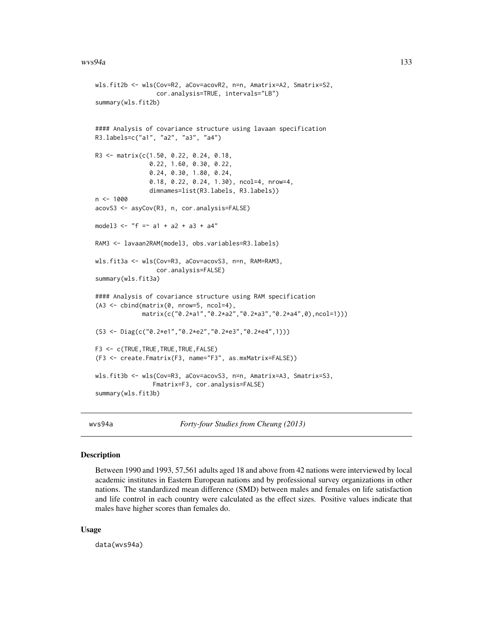```
wls.fit2b <- wls(Cov=R2, aCov=acovR2, n=n, Amatrix=A2, Smatrix=S2,
                 cor.analysis=TRUE, intervals="LB")
summary(wls.fit2b)
#### Analysis of covariance structure using lavaan specification
R3.labels=c("a1", "a2", "a3", "a4")
R3 <- matrix(c(1.50, 0.22, 0.24, 0.18,
               0.22, 1.60, 0.30, 0.22,
               0.24, 0.30, 1.80, 0.24,
               0.18, 0.22, 0.24, 1.30), ncol=4, nrow=4,
               dimnames=list(R3.labels, R3.labels))
n <- 1000
acovS3 <- asyCov(R3, n, cor.analysis=FALSE)
model3 <- "f = \sim a1 + a2 + a3 + a4"
RAM3 <- lavaan2RAM(model3, obs.variables=R3.labels)
wls.fit3a <- wls(Cov=R3, aCov=acovS3, n=n, RAM=RAM3,
                 cor.analysis=FALSE)
summary(wls.fit3a)
#### Analysis of covariance structure using RAM specification
(A3 \leq cbind(matrix(0, nrow=5, ncol=4),
             matrix(c("0.2*a1","0.2*a2","0.2*a3","0.2*a4",0),ncol=1)))
(S3 <- Diag(c("0.2*e1","0.2*e2","0.2*e3","0.2*e4",1)))
F3 <- c(TRUE,TRUE,TRUE,TRUE,FALSE)
(F3 <- create.Fmatrix(F3, name="F3", as.mxMatrix=FALSE))
wls.fit3b <- wls(Cov=R3, aCov=acovS3, n=n, Amatrix=A3, Smatrix=S3,
                Fmatrix=F3, cor.analysis=FALSE)
summary(wls.fit3b)
```
wvs94a *Forty-four Studies from Cheung (2013)*

## Description

Between 1990 and 1993, 57,561 adults aged 18 and above from 42 nations were interviewed by local academic institutes in Eastern European nations and by professional survey organizations in other nations. The standardized mean difference (SMD) between males and females on life satisfaction and life control in each country were calculated as the effect sizes. Positive values indicate that males have higher scores than females do.

#### Usage

data(wvs94a)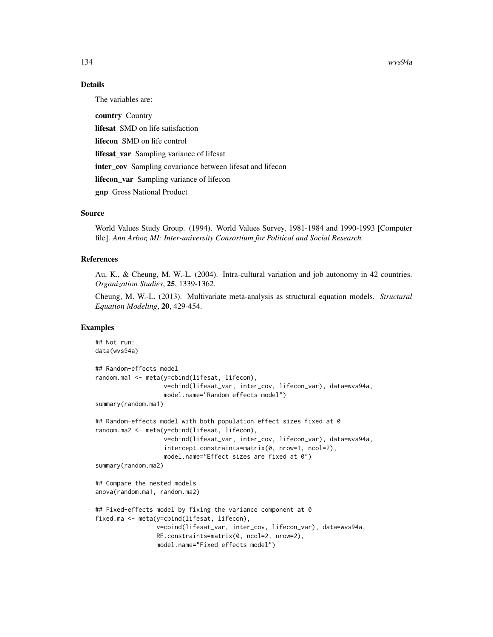134 wvs94a

# Details

The variables are:

country Country lifesat SMD on life satisfaction lifecon SMD on life control lifesat\_var Sampling variance of lifesat inter\_cov Sampling covariance between lifesat and lifecon lifecon\_var Sampling variance of lifecon gnp Gross National Product

# Source

World Values Study Group. (1994). World Values Survey, 1981-1984 and 1990-1993 [Computer file]. *Ann Arbor, MI: Inter-university Consortium for Political and Social Research.*

# References

Au, K., & Cheung, M. W.-L. (2004). Intra-cultural variation and job autonomy in 42 countries. *Organization Studies*, 25, 1339-1362.

Cheung, M. W.-L. (2013). Multivariate meta-analysis as structural equation models. *Structural Equation Modeling*, 20, 429-454.

# Examples

```
## Not run:
data(wvs94a)
## Random-effects model
random.ma1 <- meta(y=cbind(lifesat, lifecon),
                   v=cbind(lifesat_var, inter_cov, lifecon_var), data=wvs94a,
                   model.name="Random effects model")
summary(random.ma1)
## Random-effects model with both population effect sizes fixed at 0
random.ma2 <- meta(y=cbind(lifesat, lifecon),
                   v=cbind(lifesat_var, inter_cov, lifecon_var), data=wvs94a,
                   intercept.constraints=matrix(0, nrow=1, ncol=2),
                   model.name="Effect sizes are fixed at 0")
summary(random.ma2)
## Compare the nested models
anova(random.ma1, random.ma2)
## Fixed-effects model by fixing the variance component at 0
fixed.ma <- meta(y=cbind(lifesat, lifecon),
                 v=cbind(lifesat_var, inter_cov, lifecon_var), data=wvs94a,
                 RE.constraints=matrix(0, ncol=2, nrow=2),
                 model.name="Fixed effects model")
```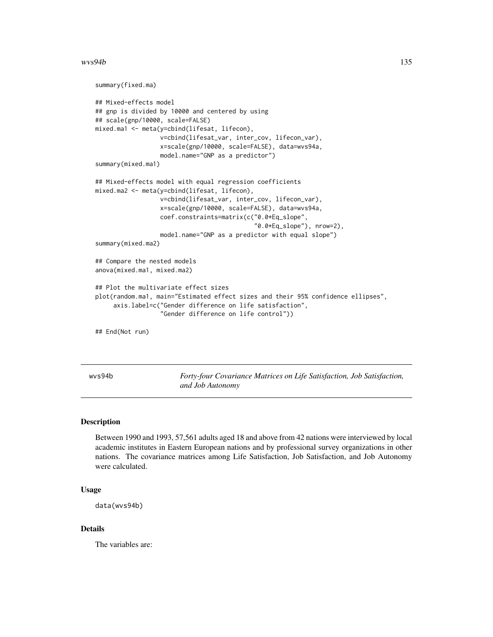#### <span id="page-134-0"></span> $wvs94b$  135

```
summary(fixed.ma)
## Mixed-effects model
## gnp is divided by 10000 and centered by using
## scale(gnp/10000, scale=FALSE)
mixed.ma1 <- meta(y=cbind(lifesat, lifecon),
                  v=cbind(lifesat_var, inter_cov, lifecon_var),
                  x=scale(gnp/10000, scale=FALSE), data=wvs94a,
                  model.name="GNP as a predictor")
summary(mixed.ma1)
## Mixed-effects model with equal regression coefficients
mixed.ma2 <- meta(y=cbind(lifesat, lifecon),
                  v=cbind(lifesat_var, inter_cov, lifecon_var),
                  x=scale(gnp/10000, scale=FALSE), data=wvs94a,
                  coef.constraints=matrix(c("0.0*Eq_slope",
                                             "0.0*Eq_slope"), nrow=2),
                  model.name="GNP as a predictor with equal slope")
summary(mixed.ma2)
## Compare the nested models
anova(mixed.ma1, mixed.ma2)
## Plot the multivariate effect sizes
plot(random.ma1, main="Estimated effect sizes and their 95% confidence ellipses",
     axis.label=c("Gender difference on life satisfaction",
                  "Gender difference on life control"))
## End(Not run)
```
wvs94b *Forty-four Covariance Matrices on Life Satisfaction, Job Satisfaction, and Job Autonomy*

#### Description

Between 1990 and 1993, 57,561 adults aged 18 and above from 42 nations were interviewed by local academic institutes in Eastern European nations and by professional survey organizations in other nations. The covariance matrices among Life Satisfaction, Job Satisfaction, and Job Autonomy were calculated.

#### Usage

data(wvs94b)

#### Details

The variables are: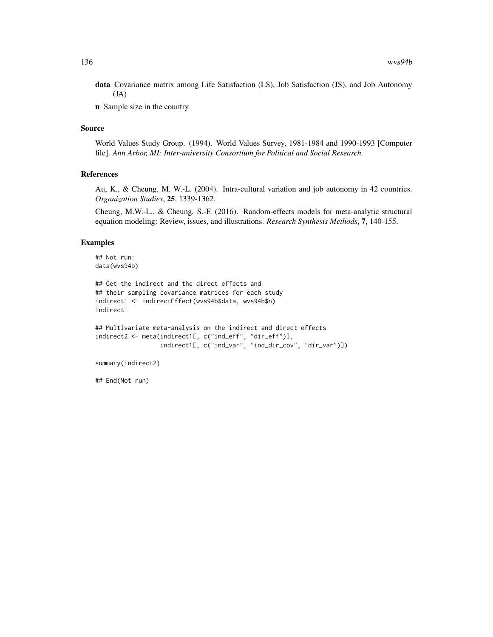data Covariance matrix among Life Satisfaction (LS), Job Satisfaction (JS), and Job Autonomy  $(JA)$ 

n Sample size in the country

# Source

World Values Study Group. (1994). World Values Survey, 1981-1984 and 1990-1993 [Computer file]. *Ann Arbor, MI: Inter-university Consortium for Political and Social Research.*

#### References

Au, K., & Cheung, M. W.-L. (2004). Intra-cultural variation and job autonomy in 42 countries. *Organization Studies*, 25, 1339-1362.

Cheung, M.W.-L., & Cheung, S.-F. (2016). Random-effects models for meta-analytic structural equation modeling: Review, issues, and illustrations. *Research Synthesis Methods*, 7, 140-155.

# Examples

```
## Not run:
data(wvs94b)
```

```
## Get the indirect and the direct effects and
## their sampling covariance matrices for each study
indirect1 <- indirectEffect(wvs94b$data, wvs94b$n)
indirect1
```

```
## Multivariate meta-analysis on the indirect and direct effects
indirect2 <- meta(indirect1[, c("ind_eff", "dir_eff")],
                  indirect1[, c("ind_var", "ind_dir_cov", "dir_var")])
```

```
summary(indirect2)
```
## End(Not run)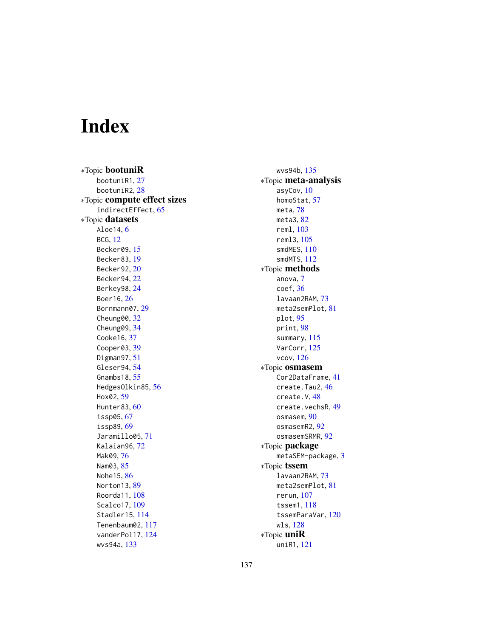# Index

∗Topic bootuniR bootuniR1, [27](#page-26-1) bootuniR2, [28](#page-27-1) ∗Topic compute effect sizes indirectEffect, [65](#page-64-0) ∗Topic datasets Aloe14, [6](#page-5-0) BCG, [12](#page-11-0) Becker09, [15](#page-14-1) Becker83, [19](#page-18-0) Becker92, [20](#page-19-1) Becker94, [22](#page-21-0) Berkey98, [24](#page-23-0) Boer16, [26](#page-25-0) Bornmann07, [29](#page-28-0) Cheung00, [32](#page-31-0) Cheung09, [34](#page-33-1) Cooke16, [37](#page-36-0) Cooper03, [39](#page-38-0) Digman97, [51](#page-50-1) Gleser94, [54](#page-53-1) Gnambs18, [55](#page-54-0) HedgesOlkin85, [56](#page-55-0) Hox02, [59](#page-58-0) Hunter83, [60](#page-59-1) issp05, [67](#page-66-1) issp89, [69](#page-68-1) Jaramillo05, [71](#page-70-0) Kalaian96, [72](#page-71-0) Mak09, [76](#page-75-0) Nam03, [85](#page-84-0) Nohe15, [86](#page-85-1) Norton13, [89](#page-88-0) Roorda11, [108](#page-107-0) Scalco17, [109](#page-108-0) Stadler15, [114](#page-113-0) Tenenbaum02, [117](#page-116-0) vanderPol17, [124](#page-123-0) wvs94a, [133](#page-132-0)

wvs94b, [135](#page-134-0) ∗Topic meta-analysis asyCov, [10](#page-9-0) homoStat, [57](#page-56-0) meta, [78](#page-77-1) meta3, [82](#page-81-0) reml, [103](#page-102-1) reml3, [105](#page-104-0) smdMES,  $110$ smdMTS, [112](#page-111-0) ∗Topic methods anova, [7](#page-6-0) coef, [36](#page-35-1) lavaan2RAM, [73](#page-72-1) meta2semPlot, [81](#page-80-0) plot, [95](#page-94-0) print, [98](#page-97-0) summary, [115](#page-114-0) VarCorr, [125](#page-124-0) vcov, [126](#page-125-1) ∗Topic osmasem Cor2DataFrame, [41](#page-40-0) create.Tau2, [46](#page-45-0) create.V, [48](#page-47-0) create.vechsR, [49](#page-48-0) osmasem, [90](#page-89-1) osmasemR2, [92](#page-91-0) osmasemSRMR, [92](#page-91-0) ∗Topic package metaSEM-package, [3](#page-2-0) ∗Topic tssem lavaan2RAM, [73](#page-72-1) meta2semPlot, [81](#page-80-0) rerun, [107](#page-106-0) tssem1, [118](#page-117-1) tssemParaVar, [120](#page-119-0) wls, [128](#page-127-1) ∗Topic uniR uniR1, [121](#page-120-1)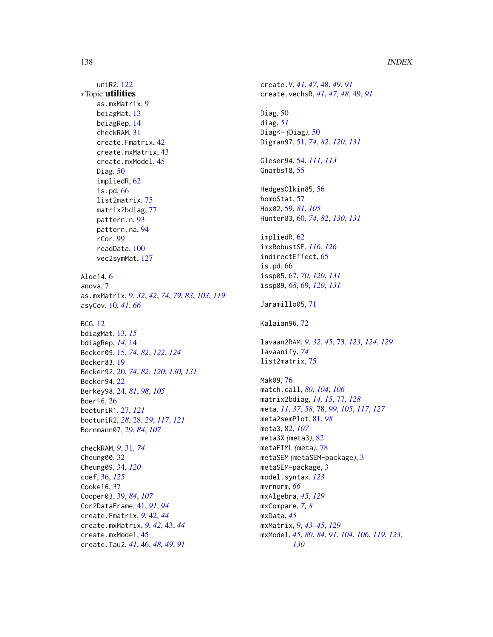## 138 INDEX

uniR2, [122](#page-121-1) ∗Topic utilities as.mxMatrix, [9](#page-8-1) bdiagMat, [13](#page-12-0) bdiagRep, [14](#page-13-0) checkRAM, [31](#page-30-0) create.Fmatrix, [42](#page-41-0) create.mxMatrix, [43](#page-42-0) create.mxModel, [45](#page-44-0) Diag, [50](#page-49-0) impliedR, [62](#page-61-0) is.pd, [66](#page-65-0) list2matrix, [75](#page-74-0) matrix2bdiag, [77](#page-76-1) pattern.n, [93](#page-92-0) pattern.na, [94](#page-93-0) rCor, [99](#page-98-1) readData, [100](#page-99-0) vec2symMat, [127](#page-126-0) Aloe14, [6](#page-5-0) anova, [7](#page-6-0) as.mxMatrix, [9,](#page-8-1) *[32](#page-31-0)*, *[42](#page-41-0)*, *[74](#page-73-0)*, *[79](#page-78-0)*, *[83](#page-82-0)*, *[103](#page-102-1)*, *[119](#page-118-0)* asyCov, [10,](#page-9-0) *[41](#page-40-0)*, *[66](#page-65-0)* BCG, [12](#page-11-0) bdiagMat, [13,](#page-12-0) *[15](#page-14-1)* bdiagRep, *[14](#page-13-0)*, [14](#page-13-0) Becker09, [15,](#page-14-1) *[74](#page-73-0)*, *[82](#page-81-0)*, *[122](#page-121-1)*, *[124](#page-123-0)* Becker83, [19](#page-18-0) Becker92, [20,](#page-19-1) *[74](#page-73-0)*, *[82](#page-81-0)*, *[120](#page-119-0)*, *[130,](#page-129-0) [131](#page-130-0)* Becker94, [22](#page-21-0) Berkey98, [24,](#page-23-0) *[81](#page-80-0)*, *[98](#page-97-0)*, *[105](#page-104-0)* Boer16, [26](#page-25-0) bootuniR1, [27,](#page-26-1) *[121](#page-120-1)* bootuniR2, *[28](#page-27-1)*, [28,](#page-27-1) *[29](#page-28-0)*, *[117](#page-116-0)*, *[121](#page-120-1)* Bornmann07, [29,](#page-28-0) *[84](#page-83-0)*, *[107](#page-106-0)* checkRAM, *[9](#page-8-1)*, [31,](#page-30-0) *[74](#page-73-0)* Cheung00, [32](#page-31-0) Cheung09, [34,](#page-33-1) *[120](#page-119-0)* coef, [36,](#page-35-1) *[125](#page-124-0)* Cooke16, [37](#page-36-0) Cooper03, [39,](#page-38-0) *[84](#page-83-0)*, *[107](#page-106-0)* Cor2DataFrame, [41,](#page-40-0) *[91](#page-90-0)*, *[94](#page-93-0)* create.Fmatrix, *[9](#page-8-1)*, [42,](#page-41-0) *[44](#page-43-0)* create.mxMatrix, *[9](#page-8-1)*, *[42](#page-41-0)*, [43,](#page-42-0) *[44](#page-43-0)* create.mxModel, [45](#page-44-0)

create.Tau2, *[41](#page-40-0)*, [46,](#page-45-0) *[48,](#page-47-0) [49](#page-48-0)*, *[91](#page-90-0)*

create.V, *[41](#page-40-0)*, *[47](#page-46-0)*, [48,](#page-47-0) *[49](#page-48-0)*, *[91](#page-90-0)* create.vechsR, *[41](#page-40-0)*, *[47,](#page-46-0) [48](#page-47-0)*, [49,](#page-48-0) *[91](#page-90-0)* Diag, [50](#page-49-0) diag, *[51](#page-50-1)* Diag<- *(*Diag*)*, [50](#page-49-0) Digman97, [51,](#page-50-1) *[74](#page-73-0)*, *[82](#page-81-0)*, *[120](#page-119-0)*, *[131](#page-130-0)* Gleser94, [54,](#page-53-1) *[111](#page-110-0)*, *[113](#page-112-0)* Gnambs18, [55](#page-54-0) HedgesOlkin85, [56](#page-55-0) homoStat, [57](#page-56-0) Hox02, [59,](#page-58-0) *[81](#page-80-0)*, *[105](#page-104-0)* Hunter83, [60,](#page-59-1) *[74](#page-73-0)*, *[82](#page-81-0)*, *[130,](#page-129-0) [131](#page-130-0)* impliedR, [62](#page-61-0) imxRobustSE, *[116](#page-115-0)*, *[126](#page-125-1)* indirectEffect, [65](#page-64-0) is.pd, [66](#page-65-0) issp05, [67,](#page-66-1) *[70](#page-69-0)*, *[120](#page-119-0)*, *[131](#page-130-0)* issp89, *[68](#page-67-0)*, [69,](#page-68-1) *[120](#page-119-0)*, *[131](#page-130-0)* Jaramillo05, [71](#page-70-0) Kalaian96, [72](#page-71-0) lavaan2RAM, *[9](#page-8-1)*, *[32](#page-31-0)*, *[45](#page-44-0)*, [73,](#page-72-1) *[123,](#page-122-0) [124](#page-123-0)*, *[129](#page-128-0)* lavaanify, *[74](#page-73-0)* list2matrix, [75](#page-74-0) Mak09, [76](#page-75-0) match.call, *[80](#page-79-0)*, *[104](#page-103-0)*, *[106](#page-105-0)* matrix2bdiag, *[14,](#page-13-0) [15](#page-14-1)*, [77,](#page-76-1) *[128](#page-127-1)* meta, *[11](#page-10-0)*, *[37](#page-36-0)*, *[58](#page-57-0)*, [78,](#page-77-1) *[99](#page-98-1)*, *[105](#page-104-0)*, *[117](#page-116-0)*, *[127](#page-126-0)* meta2semPlot, [81,](#page-80-0) *[98](#page-97-0)* meta3, [82,](#page-81-0) *[107](#page-106-0)* meta3X *(*meta3*)*, [82](#page-81-0) metaFIML *(*meta*)*, [78](#page-77-1) metaSEM *(*metaSEM-package*)*, [3](#page-2-0) metaSEM-package, [3](#page-2-0) model.syntax, *[123](#page-122-0)* mvrnorm, *[66](#page-65-0)* mxAlgebra, *[45](#page-44-0)*, *[129](#page-128-0)* mxCompare, *[7,](#page-6-0) [8](#page-7-0)* mxData, *[45](#page-44-0)* mxMatrix, *[9](#page-8-1)*, *[43](#page-42-0)[–45](#page-44-0)*, *[129](#page-128-0)* mxModel, *[45](#page-44-0)*, *[80](#page-79-0)*, *[84](#page-83-0)*, *[91](#page-90-0)*, *[104](#page-103-0)*, *[106](#page-105-0)*, *[119](#page-118-0)*, *[123](#page-122-0)*, *[130](#page-129-0)*